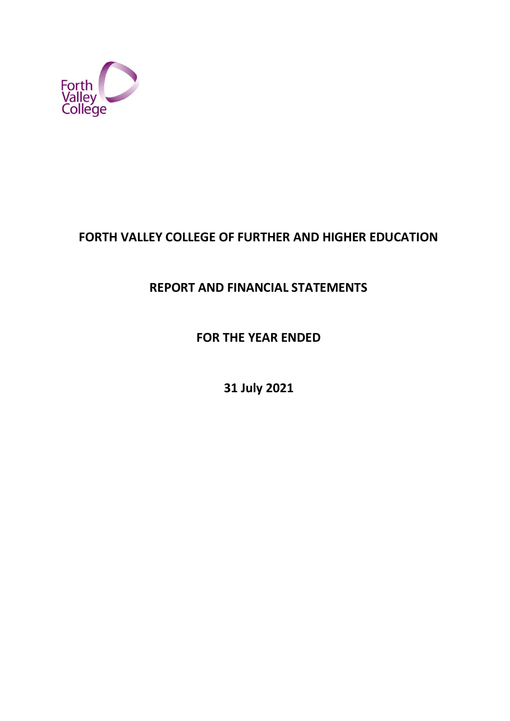

# **FORTH VALLEY COLLEGE OF FURTHER AND HIGHER EDUCATION**

# **REPORT AND FINANCIAL STATEMENTS**

**FOR THE YEAR ENDED**

**31 July 2021**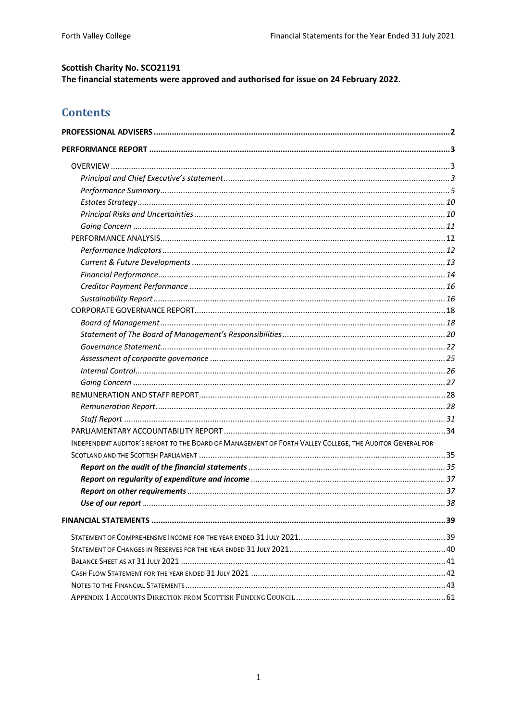## **Scottish Charity No. SCO21191** The financial statements were approved and authorised for issue on 24 February 2022.

# **Contents**

| INDEPENDENT AUDITOR'S REPORT TO THE BOARD OF MANAGEMENT OF FORTH VALLEY COLLEGE, THE AUDITOR GENERAL FOR |  |
|----------------------------------------------------------------------------------------------------------|--|
|                                                                                                          |  |
|                                                                                                          |  |
|                                                                                                          |  |
|                                                                                                          |  |
|                                                                                                          |  |
|                                                                                                          |  |
|                                                                                                          |  |
|                                                                                                          |  |
|                                                                                                          |  |
|                                                                                                          |  |
|                                                                                                          |  |
|                                                                                                          |  |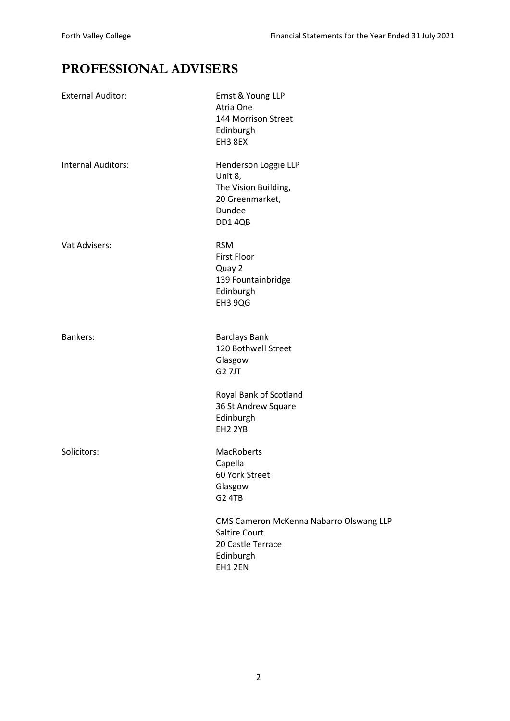# <span id="page-2-0"></span>**PROFESSIONAL ADVISERS**

| <b>External Auditor:</b>  | Ernst & Young LLP<br>Atria One<br>144 Morrison Street<br>Edinburgh<br>EH3 8EX                               |
|---------------------------|-------------------------------------------------------------------------------------------------------------|
| <b>Internal Auditors:</b> | Henderson Loggie LLP<br>Unit 8,<br>The Vision Building,<br>20 Greenmarket,<br>Dundee<br>DD14QB              |
| Vat Advisers:             | <b>RSM</b><br><b>First Floor</b><br>Quay 2<br>139 Fountainbridge<br>Edinburgh<br>EH3 9QG                    |
| <b>Bankers:</b>           | <b>Barclays Bank</b><br>120 Bothwell Street<br>Glasgow<br><b>G27JT</b>                                      |
|                           | Royal Bank of Scotland<br>36 St Andrew Square<br>Edinburgh<br>EH2 2YB                                       |
| Solicitors:               | <b>MacRoberts</b><br>Capella<br>60 York Street<br>Glasgow<br>G <sub>2</sub> 4TB                             |
|                           | CMS Cameron McKenna Nabarro Olswang LLP<br><b>Saltire Court</b><br>20 Castle Terrace<br>Edinburgh<br>EH12EN |
|                           |                                                                                                             |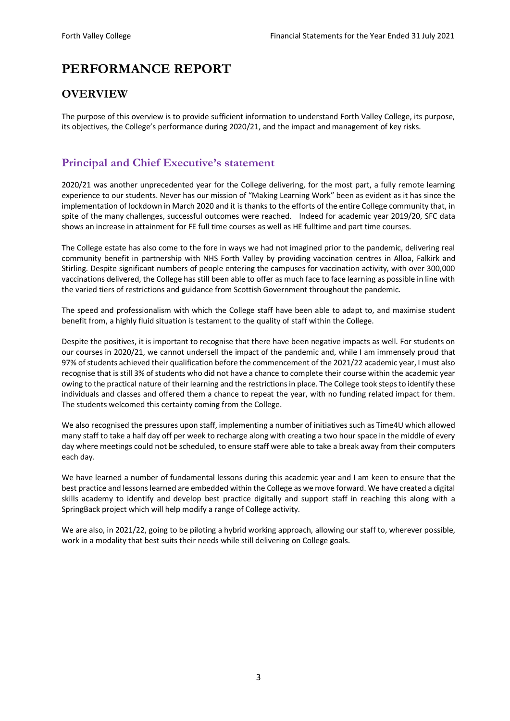# <span id="page-3-0"></span>**PERFORMANCE REPORT**

# <span id="page-3-1"></span>**OVERVIEW**

The purpose of this overview is to provide sufficient information to understand Forth Valley College, its purpose, its objectives, the College's performance during 2020/21, and the impact and management of key risks.

# <span id="page-3-2"></span>**Principal and Chief Executive's statement**

2020/21 was another unprecedented year for the College delivering, for the most part, a fully remote learning experience to our students. Never has our mission of "Making Learning Work" been as evident as it has since the implementation of lockdown in March 2020 and it is thanks to the efforts of the entire College community that, in spite of the many challenges, successful outcomes were reached. Indeed for academic year 2019/20, SFC data shows an increase in attainment for FE full time courses as well as HE fulltime and part time courses.

The College estate has also come to the fore in ways we had not imagined prior to the pandemic, delivering real community benefit in partnership with NHS Forth Valley by providing vaccination centres in Alloa, Falkirk and Stirling. Despite significant numbers of people entering the campuses for vaccination activity, with over 300,000 vaccinations delivered, the College has still been able to offer as much face to face learning as possible in line with the varied tiers of restrictions and guidance from Scottish Government throughout the pandemic.

The speed and professionalism with which the College staff have been able to adapt to, and maximise student benefit from, a highly fluid situation is testament to the quality of staff within the College.

Despite the positives, it is important to recognise that there have been negative impacts as well. For students on our courses in 2020/21, we cannot undersell the impact of the pandemic and, while I am immensely proud that 97% of students achieved their qualification before the commencement of the 2021/22 academic year, I must also recognise that is still 3% of students who did not have a chance to complete their course within the academic year owing to the practical nature of their learning and the restrictions in place. The College took steps to identify these individuals and classes and offered them a chance to repeat the year, with no funding related impact for them. The students welcomed this certainty coming from the College.

We also recognised the pressures upon staff, implementing a number of initiatives such as Time4U which allowed many staff to take a half day off per week to recharge along with creating a two hour space in the middle of every day where meetings could not be scheduled, to ensure staff were able to take a break away from their computers each day.

We have learned a number of fundamental lessons during this academic year and I am keen to ensure that the best practice and lessons learned are embedded within the College as we move forward. We have created a digital skills academy to identify and develop best practice digitally and support staff in reaching this along with a SpringBack project which will help modify a range of College activity.

We are also, in 2021/22, going to be piloting a hybrid working approach, allowing our staff to, wherever possible, work in a modality that best suits their needs while still delivering on College goals.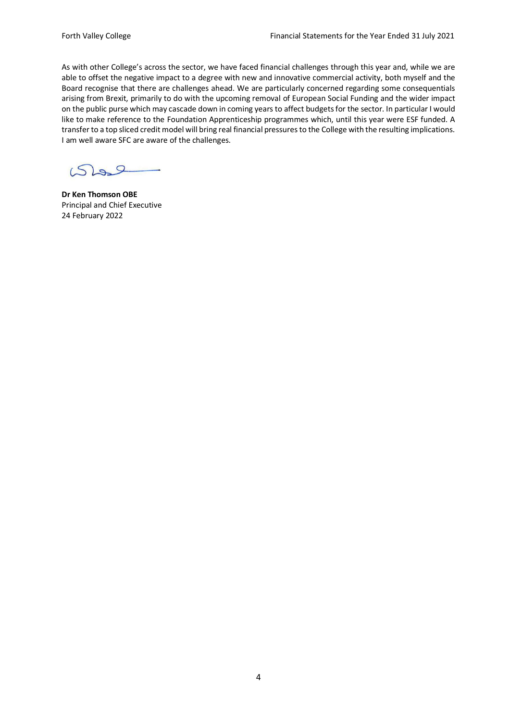As with other College's across the sector, we have faced financial challenges through this year and, while we are able to offset the negative impact to a degree with new and innovative commercial activity, both myself and the Board recognise that there are challenges ahead. We are particularly concerned regarding some consequentials arising from Brexit, primarily to do with the upcoming removal of European Social Funding and the wider impact on the public purse which may cascade down in coming years to affect budgets for the sector. In particular I would like to make reference to the Foundation Apprenticeship programmes which, until this year were ESF funded. A transfer to a top sliced credit model will bring real financial pressures to the College with the resulting implications. I am well aware SFC are aware of the challenges.

 $S^2$ 

**Dr Ken Thomson OBE** Principal and Chief Executive 24 February 2022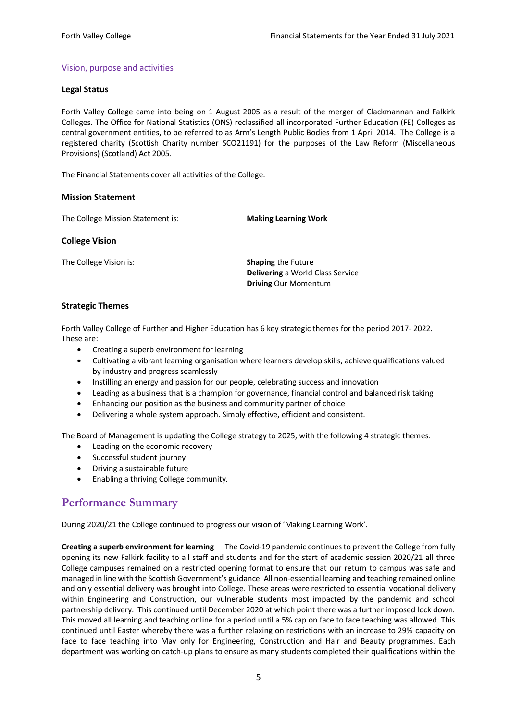## Vision, purpose and activities

## **Legal Status**

Forth Valley College came into being on 1 August 2005 as a result of the merger of Clackmannan and Falkirk Colleges. The Office for National Statistics (ONS) reclassified all incorporated Further Education (FE) Colleges as central government entities, to be referred to as Arm's Length Public Bodies from 1 April 2014. The College is a registered charity (Scottish Charity number SCO21191) for the purposes of the Law Reform (Miscellaneous Provisions) (Scotland) Act 2005.

The Financial Statements cover all activities of the College.

## **Mission Statement**

The College Mission Statement is: **Making Learning Work**

#### **College Vision**

The College Vision is: **Shaping** the Future

**Delivering** a World Class Service **Driving** Our Momentum

## **Strategic Themes**

Forth Valley College of Further and Higher Education has 6 key strategic themes for the period 2017- 2022. These are:

- Creating a superb environment for learning
- Cultivating a vibrant learning organisation where learners develop skills, achieve qualifications valued by industry and progress seamlessly
- Instilling an energy and passion for our people, celebrating success and innovation
- Leading as a business that is a champion for governance, financial control and balanced risk taking
- Enhancing our position as the business and community partner of choice
- Delivering a whole system approach. Simply effective, efficient and consistent.

The Board of Management is updating the College strategy to 2025, with the following 4 strategic themes:

- Leading on the economic recovery
- Successful student journey
- Driving a sustainable future
- Enabling a thriving College community.

# <span id="page-5-0"></span>**Performance Summary**

During 2020/21 the College continued to progress our vision of 'Making Learning Work'.

**Creating a superb environment for learning** – The Covid-19 pandemic continues to prevent the College from fully opening its new Falkirk facility to all staff and students and for the start of academic session 2020/21 all three College campuses remained on a restricted opening format to ensure that our return to campus was safe and managed in line with the Scottish Government's guidance. All non-essential learning and teaching remained online and only essential delivery was brought into College. These areas were restricted to essential vocational delivery within Engineering and Construction, our vulnerable students most impacted by the pandemic and school partnership delivery. This continued until December 2020 at which point there was a further imposed lock down. This moved all learning and teaching online for a period until a 5% cap on face to face teaching was allowed. This continued until Easter whereby there was a further relaxing on restrictions with an increase to 29% capacity on face to face teaching into May only for Engineering, Construction and Hair and Beauty programmes. Each department was working on catch-up plans to ensure as many students completed their qualifications within the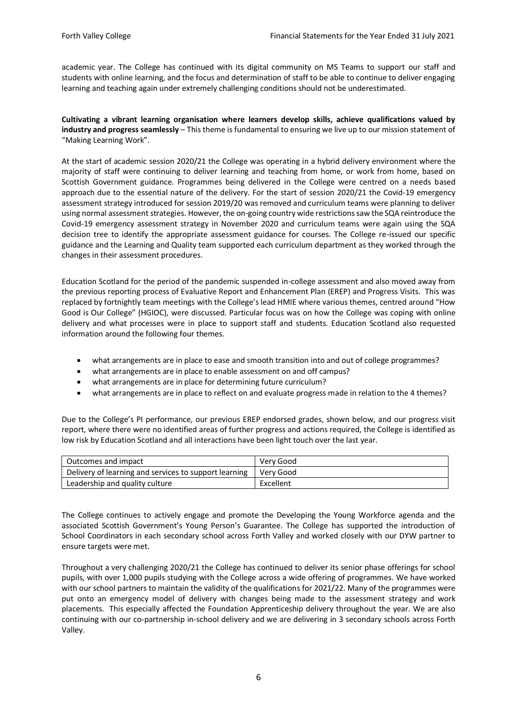academic year. The College has continued with its digital community on MS Teams to support our staff and students with online learning, and the focus and determination of staff to be able to continue to deliver engaging learning and teaching again under extremely challenging conditions should not be underestimated.

**Cultivating a vibrant learning organisation where learners develop skills, achieve qualifications valued by industry and progress seamlessly** – This theme is fundamental to ensuring we live up to our mission statement of "Making Learning Work".

At the start of academic session 2020/21 the College was operating in a hybrid delivery environment where the majority of staff were continuing to deliver learning and teaching from home, or work from home, based on Scottish Government guidance. Programmes being delivered in the College were centred on a needs based approach due to the essential nature of the delivery. For the start of session 2020/21 the Covid-19 emergency assessment strategy introduced for session 2019/20 was removed and curriculum teams were planning to deliver using normal assessment strategies. However, the on-going country wide restrictions saw the SQA reintroduce the Covid-19 emergency assessment strategy in November 2020 and curriculum teams were again using the SQA decision tree to identify the appropriate assessment guidance for courses. The College re-issued our specific guidance and the Learning and Quality team supported each curriculum department as they worked through the changes in their assessment procedures.

Education Scotland for the period of the pandemic suspended in-college assessment and also moved away from the previous reporting process of Evaluative Report and Enhancement Plan (EREP) and Progress Visits. This was replaced by fortnightly team meetings with the College's lead HMIE where various themes, centred around "How Good is Our College" (HGIOC), were discussed. Particular focus was on how the College was coping with online delivery and what processes were in place to support staff and students. Education Scotland also requested information around the following four themes.

- what arrangements are in place to ease and smooth transition into and out of college programmes?
- what arrangements are in place to enable assessment on and off campus?
- what arrangements are in place for determining future curriculum?
- what arrangements are in place to reflect on and evaluate progress made in relation to the 4 themes?

Due to the College's PI performance, our previous EREP endorsed grades, shown below, and our progress visit report, where there were no identified areas of further progress and actions required, the College is identified as low risk by Education Scotland and all interactions have been light touch over the last year.

| Outcomes and impact                                   | Very Good   |
|-------------------------------------------------------|-------------|
| Delivery of learning and services to support learning | l Verv Good |
| Leadership and quality culture                        | Excellent   |

The College continues to actively engage and promote the Developing the Young Workforce agenda and the associated Scottish Government's Young Person's Guarantee. The College has supported the introduction of School Coordinators in each secondary school across Forth Valley and worked closely with our DYW partner to ensure targets were met.

Throughout a very challenging 2020/21 the College has continued to deliver its senior phase offerings for school pupils, with over 1,000 pupils studying with the College across a wide offering of programmes. We have worked with our school partners to maintain the validity of the qualifications for 2021/22. Many of the programmes were put onto an emergency model of delivery with changes being made to the assessment strategy and work placements. This especially affected the Foundation Apprenticeship delivery throughout the year. We are also continuing with our co-partnership in-school delivery and we are delivering in 3 secondary schools across Forth Valley.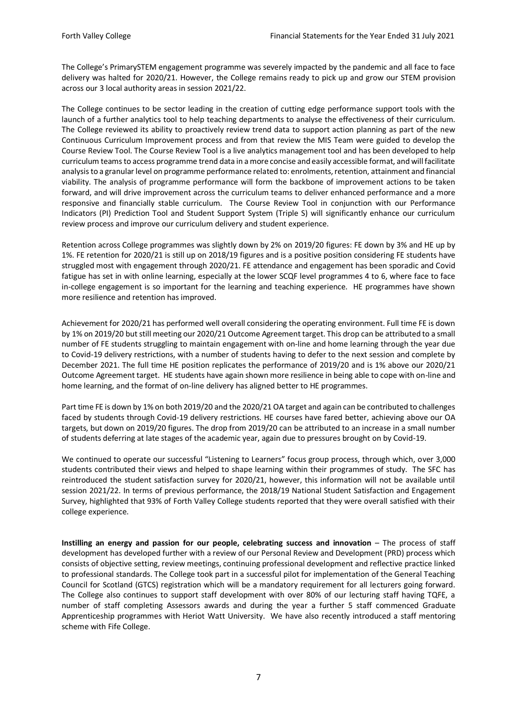The College's PrimarySTEM engagement programme was severely impacted by the pandemic and all face to face delivery was halted for 2020/21. However, the College remains ready to pick up and grow our STEM provision across our 3 local authority areas in session 2021/22.

The College continues to be sector leading in the creation of cutting edge performance support tools with the launch of a further analytics tool to help teaching departments to analyse the effectiveness of their curriculum. The College reviewed its ability to proactively review trend data to support action planning as part of the new Continuous Curriculum Improvement process and from that review the MIS Team were guided to develop the Course Review Tool. The Course Review Tool is a live analytics management tool and has been developed to help curriculum teams to access programme trend data in a more concise and easily accessible format, and will facilitate analysis to a granular level on programme performance related to: enrolments, retention, attainment and financial viability. The analysis of programme performance will form the backbone of improvement actions to be taken forward, and will drive improvement across the curriculum teams to deliver enhanced performance and a more responsive and financially stable curriculum. The Course Review Tool in conjunction with our Performance Indicators (PI) Prediction Tool and Student Support System (Triple S) will significantly enhance our curriculum review process and improve our curriculum delivery and student experience.

Retention across College programmes was slightly down by 2% on 2019/20 figures: FE down by 3% and HE up by 1%. FE retention for 2020/21 is still up on 2018/19 figures and is a positive position considering FE students have struggled most with engagement through 2020/21. FE attendance and engagement has been sporadic and Covid fatigue has set in with online learning, especially at the lower SCQF level programmes 4 to 6, where face to face in-college engagement is so important for the learning and teaching experience. HE programmes have shown more resilience and retention has improved.

Achievement for 2020/21 has performed well overall considering the operating environment. Full time FE is down by 1% on 2019/20 but still meeting our 2020/21 Outcome Agreement target. This drop can be attributed to a small number of FE students struggling to maintain engagement with on-line and home learning through the year due to Covid-19 delivery restrictions, with a number of students having to defer to the next session and complete by December 2021. The full time HE position replicates the performance of 2019/20 and is 1% above our 2020/21 Outcome Agreement target. HE students have again shown more resilience in being able to cope with on-line and home learning, and the format of on-line delivery has aligned better to HE programmes.

Part time FE is down by 1% on both 2019/20 and the 2020/21 OA target and again can be contributed to challenges faced by students through Covid-19 delivery restrictions. HE courses have fared better, achieving above our OA targets, but down on 2019/20 figures. The drop from 2019/20 can be attributed to an increase in a small number of students deferring at late stages of the academic year, again due to pressures brought on by Covid-19.

We continued to operate our successful "Listening to Learners" focus group process, through which, over 3,000 students contributed their views and helped to shape learning within their programmes of study. The SFC has reintroduced the student satisfaction survey for 2020/21, however, this information will not be available until session 2021/22. In terms of previous performance, the 2018/19 National Student Satisfaction and Engagement Survey, highlighted that 93% of Forth Valley College students reported that they were overall satisfied with their college experience.

**Instilling an energy and passion for our people, celebrating success and innovation** – The process of staff development has developed further with a review of our Personal Review and Development (PRD) process which consists of objective setting, review meetings, continuing professional development and reflective practice linked to professional standards. The College took part in a successful pilot for implementation of the General Teaching Council for Scotland (GTCS) registration which will be a mandatory requirement for all lecturers going forward. The College also continues to support staff development with over 80% of our lecturing staff having TQFE, a number of staff completing Assessors awards and during the year a further 5 staff commenced Graduate Apprenticeship programmes with Heriot Watt University. We have also recently introduced a staff mentoring scheme with Fife College.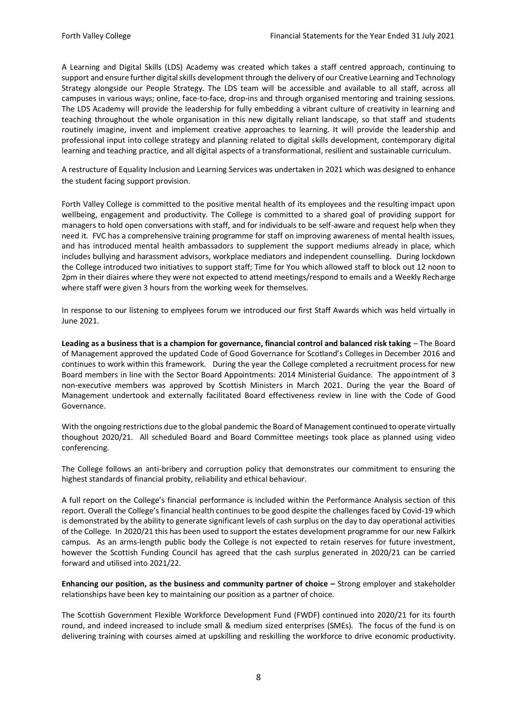A Learning and Digital Skills (LDS) Academy was created which takes a staff centred approach, continuing to support and ensure further digital skills development through the delivery of our Creative Learning and Technology Strategy alongside our People Strategy. The LDS team will be accessible and available to all staff, across all campuses in various ways; online, face-to-face, drop-ins and through organised mentoring and training sessions. The LDS Academy will provide the leadership for fully embedding a vibrant culture of creativity in learning and teaching throughout the whole organisation in this new digitally reliant landscape, so that staff and students routinely imagine, invent and implement creative approaches to learning. It will provide the leadership and professional input into college strategy and planning related to digital skills development, contemporary digital learning and teaching practice, and all digital aspects of a transformational, resilient and sustainable curriculum.

A restructure of Equality Inclusion and Learning Services was undertaken in 2021 which was designed to enhance the student facing support provision.

Forth Valley College is committed to the positive mental health of its employees and the resulting impact upon wellbeing, engagement and productivity. The College is committed to a shared goal of providing support for managers to hold open conversations with staff, and for individuals to be self-aware and request help when they need it. FVC has a comprehensive training programme for staff on improving awareness of mental health issues, and has introduced mental health ambassadors to supplement the support mediums already in place, which includes bullying and harassment advisors, workplace mediators and independent counselling. During lockdown the College introduced two initiatives to support staff; Time for You which allowed staff to block out 12 noon to 2pm in their diaires where they were not expected to attend meetings/respond to emails and a Weekly Recharge where staff were given 3 hours from the working week for themselves.

In response to our listening to emplyees forum we introduced our first Staff Awards which was held virtually in June 2021.

**Leading as a business that is a champion for governance, financial control and balanced risk taking** – The Board of Management approved the updated Code of Good Governance for Scotland's Colleges in December 2016 and continues to work within this framework. During the year the College completed a recruitment process for new Board members in line with the Sector Board Appointments: 2014 Ministerial Guidance. The appointment of 3 non-executive members was approved by Scottish Ministers in March 2021. During the year the Board of Management undertook and externally facilitated Board effectiveness review in line with the Code of Good Governance.

With the ongoing restrictions due to the global pandemic the Board of Management continued to operate virtually thoughout 2020/21. All scheduled Board and Board Committee meetings took place as planned using video conferencing.

The College follows an anti-bribery and corruption policy that demonstrates our commitment to ensuring the highest standards of financial probity, reliability and ethical behaviour.

A full report on the College's financial performance is included within the Performance Analysis section of this report. Overall the College's financial health continues to be good despite the challenges faced by Covid-19 which is demonstrated by the ability to generate significant levels of cash surplus on the day to day operational activities of the College. In 2020/21 this has been used to support the estates development programme for our new Falkirk campus. As an arms-length public body the College is not expected to retain reserves for future investment, however the Scottish Funding Council has agreed that the cash surplus generated in 2020/21 can be carried forward and utilised into 2021/22.

**Enhancing our position, as the business and community partner of choice –** Strong employer and stakeholder relationships have been key to maintaining our position as a partner of choice.

The Scottish Government Flexible Workforce Development Fund (FWDF) continued into 2020/21 for its fourth round, and indeed increased to include small & medium sized enterprises (SMEs). The focus of the fund is on delivering training with courses aimed at upskilling and reskilling the workforce to drive economic productivity.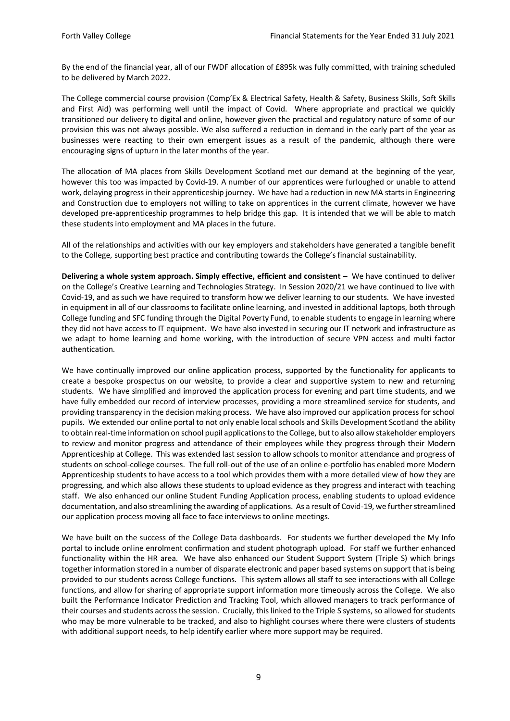By the end of the financial year, all of our FWDF allocation of £895k was fully committed, with training scheduled to be delivered by March 2022.

The College commercial course provision (Comp'Ex & Electrical Safety, Health & Safety, Business Skills, Soft Skills and First Aid) was performing well until the impact of Covid. Where appropriate and practical we quickly transitioned our delivery to digital and online, however given the practical and regulatory nature of some of our provision this was not always possible. We also suffered a reduction in demand in the early part of the year as businesses were reacting to their own emergent issues as a result of the pandemic, although there were encouraging signs of upturn in the later months of the year.

The allocation of MA places from Skills Development Scotland met our demand at the beginning of the year, however this too was impacted by Covid-19. A number of our apprentices were furloughed or unable to attend work, delaying progress in their apprenticeship journey. We have had a reduction in new MA starts in Engineering and Construction due to employers not willing to take on apprentices in the current climate, however we have developed pre-apprenticeship programmes to help bridge this gap. It is intended that we will be able to match these students into employment and MA places in the future.

All of the relationships and activities with our key employers and stakeholders have generated a tangible benefit to the College, supporting best practice and contributing towards the College's financial sustainability.

**Delivering a whole system approach. Simply effective, efficient and consistent –** We have continued to deliver on the College's Creative Learning and Technologies Strategy. In Session 2020/21 we have continued to live with Covid-19, and as such we have required to transform how we deliver learning to our students. We have invested in equipment in all of our classrooms to facilitate online learning, and invested in additional laptops, both through College funding and SFC funding through the Digital Poverty Fund, to enable students to engage in learning where they did not have access to IT equipment. We have also invested in securing our IT network and infrastructure as we adapt to home learning and home working, with the introduction of secure VPN access and multi factor authentication.

We have continually improved our online application process, supported by the functionality for applicants to create a bespoke prospectus on our website, to provide a clear and supportive system to new and returning students. We have simplified and improved the application process for evening and part time students, and we have fully embedded our record of interview processes, providing a more streamlined service for students, and providing transparency in the decision making process. We have also improved our application process for school pupils. We extended our online portal to not only enable local schools and Skills Development Scotland the ability to obtain real-time information on school pupil applications to the College, but to also allow stakeholder employers to review and monitor progress and attendance of their employees while they progress through their Modern Apprenticeship at College. This was extended last session to allow schools to monitor attendance and progress of students on school-college courses. The full roll-out of the use of an online e-portfolio has enabled more Modern Apprenticeship students to have access to a tool which provides them with a more detailed view of how they are progressing, and which also allows these students to upload evidence as they progress and interact with teaching staff. We also enhanced our online Student Funding Application process, enabling students to upload evidence documentation, and also streamlining the awarding of applications. As a result of Covid-19, we further streamlined our application process moving all face to face interviews to online meetings.

We have built on the success of the College Data dashboards. For students we further developed the My Info portal to include online enrolment confirmation and student photograph upload. For staff we further enhanced functionality within the HR area. We have also enhanced our Student Support System (Triple S) which brings together information stored in a number of disparate electronic and paper based systems on support that is being provided to our students across College functions. This system allows all staff to see interactions with all College functions, and allow for sharing of appropriate support information more timeously across the College. We also built the Performance Indicator Prediction and Tracking Tool, which allowed managers to track performance of their courses and students across the session. Crucially, this linked to the Triple S systems, so allowed for students who may be more vulnerable to be tracked, and also to highlight courses where there were clusters of students with additional support needs, to help identify earlier where more support may be required.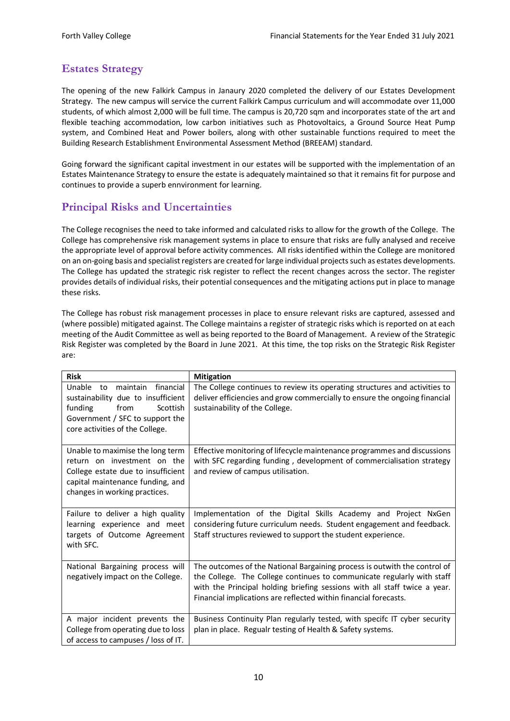# <span id="page-10-0"></span>**Estates Strategy**

The opening of the new Falkirk Campus in Janaury 2020 completed the delivery of our Estates Development Strategy. The new campus will service the current Falkirk Campus curriculum and will accommodate over 11,000 students, of which almost 2,000 will be full time. The campus is 20,720 sqm and incorporates state of the art and flexible teaching accommodation, low carbon initiatives such as Photovoltaics, a Ground Source Heat Pump system, and Combined Heat and Power boilers, along with other sustainable functions required to meet the Building Research Establishment Environmental Assessment Method (BREEAM) standard.

Going forward the significant capital investment in our estates will be supported with the implementation of an Estates Maintenance Strategy to ensure the estate is adequately maintained so that it remains fit for purpose and continues to provide a superb ennvironment for learning.

# <span id="page-10-1"></span>**Principal Risks and Uncertainties**

The College recognises the need to take informed and calculated risks to allow for the growth of the College. The College has comprehensive risk management systems in place to ensure that risks are fully analysed and receive the appropriate level of approval before activity commences. All risks identified within the College are monitored on an on-going basis and specialist registers are created for large individual projects such as estates developments. The College has updated the strategic risk register to reflect the recent changes across the sector. The register provides details of individual risks, their potential consequences and the mitigating actions put in place to manage these risks.

The College has robust risk management processes in place to ensure relevant risks are captured, assessed and (where possible) mitigated against. The College maintains a register of strategic risks which is reported on at each meeting of the Audit Committee as well as being reported to the Board of Management. A review of the Strategic Risk Register was completed by the Board in June 2021. At this time, the top risks on the Strategic Risk Register are:

| <b>Risk</b>                                                                                                                                                                      | <b>Mitigation</b>                                                                                                                                                                                                                                                                                    |
|----------------------------------------------------------------------------------------------------------------------------------------------------------------------------------|------------------------------------------------------------------------------------------------------------------------------------------------------------------------------------------------------------------------------------------------------------------------------------------------------|
| financial<br>Unable<br>maintain<br>to<br>sustainability due to insufficient<br>Scottish<br>funding<br>from<br>Government / SFC to support the<br>core activities of the College. | The College continues to review its operating structures and activities to<br>deliver efficiencies and grow commercially to ensure the ongoing financial<br>sustainability of the College.                                                                                                           |
| Unable to maximise the long term<br>return on investment on the<br>College estate due to insufficient<br>capital maintenance funding, and<br>changes in working practices.       | Effective monitoring of lifecycle maintenance programmes and discussions<br>with SFC regarding funding, development of commercialisation strategy<br>and review of campus utilisation.                                                                                                               |
| Failure to deliver a high quality<br>learning experience and meet<br>targets of Outcome Agreement<br>with SFC.                                                                   | Implementation of the Digital Skills Academy and Project NxGen<br>considering future curriculum needs. Student engagement and feedback.<br>Staff structures reviewed to support the student experience.                                                                                              |
| National Bargaining process will<br>negatively impact on the College.                                                                                                            | The outcomes of the National Bargaining process is outwith the control of<br>the College. The College continues to communicate regularly with staff<br>with the Principal holding briefing sessions with all staff twice a year.<br>Financial implications are reflected within financial forecasts. |
| A major incident prevents the<br>College from operating due to loss<br>of access to campuses / loss of IT.                                                                       | Business Continuity Plan regularly tested, with specifc IT cyber security<br>plan in place. Regualr testing of Health & Safety systems.                                                                                                                                                              |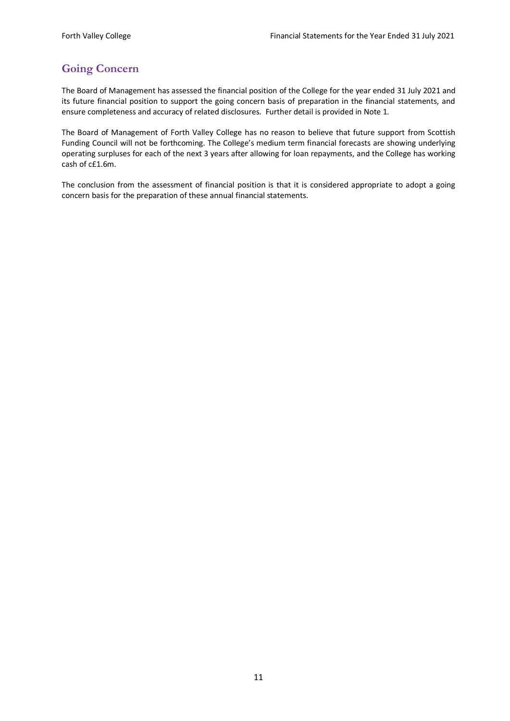# <span id="page-11-0"></span>**Going Concern**

The Board of Management has assessed the financial position of the College for the year ended 31 July 2021 and its future financial position to support the going concern basis of preparation in the financial statements, and ensure completeness and accuracy of related disclosures. Further detail is provided in Note 1.

The Board of Management of Forth Valley College has no reason to believe that future support from Scottish Funding Council will not be forthcoming. The College's medium term financial forecasts are showing underlying operating surpluses for each of the next 3 years after allowing for loan repayments, and the College has working cash of c£1.6m.

The conclusion from the assessment of financial position is that it is considered appropriate to adopt a going concern basis for the preparation of these annual financial statements.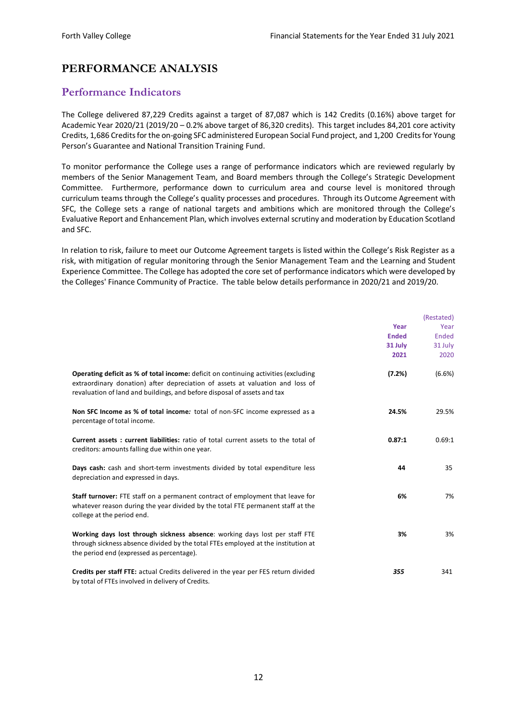# <span id="page-12-0"></span>**PERFORMANCE ANALYSIS**

## <span id="page-12-1"></span>**Performance Indicators**

The College delivered 87,229 Credits against a target of 87,087 which is 142 Credits (0.16%) above target for Academic Year 2020/21 (2019/20 – 0.2% above target of 86,320 credits). This target includes 84,201 core activity Credits, 1,686 Credits for the on-going SFC administered European Social Fund project, and 1,200 Credits for Young Person's Guarantee and National Transition Training Fund.

To monitor performance the College uses a range of performance indicators which are reviewed regularly by members of the Senior Management Team, and Board members through the College's Strategic Development Committee. Furthermore, performance down to curriculum area and course level is monitored through curriculum teams through the College's quality processes and procedures. Through its Outcome Agreement with SFC, the College sets a range of national targets and ambitions which are monitored through the College's Evaluative Report and Enhancement Plan, which involves external scrutiny and moderation by Education Scotland and SFC.

In relation to risk, failure to meet our Outcome Agreement targets is listed within the College's Risk Register as a risk, with mitigation of regular monitoring through the Senior Management Team and the Learning and Student Experience Committee. The College has adopted the core set of performance indicators which were developed by the Colleges' Finance Community of Practice. The table below details performance in 2020/21 and 2019/20.

|                                                                                                                                                                                                                                                         | Year<br><b>Ended</b><br>31 July<br>2021 | (Restated)<br>Year<br>Ended<br>31 July<br>2020 |
|---------------------------------------------------------------------------------------------------------------------------------------------------------------------------------------------------------------------------------------------------------|-----------------------------------------|------------------------------------------------|
| <b>Operating deficit as % of total income:</b> deficit on continuing activities (excluding<br>extraordinary donation) after depreciation of assets at valuation and loss of<br>revaluation of land and buildings, and before disposal of assets and tax | (7.2%)                                  | (6.6%)                                         |
| Non SFC Income as % of total income: total of non-SFC income expressed as a<br>percentage of total income.                                                                                                                                              | 24.5%                                   | 29.5%                                          |
| <b>Current assets: current liabilities:</b> ratio of total current assets to the total of<br>creditors: amounts falling due within one year.                                                                                                            | 0.87:1                                  | 0.69:1                                         |
| Days cash: cash and short-term investments divided by total expenditure less<br>depreciation and expressed in days.                                                                                                                                     | 44                                      | 35                                             |
| Staff turnover: FTE staff on a permanent contract of employment that leave for<br>whatever reason during the year divided by the total FTE permanent staff at the<br>college at the period end.                                                         | 6%                                      | 7%                                             |
| Working days lost through sickness absence: working days lost per staff FTE<br>through sickness absence divided by the total FTEs employed at the institution at<br>the period end (expressed as percentage).                                           | 3%                                      | 3%                                             |
| Credits per staff FTE: actual Credits delivered in the year per FES return divided<br>by total of FTEs involved in delivery of Credits.                                                                                                                 | 355                                     | 341                                            |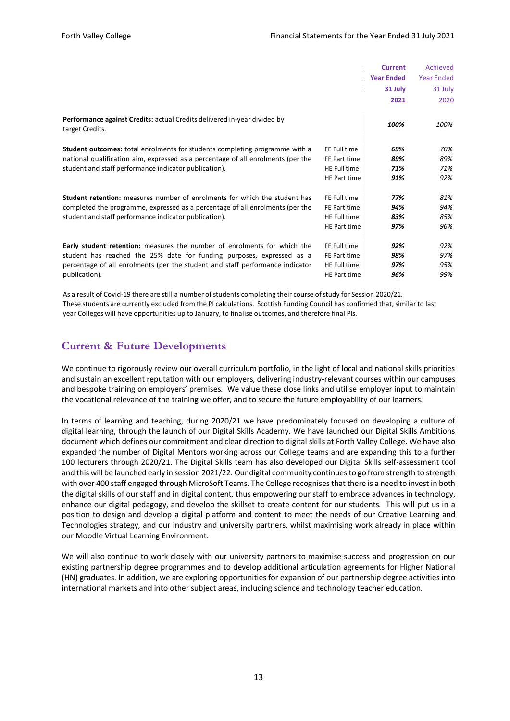|                                                                                    |                     | <b>Current</b>    | Achieved          |
|------------------------------------------------------------------------------------|---------------------|-------------------|-------------------|
|                                                                                    |                     | <b>Year Ended</b> | <b>Year Ended</b> |
|                                                                                    | V.                  | 31 July           | 31 July           |
|                                                                                    |                     | 2021              | 2020              |
|                                                                                    |                     |                   |                   |
| Performance against Credits: actual Credits delivered in-year divided by           |                     | 100%              | 100%              |
| target Credits.                                                                    |                     |                   |                   |
| <b>Student outcomes:</b> total enrolments for students completing programme with a | FE Full time        | 69%               | 70%               |
|                                                                                    |                     |                   |                   |
| national qualification aim, expressed as a percentage of all enrolments (per the   | FE Part time        | 89%               | 89%               |
| student and staff performance indicator publication).                              | <b>HE Full time</b> | 71%               | 71%               |
|                                                                                    | HE Part time        | 91%               | 92%               |
| Student retention: measures number of enrolments for which the student has         | FE Full time        | 77%               | 81%               |
|                                                                                    |                     |                   |                   |
| completed the programme, expressed as a percentage of all enrolments (per the      | FE Part time        | 94%               | 94%               |
| student and staff performance indicator publication).                              | <b>HE Full time</b> | 83%               | 85%               |
|                                                                                    | <b>HE Part time</b> | 97%               | 96%               |
|                                                                                    | FE Full time        |                   |                   |
| <b>Early student retention:</b> measures the number of enrolments for which the    |                     | 92%               | 92%               |
| student has reached the 25% date for funding purposes, expressed as a              | FE Part time        | 98%               | 97%               |
| percentage of all enrolments (per the student and staff performance indicator      | HE Full time        | 97%               | 95%               |
| publication).                                                                      | HE Part time        | 96%               | 99%               |

As a result of Covid-19 there are still a number of students completing their course of study for Session 2020/21. These students are currently excluded from the PI calculations. Scottish Funding Council has confirmed that, similar to last year Colleges will have opportunities up to January, to finalise outcomes, and therefore final PIs.

## <span id="page-13-0"></span>**Current & Future Developments**

We continue to rigorously review our overall curriculum portfolio, in the light of local and national skills priorities and sustain an excellent reputation with our employers, delivering industry-relevant courses within our campuses and bespoke training on employers' premises. We value these close links and utilise employer input to maintain the vocational relevance of the training we offer, and to secure the future employability of our learners.

In terms of learning and teaching, during 2020/21 we have predominately focused on developing a culture of digital learning, through the launch of our Digital Skills Academy. We have launched our Digital Skills Ambitions document which defines our commitment and clear direction to digital skills at Forth Valley College. We have also expanded the number of Digital Mentors working across our College teams and are expanding this to a further 100 lecturers through 2020/21. The Digital Skills team has also developed our Digital Skills self-assessment tool and this will be launched early in session 2021/22. Our digital community continues to go from strength to strength with over 400 staff engaged through MicroSoft Teams. The College recognises that there is a need to invest in both the digital skills of our staff and in digital content, thus empowering our staff to embrace advances in technology, enhance our digital pedagogy, and develop the skillset to create content for our students. This will put us in a position to design and develop a digital platform and content to meet the needs of our Creative Learning and Technologies strategy, and our industry and university partners, whilst maximising work already in place within our Moodle Virtual Learning Environment.

We will also continue to work closely with our university partners to maximise success and progression on our existing partnership degree programmes and to develop additional articulation agreements for Higher National (HN) graduates. In addition, we are exploring opportunities for expansion of our partnership degree activities into international markets and into other subject areas, including science and technology teacher education.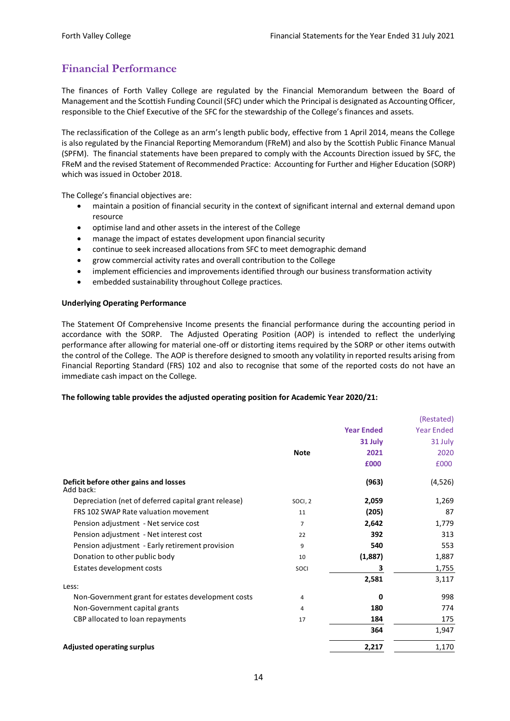# <span id="page-14-0"></span>**Financial Performance**

The finances of Forth Valley College are regulated by the Financial Memorandum between the Board of Management and the Scottish Funding Council (SFC) under which the Principal is designated as Accounting Officer, responsible to the Chief Executive of the SFC for the stewardship of the College's finances and assets.

The reclassification of the College as an arm's length public body, effective from 1 April 2014, means the College is also regulated by the Financial Reporting Memorandum (FReM) and also by the Scottish Public Finance Manual (SPFM). The financial statements have been prepared to comply with the Accounts Direction issued by SFC, the FReM and the revised Statement of Recommended Practice: Accounting for Further and Higher Education (SORP) which was issued in October 2018.

The College's financial objectives are:

- maintain a position of financial security in the context of significant internal and external demand upon resource
- optimise land and other assets in the interest of the College
- manage the impact of estates development upon financial security
- continue to seek increased allocations from SFC to meet demographic demand
- grow commercial activity rates and overall contribution to the College
- implement efficiencies and improvements identified through our business transformation activity
- embedded sustainability throughout College practices.

#### **Underlying Operating Performance**

The Statement Of Comprehensive Income presents the financial performance during the accounting period in accordance with the SORP. The Adjusted Operating Position (AOP) is intended to reflect the underlying performance after allowing for material one-off or distorting items required by the SORP or other items outwith the control of the College. The AOP is therefore designed to smooth any volatility in reported results arising from Financial Reporting Standard (FRS) 102 and also to recognise that some of the reported costs do not have an immediate cash impact on the College.

#### **The following table provides the adjusted operating position for Academic Year 2020/21:**

|                                                      |             |                   | (Restated)        |
|------------------------------------------------------|-------------|-------------------|-------------------|
|                                                      |             | <b>Year Ended</b> | <b>Year Ended</b> |
|                                                      |             | 31 July           | 31 July           |
|                                                      | <b>Note</b> | 2021              | 2020              |
|                                                      |             | £000              | £000              |
| Deficit before other gains and losses<br>Add back:   |             | (963)             | (4,526)           |
| Depreciation (net of deferred capital grant release) | SOCI, 2     | 2,059             | 1,269             |
| FRS 102 SWAP Rate valuation movement                 | 11          | (205)             | 87                |
| Pension adjustment - Net service cost                | 7           | 2,642             | 1,779             |
| Pension adjustment - Net interest cost               | 22          | 392               | 313               |
| Pension adjustment - Early retirement provision      | 9           | 540               | 553               |
| Donation to other public body                        | 10          | (1,887)           | 1,887             |
| Estates development costs                            | SOCI        | З                 | 1,755             |
| Less:                                                |             | 2,581             | 3,117             |
| Non-Government grant for estates development costs   | 4           | 0                 | 998               |
| Non-Government capital grants                        | 4           | 180               | 774               |
| CBP allocated to loan repayments                     | 17          | 184               | 175               |
|                                                      |             | 364               | 1,947             |
| <b>Adjusted operating surplus</b>                    |             | 2,217             | 1,170             |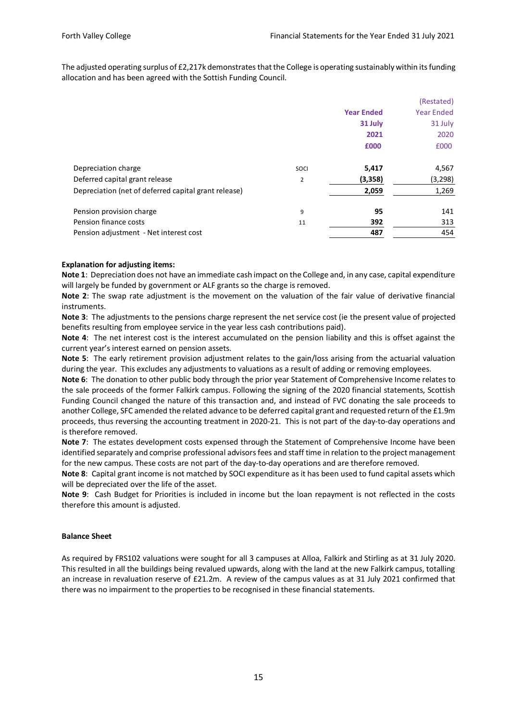The adjusted operating surplus of £2,217k demonstrates that the College is operating sustainably within its funding allocation and has been agreed with the Sottish Funding Council.

|                                                      |      |                   | (Restated)        |
|------------------------------------------------------|------|-------------------|-------------------|
|                                                      |      | <b>Year Ended</b> | <b>Year Ended</b> |
|                                                      |      | 31 July           | 31 July           |
|                                                      |      | 2021              | 2020              |
|                                                      |      | £000              | £000              |
| Depreciation charge                                  | SOCI | 5,417             | 4,567             |
| Deferred capital grant release                       | 2    | (3,358)           | (3, 298)          |
| Depreciation (net of deferred capital grant release) |      | 2,059             | 1,269             |
| Pension provision charge                             | 9    | 95                | 141               |
| Pension finance costs                                | 11   | 392               | 313               |
| Pension adjustment - Net interest cost               |      | 487               | 454               |
|                                                      |      |                   |                   |

#### **Explanation for adjusting items:**

**Note 1**: Depreciation does not have an immediate cash impact on the College and, in any case, capital expenditure will largely be funded by government or ALF grants so the charge is removed.

**Note 2**: The swap rate adjustment is the movement on the valuation of the fair value of derivative financial instruments.

**Note 3**: The adjustments to the pensions charge represent the net service cost (ie the present value of projected benefits resulting from employee service in the year less cash contributions paid).

**Note 4**: The net interest cost is the interest accumulated on the pension liability and this is offset against the current year's interest earned on pension assets.

**Note 5**: The early retirement provision adjustment relates to the gain/loss arising from the actuarial valuation during the year. This excludes any adjustments to valuations as a result of adding or removing employees.

**Note 6**: The donation to other public body through the prior year Statement of Comprehensive Income relates to the sale proceeds of the former Falkirk campus. Following the signing of the 2020 financial statements, Scottish Funding Council changed the nature of this transaction and, and instead of FVC donating the sale proceeds to another College, SFC amended the related advance to be deferred capital grant and requested return of the £1.9m proceeds, thus reversing the accounting treatment in 2020-21. This is not part of the day-to-day operations and is therefore removed.

**Note 7:** The estates development costs expensed through the Statement of Comprehensive Income have been identified separately and comprise professional advisors fees and staff time in relation to the project management for the new campus. These costs are not part of the day-to-day operations and are therefore removed.

**Note 8**: Capital grant income is not matched by SOCI expenditure as it has been used to fund capital assets which will be depreciated over the life of the asset.

**Note 9**: Cash Budget for Priorities is included in income but the loan repayment is not reflected in the costs therefore this amount is adjusted.

#### **Balance Sheet**

As required by FRS102 valuations were sought for all 3 campuses at Alloa, Falkirk and Stirling as at 31 July 2020. This resulted in all the buildings being revalued upwards, along with the land at the new Falkirk campus, totalling an increase in revaluation reserve of £21.2m. A review of the campus values as at 31 July 2021 confirmed that there was no impairment to the properties to be recognised in these financial statements.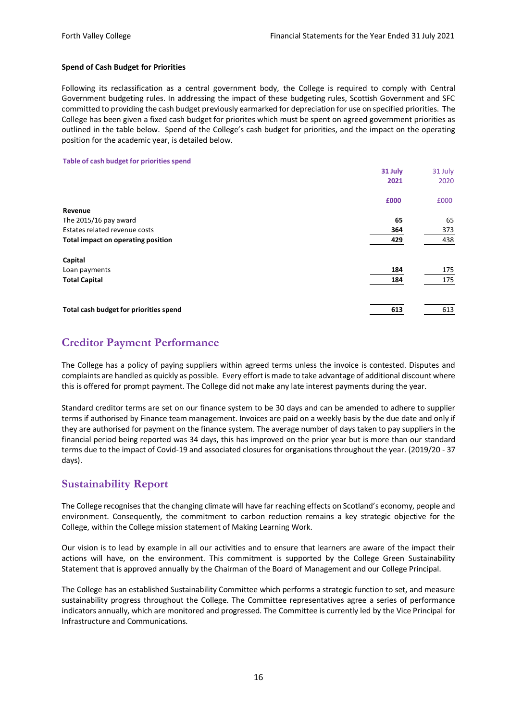#### **Spend of Cash Budget for Priorities**

Following its reclassification as a central government body, the College is required to comply with Central Government budgeting rules. In addressing the impact of these budgeting rules, Scottish Government and SFC committed to providing the cash budget previously earmarked for depreciation for use on specified priorities. The College has been given a fixed cash budget for priorites which must be spent on agreed government priorities as outlined in the table below. Spend of the College's cash budget for priorities, and the impact on the operating position for the academic year, is detailed below.

#### **Table of cash budget for priorities spend**

|                                        | 31 July | 31 July |
|----------------------------------------|---------|---------|
|                                        | 2021    | 2020    |
|                                        | £000    | £000    |
| Revenue                                |         |         |
| The 2015/16 pay award                  | 65      | 65      |
| Estates related revenue costs          | 364     | 373     |
| Total impact on operating position     | 429     | 438     |
| Capital                                |         |         |
| Loan payments                          | 184     | 175     |
| <b>Total Capital</b>                   | 184     | 175     |
|                                        |         |         |
| Total cash budget for priorities spend | 613     | 613     |

# <span id="page-16-0"></span>**Creditor Payment Performance**

The College has a policy of paying suppliers within agreed terms unless the invoice is contested. Disputes and complaints are handled as quickly as possible. Every effort is made to take advantage of additional discount where this is offered for prompt payment. The College did not make any late interest payments during the year.

Standard creditor terms are set on our finance system to be 30 days and can be amended to adhere to supplier terms if authorised by Finance team management. Invoices are paid on a weekly basis by the due date and only if they are authorised for payment on the finance system. The average number of days taken to pay suppliers in the financial period being reported was 34 days, this has improved on the prior year but is more than our standard terms due to the impact of Covid-19 and associated closures for organisations throughout the year. (2019/20 - 37 days).

## <span id="page-16-1"></span>**Sustainability Report**

The College recognises that the changing climate will have far reaching effects on Scotland's economy, people and environment. Consequently, the commitment to carbon reduction remains a key strategic objective for the College, within the College mission statement of Making Learning Work.

Our vision is to lead by example in all our activities and to ensure that learners are aware of the impact their actions will have, on the environment. This commitment is supported by the College Green Sustainability Statement that is approved annually by the Chairman of the Board of Management and our College Principal.

The College has an established Sustainability Committee which performs a strategic function to set, and measure sustainability progress throughout the College. The Committee representatives agree a series of performance indicators annually, which are monitored and progressed. The Committee is currently led by the Vice Principal for Infrastructure and Communications.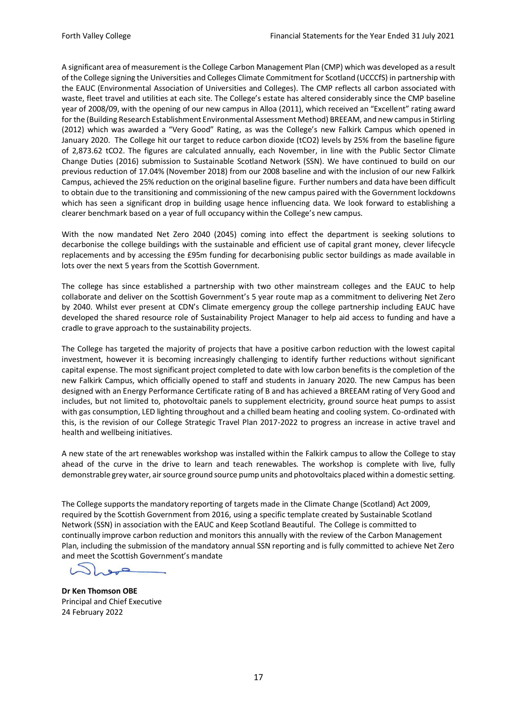A significant area of measurement is the College Carbon Management Plan (CMP) which was developed as a result of the College signing the Universities and Colleges Climate Commitment for Scotland (UCCCfS) in partnership with the EAUC (Environmental Association of Universities and Colleges). The CMP reflects all carbon associated with waste, fleet travel and utilities at each site. The College's estate has altered considerably since the CMP baseline year of 2008/09, with the opening of our new campus in Alloa (2011), which received an "Excellent" rating award for the (Building Research Establishment Environmental Assessment Method) BREEAM, and new campus in Stirling (2012) which was awarded a "Very Good" Rating, as was the College's new Falkirk Campus which opened in January 2020. The College hit our target to reduce carbon dioxide (tCO2) levels by 25% from the baseline figure of 2,873.62 tCO2. The figures are calculated annually, each November, in line with the Public Sector Climate Change Duties (2016) submission to Sustainable Scotland Network (SSN). We have continued to build on our previous reduction of 17.04% (November 2018) from our 2008 baseline and with the inclusion of our new Falkirk Campus, achieved the 25% reduction on the original baseline figure. Further numbers and data have been difficult to obtain due to the transitioning and commissioning of the new campus paired with the Government lockdowns which has seen a significant drop in building usage hence influencing data. We look forward to establishing a clearer benchmark based on a year of full occupancy within the College's new campus.

With the now mandated Net Zero 2040 (2045) coming into effect the department is seeking solutions to decarbonise the college buildings with the sustainable and efficient use of capital grant money, clever lifecycle replacements and by accessing the £95m funding for decarbonising public sector buildings as made available in lots over the next 5 years from the Scottish Government.

The college has since established a partnership with two other mainstream colleges and the EAUC to help collaborate and deliver on the Scottish Government's 5 year route map as a commitment to delivering Net Zero by 2040. Whilst ever present at CDN's Climate emergency group the college partnership including EAUC have developed the shared resource role of Sustainability Project Manager to help aid access to funding and have a cradle to grave approach to the sustainability projects.

The College has targeted the majority of projects that have a positive carbon reduction with the lowest capital investment, however it is becoming increasingly challenging to identify further reductions without significant capital expense. The most significant project completed to date with low carbon benefits is the completion of the new Falkirk Campus, which officially opened to staff and students in January 2020. The new Campus has been designed with an Energy Performance Certificate rating of B and has achieved a BREEAM rating of Very Good and includes, but not limited to, photovoltaic panels to supplement electricity, ground source heat pumps to assist with gas consumption, LED lighting throughout and a chilled beam heating and cooling system. Co-ordinated with this, is the revision of our College Strategic Travel Plan 2017-2022 to progress an increase in active travel and health and wellbeing initiatives.

A new state of the art renewables workshop was installed within the Falkirk campus to allow the College to stay ahead of the curve in the drive to learn and teach renewables. The workshop is complete with live, fully demonstrable grey water, air source ground source pump units and photovoltaics placed within a domestic setting.

The College supports the mandatory reporting of targets made in the Climate Change (Scotland) Act 2009, required by the Scottish Government from 2016, using a specific template created by Sustainable Scotland Network (SSN) in association with the EAUC and Keep Scotland Beautiful. The College is committed to continually improve carbon reduction and monitors this annually with the review of the Carbon Management Plan, including the submission of the mandatory annual SSN reporting and is fully committed to achieve Net Zero and meet the Scottish Government's mandate

 $\sim$ 

**Dr Ken Thomson OBE** Principal and Chief Executive 24 February 2022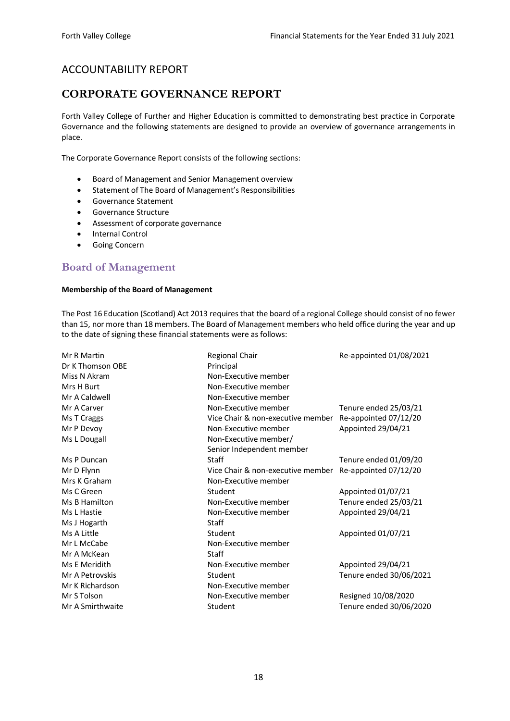# ACCOUNTABILITY REPORT

# <span id="page-18-0"></span>**CORPORATE GOVERNANCE REPORT**

Forth Valley College of Further and Higher Education is committed to demonstrating best practice in Corporate Governance and the following statements are designed to provide an overview of governance arrangements in place.

The Corporate Governance Report consists of the following sections:

- Board of Management and Senior Management overview
- Statement of The Board of Management's Responsibilities
- Governance Statement
- Governance Structure
- Assessment of corporate governance
- Internal Control
- Going Concern

## <span id="page-18-1"></span>**Board of Management**

#### **Membership of the Board of Management**

The Post 16 Education (Scotland) Act 2013 requires that the board of a regional College should consist of no fewer than 15, nor more than 18 members. The Board of Management members who held office during the year and up to the date of signing these financial statements were as follows:

| Mr R Martin      | <b>Regional Chair</b>             | Re-appointed 01/08/2021 |
|------------------|-----------------------------------|-------------------------|
| Dr K Thomson OBE | Principal                         |                         |
| Miss N Akram     | Non-Executive member              |                         |
| Mrs H Burt       | Non-Executive member              |                         |
| Mr A Caldwell    | Non-Executive member              |                         |
| Mr A Carver      | Non-Executive member              | Tenure ended 25/03/21   |
| Ms T Craggs      | Vice Chair & non-executive member | Re-appointed 07/12/20   |
| Mr P Devoy       | Non-Executive member              | Appointed 29/04/21      |
| Ms L Dougall     | Non-Executive member/             |                         |
|                  | Senior Independent member         |                         |
| Ms P Duncan      | Staff                             | Tenure ended 01/09/20   |
| Mr D Flynn       | Vice Chair & non-executive member | Re-appointed 07/12/20   |
| Mrs K Graham     | Non-Executive member              |                         |
| Ms C Green       | Student                           | Appointed 01/07/21      |
| Ms B Hamilton    | Non-Executive member              | Tenure ended 25/03/21   |
| Ms L Hastie      | Non-Executive member              | Appointed 29/04/21      |
| Ms J Hogarth     | <b>Staff</b>                      |                         |
| Ms A Little      | Student                           | Appointed 01/07/21      |
| Mr L McCabe      | Non-Executive member              |                         |
| Mr A McKean      | Staff                             |                         |
| Ms E Meridith    | Non-Executive member              | Appointed 29/04/21      |
| Mr A Petrovskis  | Student                           | Tenure ended 30/06/2021 |
| Mr K Richardson  | Non-Executive member              |                         |
| Mr S Tolson      | Non-Executive member              | Resigned 10/08/2020     |
| Mr A Smirthwaite | Student                           | Tenure ended 30/06/2020 |
|                  |                                   |                         |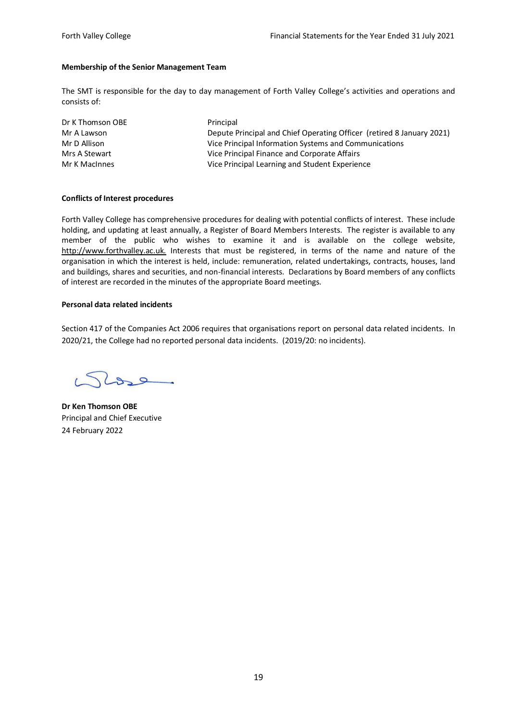#### **Membership of the Senior Management Team**

The SMT is responsible for the day to day management of Forth Valley College's activities and operations and consists of:

| Dr K Thomson OBE | Principal                                                             |
|------------------|-----------------------------------------------------------------------|
| Mr A Lawson      | Depute Principal and Chief Operating Officer (retired 8 January 2021) |
| Mr D Allison     | Vice Principal Information Systems and Communications                 |
| Mrs A Stewart    | Vice Principal Finance and Corporate Affairs                          |
| Mr K MacInnes    | Vice Principal Learning and Student Experience                        |

#### **Conflicts of Interest procedures**

Forth Valley College has comprehensive procedures for dealing with potential conflicts of interest. These include holding, and updating at least annually, a Register of Board Members Interests. The register is available to any member of the public who wishes to examine it and is available on the college website, http://www.forthvalley.ac.uk. Interests that must be registered, in terms of the name and nature of the organisation in which the interest is held, include: remuneration, related undertakings, contracts, houses, land and buildings, shares and securities, and non-financial interests. Declarations by Board members of any conflicts of interest are recorded in the minutes of the appropriate Board meetings.

#### **Personal data related incidents**

Section 417 of the Companies Act 2006 requires that organisations report on personal data related incidents. In 2020/21, the College had no reported personal data incidents. (2019/20: no incidents).

 $26$ 

**Dr Ken Thomson OBE** Principal and Chief Executive 24 February 2022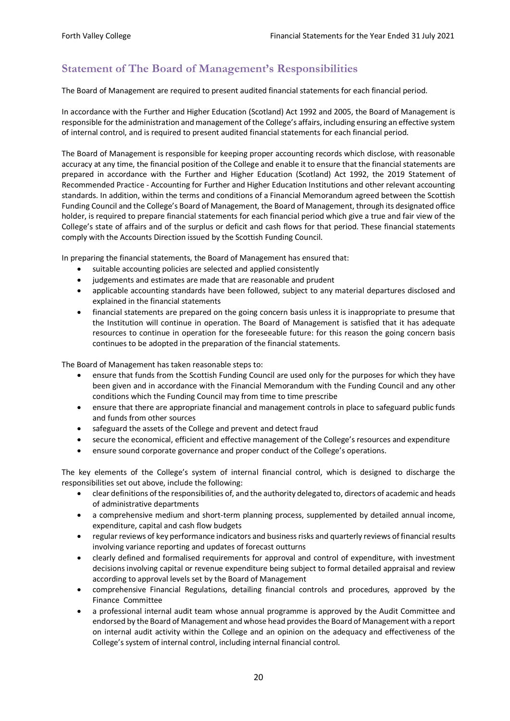# <span id="page-20-0"></span>**Statement of The Board of Management's Responsibilities**

The Board of Management are required to present audited financial statements for each financial period.

In accordance with the Further and Higher Education (Scotland) Act 1992 and 2005, the Board of Management is responsible for the administration and management of the College's affairs, including ensuring an effective system of internal control, and is required to present audited financial statements for each financial period.

The Board of Management is responsible for keeping proper accounting records which disclose, with reasonable accuracy at any time, the financial position of the College and enable it to ensure that the financial statements are prepared in accordance with the Further and Higher Education (Scotland) Act 1992, the 2019 Statement of Recommended Practice - Accounting for Further and Higher Education Institutions and other relevant accounting standards. In addition, within the terms and conditions of a Financial Memorandum agreed between the Scottish Funding Council and the College's Board of Management, the Board of Management, through its designated office holder, is required to prepare financial statements for each financial period which give a true and fair view of the College's state of affairs and of the surplus or deficit and cash flows for that period. These financial statements comply with the Accounts Direction issued by the Scottish Funding Council.

In preparing the financial statements, the Board of Management has ensured that:

- suitable accounting policies are selected and applied consistently
- judgements and estimates are made that are reasonable and prudent
- applicable accounting standards have been followed, subject to any material departures disclosed and explained in the financial statements
- financial statements are prepared on the going concern basis unless it is inappropriate to presume that the Institution will continue in operation. The Board of Management is satisfied that it has adequate resources to continue in operation for the foreseeable future: for this reason the going concern basis continues to be adopted in the preparation of the financial statements.

The Board of Management has taken reasonable steps to:

- ensure that funds from the Scottish Funding Council are used only for the purposes for which they have been given and in accordance with the Financial Memorandum with the Funding Council and any other conditions which the Funding Council may from time to time prescribe
- ensure that there are appropriate financial and management controls in place to safeguard public funds and funds from other sources
- safeguard the assets of the College and prevent and detect fraud
- secure the economical, efficient and effective management of the College's resources and expenditure
- ensure sound corporate governance and proper conduct of the College's operations.

The key elements of the College's system of internal financial control, which is designed to discharge the responsibilities set out above, include the following:

- clear definitions of the responsibilities of, and the authority delegated to, directors of academic and heads of administrative departments
- a comprehensive medium and short-term planning process, supplemented by detailed annual income, expenditure, capital and cash flow budgets
- regular reviews of key performance indicators and business risks and quarterly reviews of financial results involving variance reporting and updates of forecast outturns
- clearly defined and formalised requirements for approval and control of expenditure, with investment decisions involving capital or revenue expenditure being subject to formal detailed appraisal and review according to approval levels set by the Board of Management
- comprehensive Financial Regulations, detailing financial controls and procedures, approved by the Finance Committee
- a professional internal audit team whose annual programme is approved by the Audit Committee and endorsed by the Board of Management and whose head provides the Board of Management with a report on internal audit activity within the College and an opinion on the adequacy and effectiveness of the College's system of internal control, including internal financial control.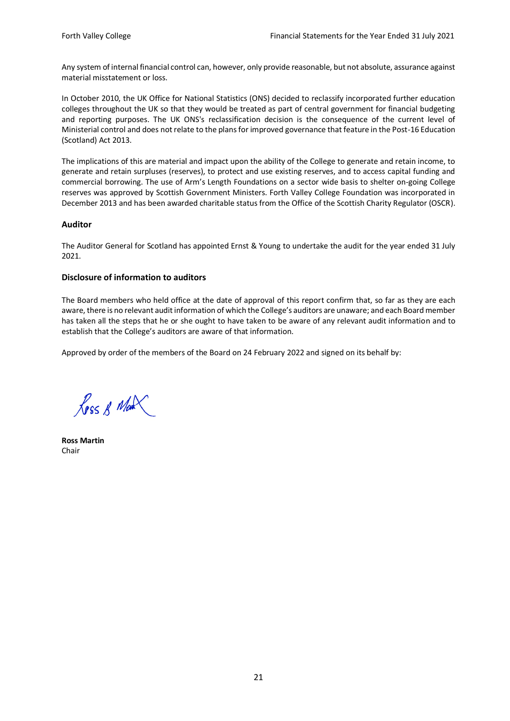Any system of internal financial control can, however, only provide reasonable, but not absolute, assurance against material misstatement or loss.

In October 2010, the UK Office for National Statistics (ONS) decided to reclassify incorporated further education colleges throughout the UK so that they would be treated as part of central government for financial budgeting and reporting purposes. The UK ONS's reclassification decision is the consequence of the current level of Ministerial control and does not relate to the plans for improved governance that feature in the Post-16 Education (Scotland) Act 2013.

The implications of this are material and impact upon the ability of the College to generate and retain income, to generate and retain surpluses (reserves), to protect and use existing reserves, and to access capital funding and commercial borrowing. The use of Arm's Length Foundations on a sector wide basis to shelter on-going College reserves was approved by Scottish Government Ministers. Forth Valley College Foundation was incorporated in December 2013 and has been awarded charitable status from the Office of the Scottish Charity Regulator (OSCR).

#### **Auditor**

The Auditor General for Scotland has appointed Ernst & Young to undertake the audit for the year ended 31 July 2021.

### **Disclosure of information to auditors**

The Board members who held office at the date of approval of this report confirm that, so far as they are each aware, there is no relevant audit information of which the College's auditors are unaware; and each Board member has taken all the steps that he or she ought to have taken to be aware of any relevant audit information and to establish that the College's auditors are aware of that information.

Approved by order of the members of the Board on 24 February 2022 and signed on its behalf by:

Ross R Man

**Ross Martin** Chair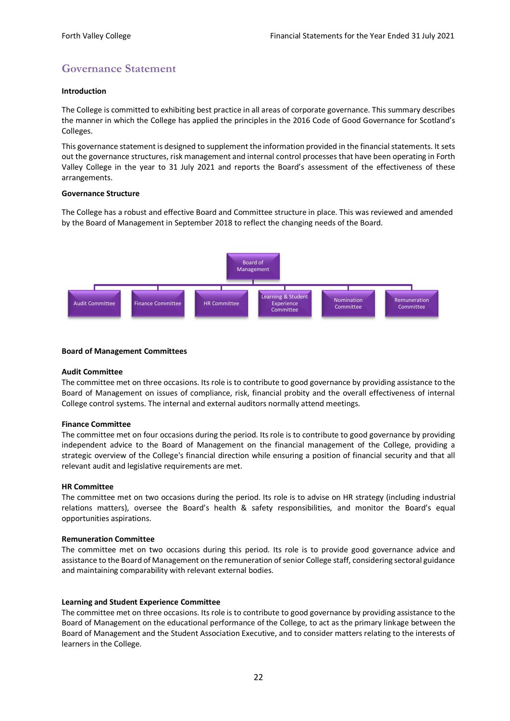# <span id="page-22-0"></span>**Governance Statement**

#### **Introduction**

The College is committed to exhibiting best practice in all areas of corporate governance. This summary describes the manner in which the College has applied the principles in the 2016 Code of Good Governance for Scotland's Colleges.

This governance statement is designed to supplement the information provided in the financial statements. It sets out the governance structures, risk management and internal control processes that have been operating in Forth Valley College in the year to 31 July 2021 and reports the Board's assessment of the effectiveness of these arrangements.

#### **Governance Structure**

The College has a robust and effective Board and Committee structure in place. This was reviewed and amended by the Board of Management in September 2018 to reflect the changing needs of the Board.



#### **Board of Management Committees**

#### **Audit Committee**

The committee met on three occasions. Its role is to contribute to good governance by providing assistance to the Board of Management on issues of compliance, risk, financial probity and the overall effectiveness of internal College control systems. The internal and external auditors normally attend meetings.

#### **Finance Committee**

The committee met on four occasions during the period. Its role is to contribute to good governance by providing independent advice to the Board of Management on the financial management of the College, providing a strategic overview of the College's financial direction while ensuring a position of financial security and that all relevant audit and legislative requirements are met.

#### **HR Committee**

The committee met on two occasions during the period. Its role is to advise on HR strategy (including industrial relations matters), oversee the Board's health & safety responsibilities, and monitor the Board's equal opportunities aspirations.

#### **Remuneration Committee**

The committee met on two occasions during this period. Its role is to provide good governance advice and assistance to the Board of Management on the remuneration of senior College staff, considering sectoral guidance and maintaining comparability with relevant external bodies.

#### **Learning and Student Experience Committee**

The committee met on three occasions. Its role is to contribute to good governance by providing assistance to the Board of Management on the educational performance of the College, to act as the primary linkage between the Board of Management and the Student Association Executive, and to consider matters relating to the interests of learners in the College.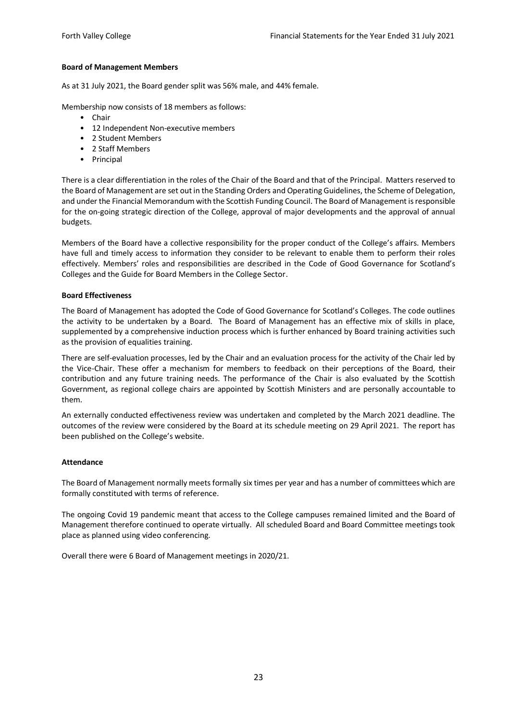## **Board of Management Members**

As at 31 July 2021, the Board gender split was 56% male, and 44% female.

Membership now consists of 18 members as follows:

- Chair
- 12 Independent Non-executive members
- 2 Student Members
- 2 Staff Members
- Principal

There is a clear differentiation in the roles of the Chair of the Board and that of the Principal. Matters reserved to the Board of Management are set out in the Standing Orders and Operating Guidelines, the Scheme of Delegation, and under the Financial Memorandum with the Scottish Funding Council. The Board of Management is responsible for the on-going strategic direction of the College, approval of major developments and the approval of annual budgets.

Members of the Board have a collective responsibility for the proper conduct of the College's affairs. Members have full and timely access to information they consider to be relevant to enable them to perform their roles effectively. Members' roles and responsibilities are described in the Code of Good Governance for Scotland's Colleges and the Guide for Board Members in the College Sector.

#### **Board Effectiveness**

The Board of Management has adopted the Code of Good Governance for Scotland's Colleges. The code outlines the activity to be undertaken by a Board. The Board of Management has an effective mix of skills in place, supplemented by a comprehensive induction process which is further enhanced by Board training activities such as the provision of equalities training.

There are self-evaluation processes, led by the Chair and an evaluation process for the activity of the Chair led by the Vice-Chair. These offer a mechanism for members to feedback on their perceptions of the Board, their contribution and any future training needs. The performance of the Chair is also evaluated by the Scottish Government, as regional college chairs are appointed by Scottish Ministers and are personally accountable to them.

An externally conducted effectiveness review was undertaken and completed by the March 2021 deadline. The outcomes of the review were considered by the Board at its schedule meeting on 29 April 2021. The report has been published on the College's website.

#### **Attendance**

The Board of Management normally meets formally six times per year and has a number of committees which are formally constituted with terms of reference.

The ongoing Covid 19 pandemic meant that access to the College campuses remained limited and the Board of Management therefore continued to operate virtually. All scheduled Board and Board Committee meetings took place as planned using video conferencing.

Overall there were 6 Board of Management meetings in 2020/21.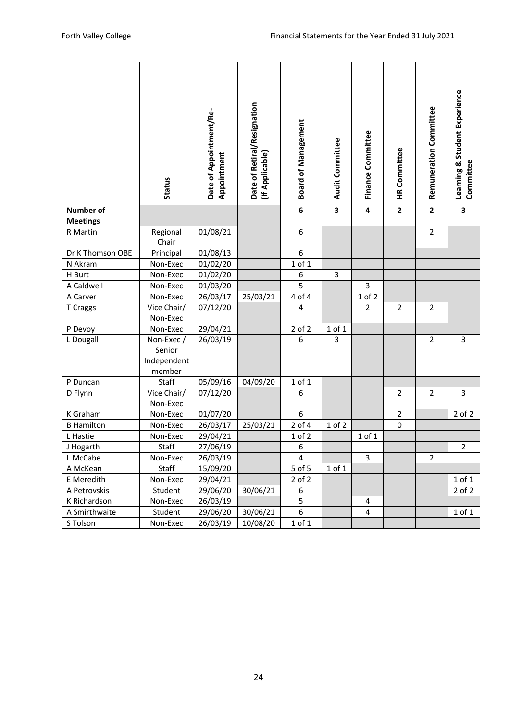|                              | <b>Status</b>                                 | Date of Appointment/Re-<br>Appointment | Date of Retiral/Resignation<br>(If Applicable) | <b>Board of Management</b> | <b>Audit Committee</b>  | Finance Committee       | <b>HR Committee</b>     | Remuneration Committee  | Learning & Student Experience<br>Committee |
|------------------------------|-----------------------------------------------|----------------------------------------|------------------------------------------------|----------------------------|-------------------------|-------------------------|-------------------------|-------------------------|--------------------------------------------|
| Number of<br><b>Meetings</b> |                                               |                                        |                                                | 6                          | $\overline{\mathbf{3}}$ | $\overline{\mathbf{4}}$ | $\overline{\mathbf{2}}$ | $\overline{\mathbf{2}}$ | $\overline{\mathbf{3}}$                    |
| R Martin                     | Regional<br>Chair                             | 01/08/21                               |                                                | 6                          |                         |                         |                         | $\mathbf 2$             |                                            |
| Dr K Thomson OBE             | Principal                                     | 01/08/13                               |                                                | 6                          |                         |                         |                         |                         |                                            |
| N Akram                      | Non-Exec                                      | 01/02/20                               |                                                | $1$ of $1$                 |                         |                         |                         |                         |                                            |
| H Burt                       | Non-Exec                                      | 01/02/20                               |                                                | 6                          | $\mathsf{3}$            |                         |                         |                         |                                            |
| A Caldwell                   | Non-Exec                                      | 01/03/20                               |                                                | 5                          |                         | 3                       |                         |                         |                                            |
| A Carver                     | Non-Exec                                      | 26/03/17                               | 25/03/21                                       | 4 of 4                     |                         | 1 of 2                  |                         |                         |                                            |
| T Craggs                     | Vice Chair/<br>Non-Exec                       | 07/12/20                               |                                                | 4                          |                         | $\overline{2}$          | $\overline{2}$          | $\overline{2}$          |                                            |
| P Devoy                      | Non-Exec                                      | 29/04/21                               |                                                | $2$ of $2$                 | 1 of 1                  |                         |                         |                         |                                            |
| L Dougall                    | Non-Exec /<br>Senior<br>Independent<br>member | 26/03/19                               |                                                | 6                          | 3                       |                         |                         | $\overline{2}$          | 3                                          |
| P Duncan                     | Staff                                         | 05/09/16                               | 04/09/20                                       | 1 of 1                     |                         |                         |                         |                         |                                            |
| D Flynn                      | Vice Chair/<br>Non-Exec                       | 07/12/20                               |                                                | 6                          |                         |                         | $\overline{2}$          | $\mathbf 2$             | 3                                          |
| K Graham                     | Non-Exec                                      | 01/07/20                               |                                                | 6                          |                         |                         | $\overline{2}$          |                         | $2$ of $2$                                 |
| <b>B Hamilton</b>            | Non-Exec                                      | 26/03/17                               | 25/03/21                                       | 2 of 4                     | $1$ of $2$              |                         | $\pmb{0}$               |                         |                                            |
| L Hastie                     | Non-Exec                                      | 29/04/21                               |                                                | 1 of 2                     |                         | 1 of 1                  |                         |                         |                                            |
| J Hogarth                    | Staff                                         | 27/06/19                               |                                                | 6                          |                         |                         |                         |                         | $\overline{L}$                             |
| L McCabe                     | Non-Exec                                      | 26/03/19                               |                                                | $\overline{\mathbf{4}}$    |                         | 3                       |                         | $\overline{2}$          |                                            |
| A McKean                     | Staff                                         | 15/09/20                               |                                                | 5 of 5                     | $1$ of $1$              |                         |                         |                         |                                            |
| E Meredith                   | Non-Exec                                      | 29/04/21                               |                                                | $2$ of $2$                 |                         |                         |                         |                         | 1 of 1                                     |
| A Petrovskis                 | Student                                       | 29/06/20                               | 30/06/21                                       | 6                          |                         |                         |                         |                         | $2$ of $2$                                 |
| K Richardson                 | Non-Exec                                      | 26/03/19                               |                                                | 5                          |                         | 4                       |                         |                         |                                            |
| A Smirthwaite                | Student                                       | 29/06/20                               | 30/06/21                                       | 6                          |                         | 4                       |                         |                         | $1$ of $1$                                 |
| S Tolson                     | Non-Exec                                      | 26/03/19                               | 10/08/20                                       | 1 of 1                     |                         |                         |                         |                         |                                            |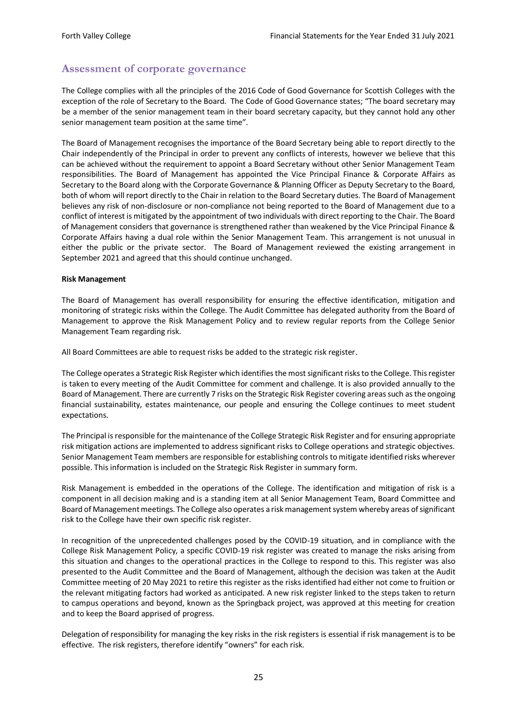# <span id="page-25-0"></span>**Assessment of corporate governance**

The College complies with all the principles of the 2016 Code of Good Governance for Scottish Colleges with the exception of the role of Secretary to the Board. The Code of Good Governance states; "The board secretary may be a member of the senior management team in their board secretary capacity, but they cannot hold any other senior management team position at the same time".

The Board of Management recognises the importance of the Board Secretary being able to report directly to the Chair independently of the Principal in order to prevent any conflicts of interests, however we believe that this can be achieved without the requirement to appoint a Board Secretary without other Senior Management Team responsibilities. The Board of Management has appointed the Vice Principal Finance & Corporate Affairs as Secretary to the Board along with the Corporate Governance & Planning Officer as Deputy Secretary to the Board, both of whom will report directly to the Chair in relation to the Board Secretary duties. The Board of Management believes any risk of non-disclosure or non-compliance not being reported to the Board of Management due to a conflict of interest is mitigated by the appointment of two individuals with direct reporting to the Chair. The Board of Management considers that governance is strengthened rather than weakened by the Vice Principal Finance & Corporate Affairs having a dual role within the Senior Management Team. This arrangement is not unusual in either the public or the private sector. The Board of Management reviewed the existing arrangement in September 2021 and agreed that this should continue unchanged.

#### **Risk Management**

The Board of Management has overall responsibility for ensuring the effective identification, mitigation and monitoring of strategic risks within the College. The Audit Committee has delegated authority from the Board of Management to approve the Risk Management Policy and to review regular reports from the College Senior Management Team regarding risk.

All Board Committees are able to request risks be added to the strategic risk register.

The College operates a Strategic Risk Register which identifies the most significant risks to the College. This register is taken to every meeting of the Audit Committee for comment and challenge. It is also provided annually to the Board of Management. There are currently 7 risks on the Strategic Risk Register covering areas such as the ongoing financial sustainability, estates maintenance, our people and ensuring the College continues to meet student expectations.

The Principal is responsible for the maintenance of the College Strategic Risk Register and for ensuring appropriate risk mitigation actions are implemented to address significant risks to College operations and strategic objectives. Senior Management Team members are responsible for establishing controls to mitigate identified risks wherever possible. This information is included on the Strategic Risk Register in summary form.

Risk Management is embedded in the operations of the College. The identification and mitigation of risk is a component in all decision making and is a standing item at all Senior Management Team, Board Committee and Board of Management meetings. The College also operates a risk management system whereby areas of significant risk to the College have their own specific risk register.

In recognition of the unprecedented challenges posed by the COVID-19 situation, and in compliance with the College Risk Management Policy, a specific COVID-19 risk register was created to manage the risks arising from this situation and changes to the operational practices in the College to respond to this. This register was also presented to the Audit Committee and the Board of Management, although the decision was taken at the Audit Committee meeting of 20 May 2021 to retire this register as the risks identified had either not come to fruition or the relevant mitigating factors had worked as anticipated. A new risk register linked to the steps taken to return to campus operations and beyond, known as the Springback project, was approved at this meeting for creation and to keep the Board apprised of progress.

Delegation of responsibility for managing the key risks in the risk registers is essential if risk management is to be effective. The risk registers, therefore identify "owners" for each risk.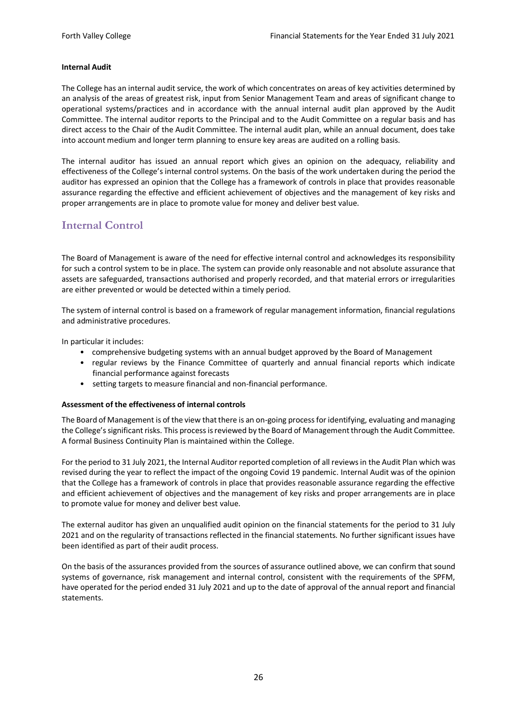#### **Internal Audit**

The College has an internal audit service, the work of which concentrates on areas of key activities determined by an analysis of the areas of greatest risk, input from Senior Management Team and areas of significant change to operational systems/practices and in accordance with the annual internal audit plan approved by the Audit Committee. The internal auditor reports to the Principal and to the Audit Committee on a regular basis and has direct access to the Chair of the Audit Committee. The internal audit plan, while an annual document, does take into account medium and longer term planning to ensure key areas are audited on a rolling basis.

The internal auditor has issued an annual report which gives an opinion on the adequacy, reliability and effectiveness of the College's internal control systems. On the basis of the work undertaken during the period the auditor has expressed an opinion that the College has a framework of controls in place that provides reasonable assurance regarding the effective and efficient achievement of objectives and the management of key risks and proper arrangements are in place to promote value for money and deliver best value.

## <span id="page-26-0"></span>**Internal Control**

The Board of Management is aware of the need for effective internal control and acknowledges its responsibility for such a control system to be in place. The system can provide only reasonable and not absolute assurance that assets are safeguarded, transactions authorised and properly recorded, and that material errors or irregularities are either prevented or would be detected within a timely period.

The system of internal control is based on a framework of regular management information, financial regulations and administrative procedures.

In particular it includes:

- comprehensive budgeting systems with an annual budget approved by the Board of Management
- regular reviews by the Finance Committee of quarterly and annual financial reports which indicate financial performance against forecasts
- setting targets to measure financial and non-financial performance.

#### **Assessment of the effectiveness of internal controls**

The Board of Management is of the view that there is an on-going process for identifying, evaluating and managing the College's significant risks. This process is reviewed by the Board of Management through the Audit Committee. A formal Business Continuity Plan is maintained within the College.

For the period to 31 July 2021, the Internal Auditor reported completion of all reviews in the Audit Plan which was revised during the year to reflect the impact of the ongoing Covid 19 pandemic. Internal Audit was of the opinion that the College has a framework of controls in place that provides reasonable assurance regarding the effective and efficient achievement of objectives and the management of key risks and proper arrangements are in place to promote value for money and deliver best value.

The external auditor has given an unqualified audit opinion on the financial statements for the period to 31 July 2021 and on the regularity of transactions reflected in the financial statements. No further significant issues have been identified as part of their audit process.

On the basis of the assurances provided from the sources of assurance outlined above, we can confirm that sound systems of governance, risk management and internal control, consistent with the requirements of the SPFM, have operated for the period ended 31 July 2021 and up to the date of approval of the annual report and financial statements.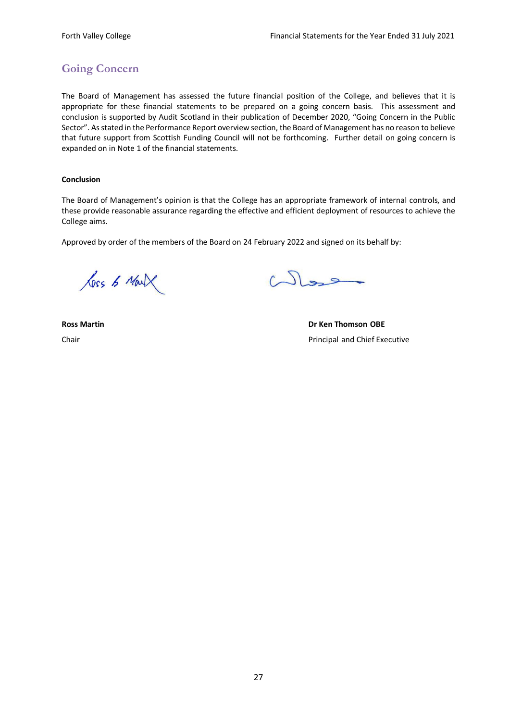# <span id="page-27-0"></span>**Going Concern**

The Board of Management has assessed the future financial position of the College, and believes that it is appropriate for these financial statements to be prepared on a going concern basis. This assessment and conclusion is supported by Audit Scotland in their publication of December 2020, "Going Concern in the Public Sector". As stated in the Performance Report overview section, the Board of Management has no reason to believe that future support from Scottish Funding Council will not be forthcoming. Further detail on going concern is expanded on in Note 1 of the financial statements.

## **Conclusion**

The Board of Management's opinion is that the College has an appropriate framework of internal controls, and these provide reasonable assurance regarding the effective and efficient deployment of resources to achieve the College aims.

Approved by order of the members of the Board on 24 February 2022 and signed on its behalf by:

Loss & Mark

West

**Ross Martin Dr Ken Thomson OBE** Chair Principal and Chief Executive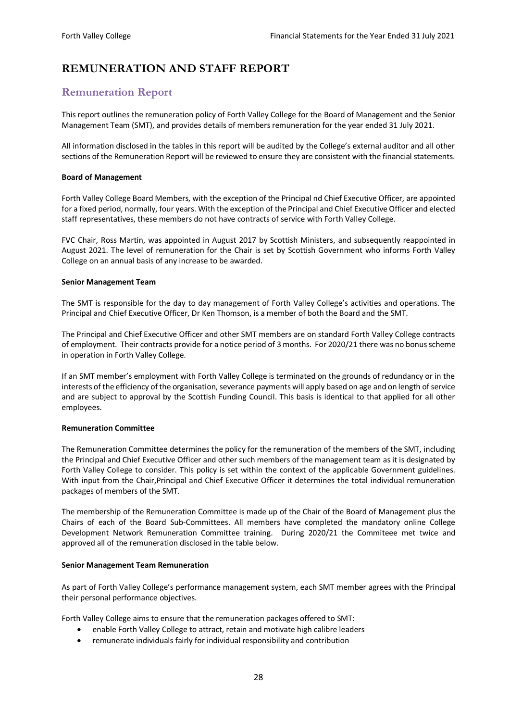# <span id="page-28-0"></span>**REMUNERATION AND STAFF REPORT**

# <span id="page-28-1"></span>**Remuneration Report**

This report outlines the remuneration policy of Forth Valley College for the Board of Management and the Senior Management Team (SMT), and provides details of members remuneration for the year ended 31 July 2021.

All information disclosed in the tables in this report will be audited by the College's external auditor and all other sections of the Remuneration Report will be reviewed to ensure they are consistent with the financial statements.

### **Board of Management**

Forth Valley College Board Members, with the exception of the Principal nd Chief Executive Officer, are appointed for a fixed period, normally, four years. With the exception of the Principal and Chief Executive Officer and elected staff representatives, these members do not have contracts of service with Forth Valley College.

FVC Chair, Ross Martin, was appointed in August 2017 by Scottish Ministers, and subsequently reappointed in August 2021. The level of remuneration for the Chair is set by Scottish Government who informs Forth Valley College on an annual basis of any increase to be awarded.

#### **Senior Management Team**

The SMT is responsible for the day to day management of Forth Valley College's activities and operations. The Principal and Chief Executive Officer, Dr Ken Thomson, is a member of both the Board and the SMT.

The Principal and Chief Executive Officer and other SMT members are on standard Forth Valley College contracts of employment. Their contracts provide for a notice period of 3 months. For 2020/21 there was no bonus scheme in operation in Forth Valley College.

If an SMT member's employment with Forth Valley College is terminated on the grounds of redundancy or in the interests of the efficiency of the organisation, severance payments will apply based on age and on length of service and are subject to approval by the Scottish Funding Council. This basis is identical to that applied for all other employees.

#### **Remuneration Committee**

The Remuneration Committee determines the policy for the remuneration of the members of the SMT, including the Principal and Chief Executive Officer and other such members of the management team as it is designated by Forth Valley College to consider. This policy is set within the context of the applicable Government guidelines. With input from the Chair,Principal and Chief Executive Officer it determines the total individual remuneration packages of members of the SMT.

The membership of the Remuneration Committee is made up of the Chair of the Board of Management plus the Chairs of each of the Board Sub-Committees. All members have completed the mandatory online College Development Network Remuneration Committee training. During 2020/21 the Commiteee met twice and approved all of the remuneration disclosed in the table below.

#### **Senior Management Team Remuneration**

As part of Forth Valley College's performance management system, each SMT member agrees with the Principal their personal performance objectives.

Forth Valley College aims to ensure that the remuneration packages offered to SMT:

- enable Forth Valley College to attract, retain and motivate high calibre leaders
- remunerate individuals fairly for individual responsibility and contribution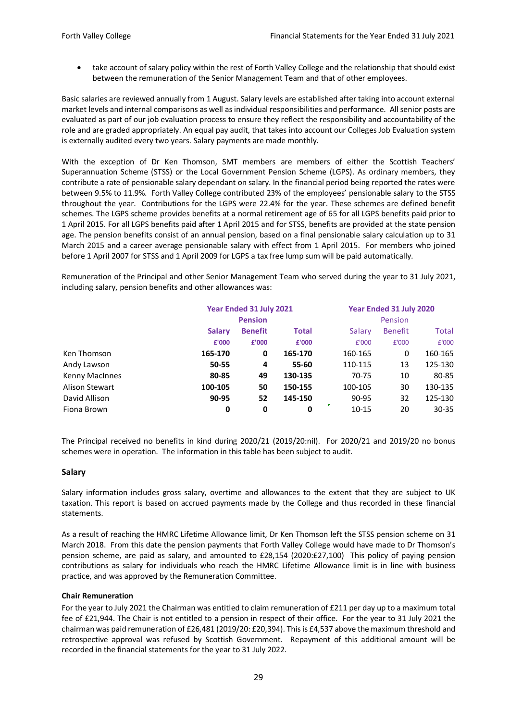• take account of salary policy within the rest of Forth Valley College and the relationship that should exist between the remuneration of the Senior Management Team and that of other employees.

Basic salaries are reviewed annually from 1 August. Salary levels are established after taking into account external market levels and internal comparisons as well as individual responsibilities and performance. All senior posts are evaluated as part of our job evaluation process to ensure they reflect the responsibility and accountability of the role and are graded appropriately. An equal pay audit, that takes into account our Colleges Job Evaluation system is externally audited every two years. Salary payments are made monthly.

With the exception of Dr Ken Thomson, SMT members are members of either the Scottish Teachers' Superannuation Scheme (STSS) or the Local Government Pension Scheme (LGPS). As ordinary members, they contribute a rate of pensionable salary dependant on salary. In the financial period being reported the rates were between 9.5% to 11.9%. Forth Valley College contributed 23% of the employees' pensionable salary to the STSS throughout the year. Contributions for the LGPS were 22.4% for the year. These schemes are defined benefit schemes. The LGPS scheme provides benefits at a normal retirement age of 65 for all LGPS benefits paid prior to 1 April 2015. For all LGPS benefits paid after 1 April 2015 and for STSS, benefits are provided at the state pension age. The pension benefits consist of an annual pension, based on a final pensionable salary calculation up to 31 March 2015 and a career average pensionable salary with effect from 1 April 2015. For members who joined before 1 April 2007 for STSS and 1 April 2009 for LGPS a tax free lump sum will be paid automatically.

Remuneration of the Principal and other Senior Management Team who served during the year to 31 July 2021, including salary, pension benefits and other allowances was:

|                | Year Ended 31 July 2021<br><b>Pension</b> |                |              |         | Year Ended 31 July 2020<br>Pension |           |  |
|----------------|-------------------------------------------|----------------|--------------|---------|------------------------------------|-----------|--|
|                |                                           |                |              |         |                                    |           |  |
|                | <b>Salary</b>                             | <b>Benefit</b> | <b>Total</b> | Salary  | <b>Benefit</b>                     | Total     |  |
|                | £'000                                     | £'000          | £'000        | £'000   | £'000                              | £'000     |  |
| Ken Thomson    | 165-170                                   | 0              | 165-170      | 160-165 | 0                                  | 160-165   |  |
| Andy Lawson    | 50-55                                     | 4              | 55-60        | 110-115 | 13                                 | 125-130   |  |
| Kenny MacInnes | 80-85                                     | 49             | 130-135      | 70-75   | 10                                 | 80-85     |  |
| Alison Stewart | 100-105                                   | 50             | 150-155      | 100-105 | 30                                 | 130-135   |  |
| David Allison  | 90-95                                     | 52             | 145-150      | 90-95   | 32                                 | 125-130   |  |
| Fiona Brown    | 0                                         | 0              | 0            | 10-15   | 20                                 | $30 - 35$ |  |

The Principal received no benefits in kind during 2020/21 (2019/20:nil). For 2020/21 and 2019/20 no bonus schemes were in operation. The information in this table has been subject to audit.

#### **Salary**

Salary information includes gross salary, overtime and allowances to the extent that they are subject to UK taxation. This report is based on accrued payments made by the College and thus recorded in these financial statements.

As a result of reaching the HMRC Lifetime Allowance limit, Dr Ken Thomson left the STSS pension scheme on 31 March 2018. From this date the pension payments that Forth Valley College would have made to Dr Thomson's pension scheme, are paid as salary, and amounted to £28,154 (2020:£27,100) This policy of paying pension contributions as salary for individuals who reach the HMRC Lifetime Allowance limit is in line with business practice, and was approved by the Remuneration Committee.

#### **Chair Remuneration**

For the year to July 2021 the Chairman was entitled to claim remuneration of £211 per day up to a maximum total fee of £21,944. The Chair is not entitled to a pension in respect of their office. For the year to 31 July 2021 the chairman was paid remuneration of £26,481 (2019/20: £20,394). This is £4,537 above the maximum threshold and retrospective approval was refused by Scottish Government. Repayment of this additional amount will be recorded in the financial statements for the year to 31 July 2022.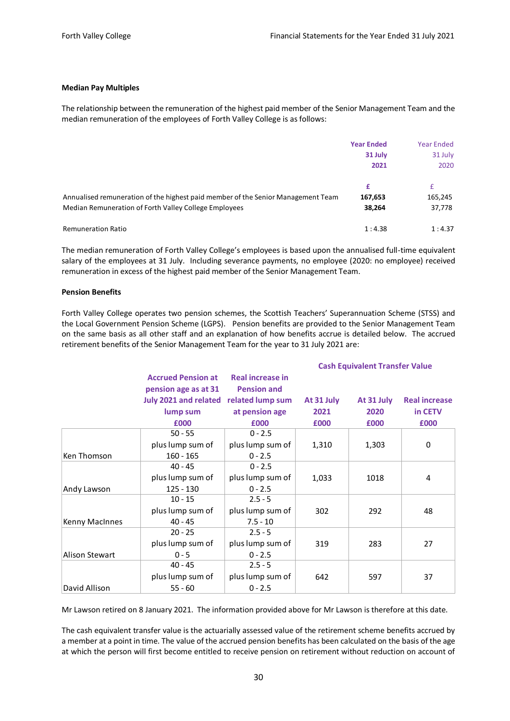#### **Median Pay Multiples**

The relationship between the remuneration of the highest paid member of the Senior Management Team and the median remuneration of the employees of Forth Valley College is as follows:

|                                                                                  | <b>Year Ended</b> | <b>Year Ended</b> |
|----------------------------------------------------------------------------------|-------------------|-------------------|
|                                                                                  | 31 July           | 31 July           |
|                                                                                  | 2021              | 2020              |
|                                                                                  | £                 | £                 |
| Annualised remuneration of the highest paid member of the Senior Management Team | 167,653           | 165,245           |
| Median Remuneration of Forth Valley College Employees                            | 38,264            | 37,778            |
| <b>Remuneration Ratio</b>                                                        | 1:4.38            | 1:4.37            |

The median remuneration of Forth Valley College's employees is based upon the annualised full-time equivalent salary of the employees at 31 July. Including severance payments, no employee (2020: no employee) received remuneration in excess of the highest paid member of the Senior Management Team.

#### **Pension Benefits**

Forth Valley College operates two pension schemes, the Scottish Teachers' Superannuation Scheme (STSS) and the Local Government Pension Scheme (LGPS). Pension benefits are provided to the Senior Management Team on the same basis as all other staff and an explanation of how benefits accrue is detailed below. The accrued retirement benefits of the Senior Management Team for the year to 31 July 2021 are:

|                       |                           |                    |            | <b>Cash Equivalent Transfer Value</b> |                      |
|-----------------------|---------------------------|--------------------|------------|---------------------------------------|----------------------|
|                       | <b>Accrued Pension at</b> | Real increase in   |            |                                       |                      |
|                       | pension age as at 31      | <b>Pension and</b> |            |                                       |                      |
|                       | July 2021 and related     | related lump sum   | At 31 July | At 31 July                            | <b>Real increase</b> |
|                       | lump sum                  | at pension age     | 2021       | 2020                                  | in CETV              |
|                       | £000                      | £000               | £000       | £000                                  | £000                 |
|                       | $50 - 55$                 | $0 - 2.5$          |            |                                       |                      |
|                       | plus lump sum of          | plus lump sum of   | 1,310      | 1,303                                 | 0                    |
| Ken Thomson           | $160 - 165$               | $0 - 2.5$          |            |                                       |                      |
|                       | $40 - 45$                 | $0 - 2.5$          |            |                                       |                      |
|                       | plus lump sum of          | plus lump sum of   | 1,033      | 1018                                  | 4                    |
| Andy Lawson           | $125 - 130$               | $0 - 2.5$          |            |                                       |                      |
|                       | $10 - 15$                 | $2.5 - 5$          |            |                                       |                      |
|                       | plus lump sum of          | plus lump sum of   | 302        | 292                                   | 48                   |
| Kenny MacInnes        | $40 - 45$                 | $7.5 - 10$         |            |                                       |                      |
|                       | $20 - 25$                 | $2.5 - 5$          |            |                                       |                      |
|                       | plus lump sum of          | plus lump sum of   | 319        | 283                                   | 27                   |
| <b>Alison Stewart</b> | $0 - 5$                   | $0 - 2.5$          |            |                                       |                      |
|                       | $40 - 45$                 | $2.5 - 5$          |            |                                       |                      |
|                       | plus lump sum of          | plus lump sum of   | 642        | 597                                   | 37                   |
| David Allison         | $55 - 60$                 | $0 - 2.5$          |            |                                       |                      |

Mr Lawson retired on 8 January 2021. The information provided above for Mr Lawson is therefore at this date.

The cash equivalent transfer value is the actuarially assessed value of the retirement scheme benefits accrued by a member at a point in time. The value of the accrued pension benefits has been calculated on the basis of the age at which the person will first become entitled to receive pension on retirement without reduction on account of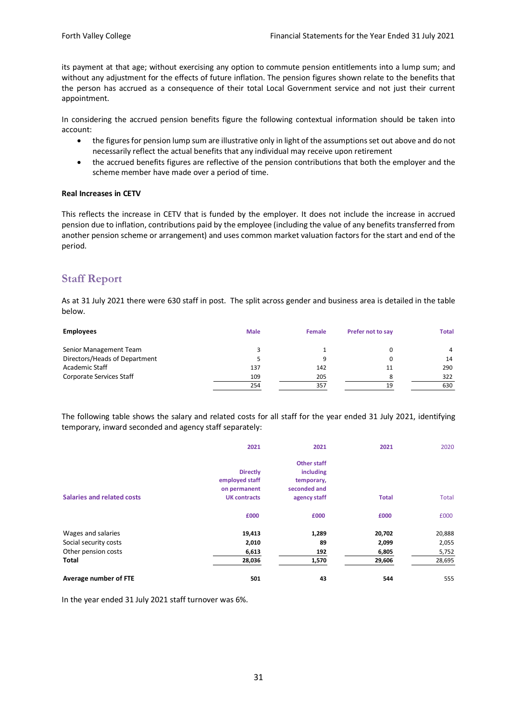its payment at that age; without exercising any option to commute pension entitlements into a lump sum; and without any adjustment for the effects of future inflation. The pension figures shown relate to the benefits that the person has accrued as a consequence of their total Local Government service and not just their current appointment.

In considering the accrued pension benefits figure the following contextual information should be taken into account:

- the figures for pension lump sum are illustrative only in light of the assumptions set out above and do not necessarily reflect the actual benefits that any individual may receive upon retirement
- the accrued benefits figures are reflective of the pension contributions that both the employer and the scheme member have made over a period of time.

#### **Real Increases in CETV**

This reflects the increase in CETV that is funded by the employer. It does not include the increase in accrued pension due to inflation, contributions paid by the employee (including the value of any benefits transferred from another pension scheme or arrangement) and uses common market valuation factors for the start and end of the period.

## <span id="page-31-0"></span>**Staff Report**

As at 31 July 2021 there were 630 staff in post. The split across gender and business area is detailed in the table below.

| <b>Employees</b>              | <b>Male</b> | <b>Female</b> | Prefer not to say | <b>Total</b> |
|-------------------------------|-------------|---------------|-------------------|--------------|
| Senior Management Team        |             |               |                   | 4            |
| Directors/Heads of Department |             |               |                   | 14           |
| Academic Staff                | 137         | 142           | 11                | 290          |
| Corporate Services Staff      | 109         | 205           |                   | 322          |
|                               | 254         | 357           | 19                | 630          |

The following table shows the salary and related costs for all staff for the year ended 31 July 2021, identifying temporary, inward seconded and agency staff separately:

|                            | 2021                | 2021               | 2021         | 2020         |
|----------------------------|---------------------|--------------------|--------------|--------------|
|                            |                     | <b>Other staff</b> |              |              |
|                            | <b>Directly</b>     | including          |              |              |
|                            | employed staff      | temporary,         |              |              |
|                            | on permanent        | seconded and       |              |              |
| Salaries and related costs | <b>UK contracts</b> | agency staff       | <b>Total</b> | <b>Total</b> |
|                            | £000                | £000               | £000         | £000         |
| Wages and salaries         | 19,413              | 1,289              | 20,702       | 20,888       |
| Social security costs      | 2,010               | 89                 | 2,099        | 2,055        |
| Other pension costs        | 6,613               | 192                | 6,805        | 5,752        |
| <b>Total</b>               | 28,036              | 1,570              | 29,606       | 28,695       |
| Average number of FTE      | 501                 | 43                 | 544          | 555          |

In the year ended 31 July 2021 staff turnover was 6%.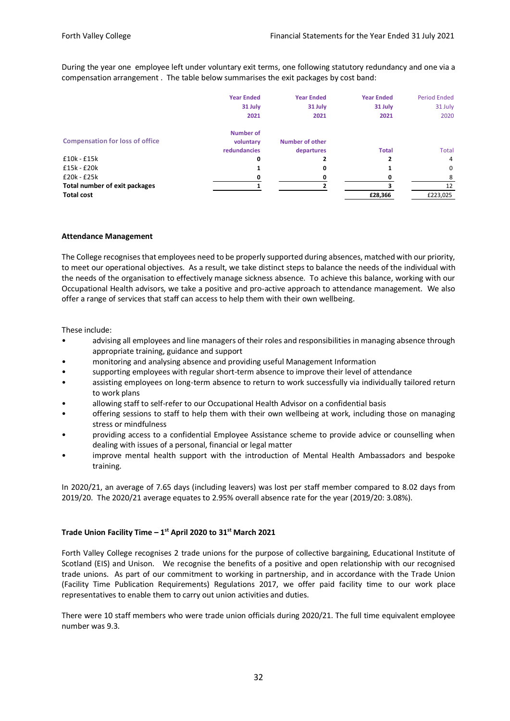During the year one employee left under voluntary exit terms, one following statutory redundancy and one via a compensation arrangement . The table below summarises the exit packages by cost band:

|                                        | <b>Year Ended</b> | <b>Year Ended</b>      | <b>Year Ended</b> | <b>Period Ended</b> |
|----------------------------------------|-------------------|------------------------|-------------------|---------------------|
|                                        | 31 July           | 31 July                | 31 July           | 31 July             |
|                                        | 2021              | 2021                   | 2021              | 2020                |
|                                        | <b>Number of</b>  |                        |                   |                     |
| <b>Compensation for loss of office</b> | voluntary         | <b>Number of other</b> |                   |                     |
|                                        | redundancies      | departures             | <b>Total</b>      | <b>Total</b>        |
| $£10k - £15k$                          | 0                 |                        | 2                 | 4                   |
| $£15k - £20k$                          |                   | 0                      |                   | 0                   |
| £20k - £25k                            |                   |                        |                   | Ջ                   |
| Total number of exit packages          |                   |                        |                   | 12                  |
| <b>Total cost</b>                      |                   |                        | £28,366           | £223,025            |

#### **Attendance Management**

The College recognises that employees need to be properly supported during absences, matched with our priority, to meet our operational objectives. As a result, we take distinct steps to balance the needs of the individual with the needs of the organisation to effectively manage sickness absence. To achieve this balance, working with our Occupational Health advisors, we take a positive and pro-active approach to attendance management. We also offer a range of services that staff can access to help them with their own wellbeing.

These include:

- advising all employees and line managers of their roles and responsibilities in managing absence through appropriate training, guidance and support
- monitoring and analysing absence and providing useful Management Information
- supporting employees with regular short-term absence to improve their level of attendance
- assisting employees on long-term absence to return to work successfully via individually tailored return to work plans
- allowing staff to self-refer to our Occupational Health Advisor on a confidential basis
- offering sessions to staff to help them with their own wellbeing at work, including those on managing stress or mindfulness
- providing access to a confidential Employee Assistance scheme to provide advice or counselling when dealing with issues of a personal, financial or legal matter
- improve mental health support with the introduction of Mental Health Ambassadors and bespoke training.

In 2020/21, an average of 7.65 days (including leavers) was lost per staff member compared to 8.02 days from 2019/20. The 2020/21 average equates to 2.95% overall absence rate for the year (2019/20: 3.08%).

### **Trade Union Facility Time – 1 st April 2020 to 31st March 2021**

Forth Valley College recognises 2 trade unions for the purpose of collective bargaining, Educational Institute of Scotland (EIS) and Unison. We recognise the benefits of a positive and open relationship with our recognised trade unions. As part of our commitment to working in partnership, and in accordance with the Trade Union (Facility Time Publication Requirements) Regulations 2017, we offer paid facility time to our work place representatives to enable them to carry out union activities and duties.

There were 10 staff members who were trade union officials during 2020/21. The full time equivalent employee number was 9.3.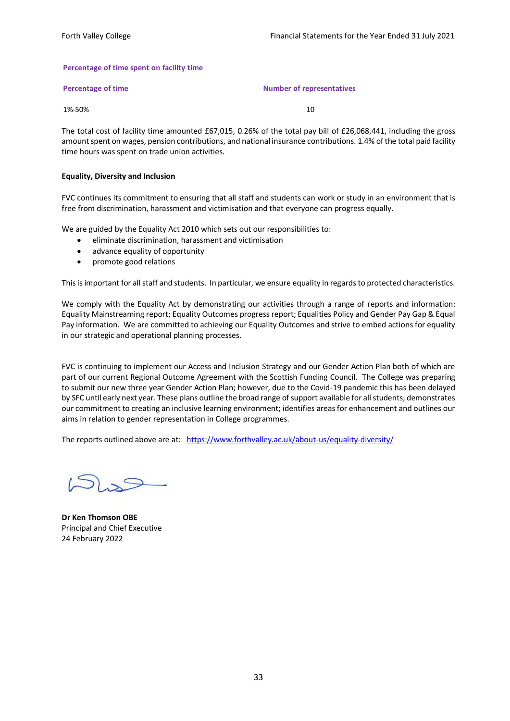#### **Percentage of time spent on facility time**

| Percentage of time | <b>Number of representatives</b> |
|--------------------|----------------------------------|
|                    |                                  |

1%-50% 10

The total cost of facility time amounted £67,015, 0.26% of the total pay bill of £26,068,441, including the gross amount spent on wages, pension contributions, and national insurance contributions. 1.4% of the total paid facility time hours was spent on trade union activities.

#### **Equality, Diversity and Inclusion**

FVC continues its commitment to ensuring that all staff and students can work or study in an environment that is free from discrimination, harassment and victimisation and that everyone can progress equally.

We are guided by the Equality Act 2010 which sets out our responsibilities to:

- eliminate discrimination, harassment and victimisation
- advance equality of opportunity
- promote good relations

This is important for all staff and students. In particular, we ensure equality in regards to protected characteristics.

We comply with the Equality Act by demonstrating our activities through a range of reports and information: Equality Mainstreaming report; Equality Outcomes progress report; Equalities Policy and Gender Pay Gap & Equal Pay information. We are committed to achieving our Equality Outcomes and strive to embed actions for equality in our strategic and operational planning processes.

FVC is continuing to implement our Access and Inclusion Strategy and our Gender Action Plan both of which are part of our current Regional Outcome Agreement with the Scottish Funding Council. The College was preparing to submit our new three year Gender Action Plan; however, due to the Covid-19 pandemic this has been delayed by SFC until early next year. These plans outline the broad range of support available for all students; demonstrates our commitment to creating an inclusive learning environment; identifies areas for enhancement and outlines our aims in relation to gender representation in College programmes.

The reports outlined above are at: <https://www.forthvalley.ac.uk/about-us/equality-diversity/>

**Dr Ken Thomson OBE** Principal and Chief Executive 24 February 2022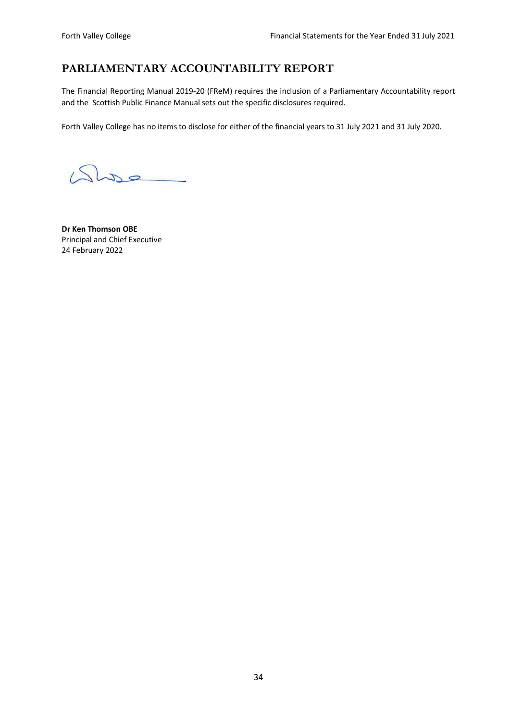# <span id="page-34-0"></span>**PARLIAMENTARY ACCOUNTABILITY REPORT**

The Financial Reporting Manual 2019-20 (FReM) requires the inclusion of a Parliamentary Accountability report and the Scottish Public Finance Manual sets out the specific disclosures required.

Forth Valley College has no items to disclose for either of the financial years to 31 July 2021 and 31 July 2020.

Que

**Dr Ken Thomson OBE** Principal and Chief Executive 24 February 2022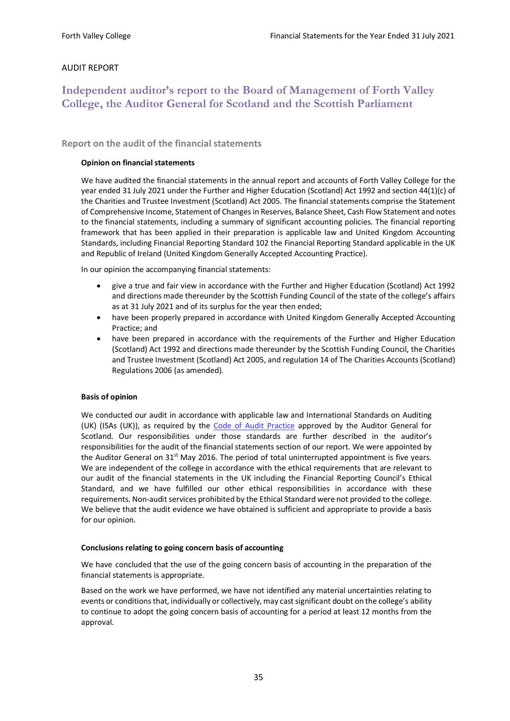## AUDIT REPORT

# <span id="page-35-0"></span>**Independent auditor's report to the Board of Management of Forth Valley College, the Auditor General for Scotland and the Scottish Parliament**

<span id="page-35-1"></span>**Report on the audit of the financial statements** 

## **Opinion on financial statements**

We have audited the financial statements in the annual report and accounts of Forth Valley College for the year ended 31 July 2021 under the Further and Higher Education (Scotland) Act 1992 and section 44(1)(c) of the Charities and Trustee Investment (Scotland) Act 2005. The financial statements comprise the Statement of Comprehensive Income, Statement of Changes in Reserves, Balance Sheet, Cash Flow Statement and notes to the financial statements, including a summary of significant accounting policies. The financial reporting framework that has been applied in their preparation is applicable law and United Kingdom Accounting Standards, including Financial Reporting Standard 102 the Financial Reporting Standard applicable in the UK and Republic of Ireland (United Kingdom Generally Accepted Accounting Practice).

In our opinion the accompanying financial statements:

- give a true and fair view in accordance with the Further and Higher Education (Scotland) Act 1992 and directions made thereunder by the Scottish Funding Council of the state of the college's affairs as at 31 July 2021 and of its surplus for the year then ended;
- have been properly prepared in accordance with United Kingdom Generally Accepted Accounting Practice; and
- have been prepared in accordance with the requirements of the Further and Higher Education (Scotland) Act 1992 and directions made thereunder by the Scottish Funding Council, the Charities and Trustee Investment (Scotland) Act 2005, and regulation 14 of The Charities Accounts (Scotland) Regulations 2006 (as amended).

#### **Basis of opinion**

We conducted our audit in accordance with applicable law and International Standards on Auditing (UK) (ISAs (UK)), as required by the [Code of Audit Practice](http://www.audit-scotland.gov.uk/uploads/docs/report/2016/code_audit_practice_16.pdf) approved by the Auditor General for Scotland. Our responsibilities under those standards are further described in the auditor's responsibilities for the audit of the financial statements section of our report. We were appointed by the Auditor General on  $31^{st}$  May 2016. The period of total uninterrupted appointment is five years. We are independent of the college in accordance with the ethical requirements that are relevant to our audit of the financial statements in the UK including the Financial Reporting Council's Ethical Standard, and we have fulfilled our other ethical responsibilities in accordance with these requirements. Non-audit services prohibited by the Ethical Standard were not provided to the college. We believe that the audit evidence we have obtained is sufficient and appropriate to provide a basis for our opinion.

#### **Conclusions relating to going concern basis of accounting**

We have concluded that the use of the going concern basis of accounting in the preparation of the financial statements is appropriate.

Based on the work we have performed, we have not identified any material uncertainties relating to events or conditions that, individually or collectively, may cast significant doubt on the college's ability to continue to adopt the going concern basis of accounting for a period at least 12 months from the approval.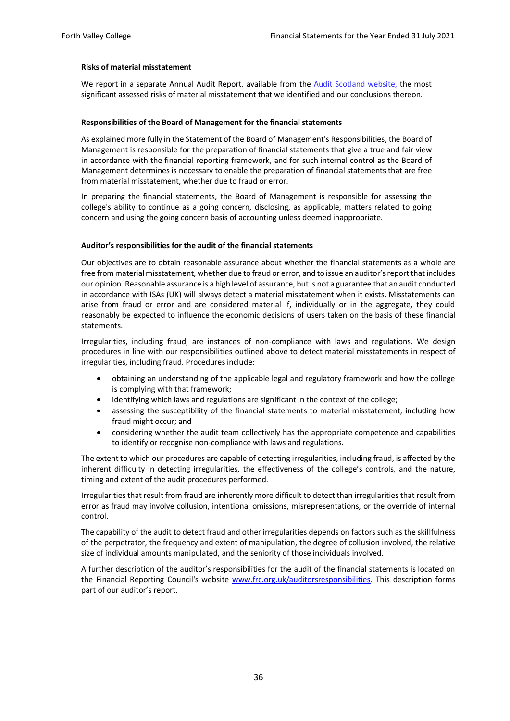#### **Risks of material misstatement**

We report in a separate Annual [Audit](http://www.audit-scotland.gov.uk/our-work/annual-audits) Report, available from the Audit [Scotland website,](http://www.audit-scotland.gov.uk/our-work/annual-audits) the most significant assessed risks of material misstatement that we identified and our conclusions thereon.

#### **Responsibilities of the Board of Management for the financial statements**

As explained more fully in the Statement of the Board of Management's Responsibilities, the Board of Management is responsible for the preparation of financial statements that give a true and fair view in accordance with the financial reporting framework, and for such internal control as the Board of Management determines is necessary to enable the preparation of financial statements that are free from material misstatement, whether due to fraud or error.

In preparing the financial statements, the Board of Management is responsible for assessing the college's ability to continue as a going concern, disclosing, as applicable, matters related to going concern and using the going concern basis of accounting unless deemed inappropriate.

#### **Auditor's responsibilities for the audit of the financial statements**

Our objectives are to obtain reasonable assurance about whether the financial statements as a whole are free from material misstatement, whether due to fraud or error, and to issue an auditor's report that includes our opinion. Reasonable assurance is a high level of assurance, but is not a guarantee that an audit conducted in accordance with ISAs (UK) will always detect a material misstatement when it exists. Misstatements can arise from fraud or error and are considered material if, individually or in the aggregate, they could reasonably be expected to influence the economic decisions of users taken on the basis of these financial statements.

Irregularities, including fraud, are instances of non-compliance with laws and regulations. We design procedures in line with our responsibilities outlined above to detect material misstatements in respect of irregularities, including fraud. Procedures include:

- obtaining an understanding of the applicable legal and regulatory framework and how the college is complying with that framework;
- identifying which laws and regulations are significant in the context of the college;
- assessing the susceptibility of the financial statements to material misstatement, including how fraud might occur; and
- considering whether the audit team collectively has the appropriate competence and capabilities to identify or recognise non-compliance with laws and regulations.

The extent to which our procedures are capable of detecting irregularities, including fraud, is affected by the inherent difficulty in detecting irregularities, the effectiveness of the college's controls, and the nature, timing and extent of the audit procedures performed.

Irregularities that result from fraud are inherently more difficult to detect than irregularities that result from error as fraud may involve collusion, intentional omissions, misrepresentations, or the override of internal control.

The capability of the audit to detect fraud and other irregularities depends on factors such as the skillfulness of the perpetrator, the frequency and extent of manipulation, the degree of collusion involved, the relative size of individual amounts manipulated, and the seniority of those individuals involved.

A further description of the auditor's responsibilities for the audit of the financial statements is located on the Financial Reporting Council's website [www.frc.org.uk/auditorsresponsibilities.](https://www.frc.org.uk/Our-Work/Audit-and-Actuarial-Regulation/Audit-and-assurance/Standards-and-guidance/Standards-and-guidance-for-auditors/Auditors-responsibilities-for-audit/Description-of-auditors-responsibilities-for-audit.aspx) This description forms part of our auditor's report.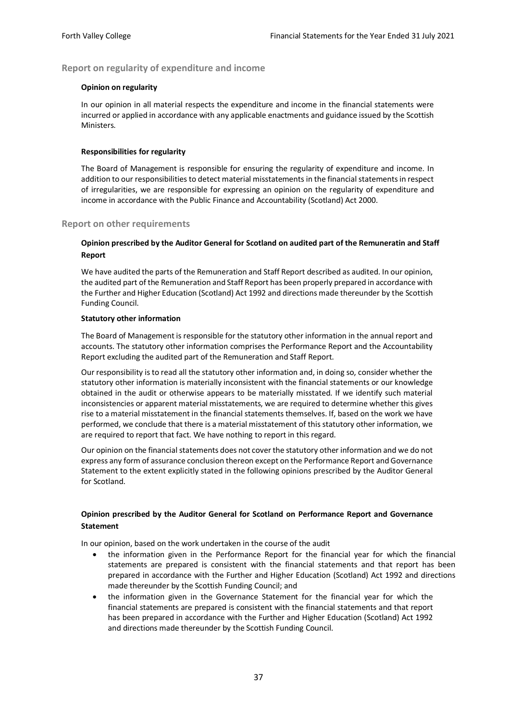## <span id="page-37-0"></span>**Report on regularity of expenditure and income**

#### **Opinion on regularity**

In our opinion in all material respects the expenditure and income in the financial statements were incurred or applied in accordance with any applicable enactments and guidance issued by the Scottish Ministers.

#### **Responsibilities for regularity**

The Board of Management is responsible for ensuring the regularity of expenditure and income. In addition to our responsibilities to detect material misstatements in the financial statements in respect of irregularities, we are responsible for expressing an opinion on the regularity of expenditure and income in accordance with the Public Finance and Accountability (Scotland) Act 2000.

#### <span id="page-37-1"></span>**Report on other requirements**

## **Opinion prescribed by the Auditor General for Scotland on audited part of the Remuneratin and Staff Report**

We have audited the parts of the Remuneration and Staff Report described as audited. In our opinion, the audited part of the Remuneration and Staff Report has been properly prepared in accordance with the Further and Higher Education (Scotland) Act 1992 and directions made thereunder by the Scottish Funding Council.

#### **Statutory other information**

The Board of Management is responsible for the statutory other information in the annual report and accounts. The statutory other information comprises the Performance Report and the Accountability Report excluding the audited part of the Remuneration and Staff Report.

Our responsibility is to read all the statutory other information and, in doing so, consider whether the statutory other information is materially inconsistent with the financial statements or our knowledge obtained in the audit or otherwise appears to be materially misstated. If we identify such material inconsistencies or apparent material misstatements, we are required to determine whether this gives rise to a material misstatement in the financial statements themselves. If, based on the work we have performed, we conclude that there is a material misstatement of this statutory other information, we are required to report that fact. We have nothing to report in this regard.

Our opinion on the financial statements does not cover the statutory other information and we do not express any form of assurance conclusion thereon except on the Performance Report and Governance Statement to the extent explicitly stated in the following opinions prescribed by the Auditor General for Scotland.

## **Opinion prescribed by the Auditor General for Scotland on Performance Report and Governance Statement**

In our opinion, based on the work undertaken in the course of the audit

- the information given in the Performance Report for the financial year for which the financial statements are prepared is consistent with the financial statements and that report has been prepared in accordance with the Further and Higher Education (Scotland) Act 1992 and directions made thereunder by the Scottish Funding Council; and
- the information given in the Governance Statement for the financial year for which the financial statements are prepared is consistent with the financial statements and that report has been prepared in accordance with the Further and Higher Education (Scotland) Act 1992 and directions made thereunder by the Scottish Funding Council.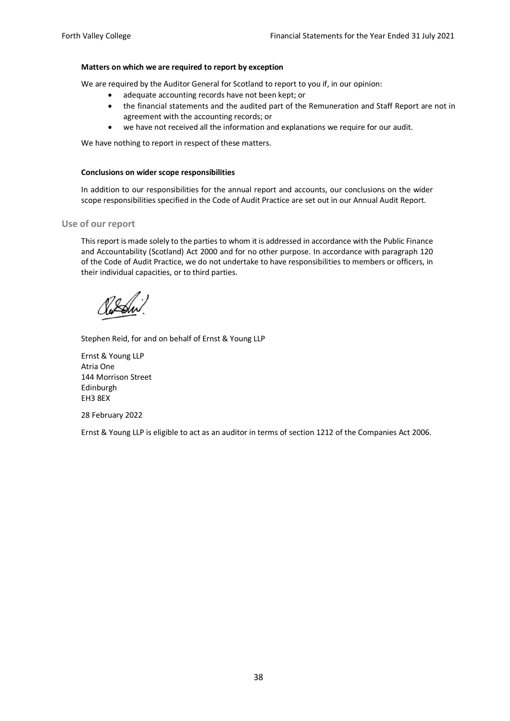#### **Matters on which we are required to report by exception**

We are required by the Auditor General for Scotland to report to you if, in our opinion:

- adequate accounting records have not been kept; or
- the financial statements and the audited part of the Remuneration and Staff Report are not in agreement with the accounting records; or
- we have not received all the information and explanations we require for our audit.

We have nothing to report in respect of these matters.

#### **Conclusions on wider scope responsibilities**

In addition to our responsibilities for the annual report and accounts, our conclusions on the wider scope responsibilities specified in the Code of Audit Practice are set out in our Annual Audit Report.

#### <span id="page-38-0"></span>**Use of our report**

This report is made solely to the parties to whom it is addressed in accordance with the Public Finance and Accountability (Scotland) Act 2000 and for no other purpose. In accordance with paragraph 120 of the Code of Audit Practice, we do not undertake to have responsibilities to members or officers, in their individual capacities, or to third parties.

Stephen Reid, for and on behalf of Ernst & Young LLP

Ernst & Young LLP Atria One 144 Morrison Street Edinburgh EH3 8EX

28 February 2022

Ernst & Young LLP is eligible to act as an auditor in terms of section 1212 of the Companies Act 2006.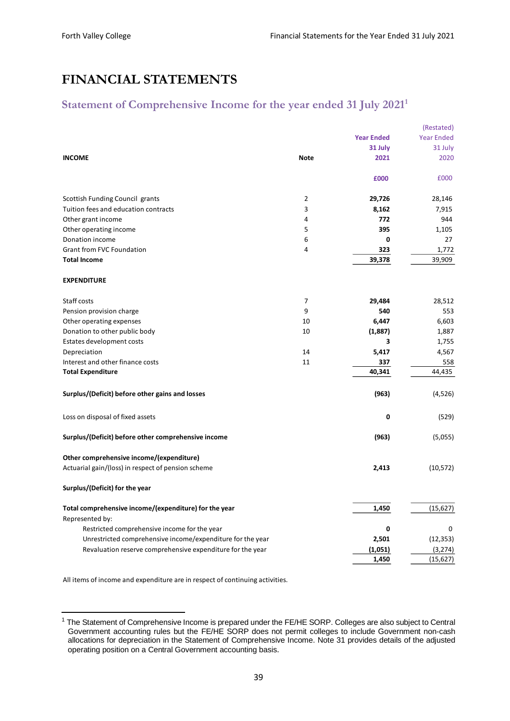# <span id="page-39-0"></span>**FINANCIAL STATEMENTS**

# <span id="page-39-1"></span>**Statement of Comprehensive Income for the year ended 31 July 2021 1**

|                                                            |                |                   | (Restated)        |
|------------------------------------------------------------|----------------|-------------------|-------------------|
|                                                            |                | <b>Year Ended</b> | <b>Year Ended</b> |
|                                                            |                | 31 July           | 31 July           |
| <b>INCOME</b>                                              | Note           | 2021              | 2020              |
|                                                            |                |                   |                   |
|                                                            |                | £000              | £000              |
| Scottish Funding Council grants                            | $\overline{2}$ | 29,726            | 28,146            |
| Tuition fees and education contracts                       | 3              | 8,162             | 7,915             |
| Other grant income                                         | 4              | 772               | 944               |
| Other operating income                                     | 5              | 395               | 1,105             |
| Donation income                                            | 6              | 0                 | 27                |
| <b>Grant from FVC Foundation</b>                           | 4              | 323               | 1,772             |
| <b>Total Income</b>                                        |                | 39,378            | 39,909            |
| <b>EXPENDITURE</b>                                         |                |                   |                   |
| Staff costs                                                | 7              | 29,484            | 28,512            |
| Pension provision charge                                   | 9              | 540               | 553               |
| Other operating expenses                                   | 10             | 6,447             | 6,603             |
| Donation to other public body                              | 10             | (1,887)           | 1,887             |
| Estates development costs                                  |                | 3                 | 1,755             |
| Depreciation                                               | 14             | 5,417             | 4,567             |
| Interest and other finance costs                           | 11             | 337               | 558               |
| <b>Total Expenditure</b>                                   |                | 40,341            | 44,435            |
|                                                            |                |                   |                   |
| Surplus/(Deficit) before other gains and losses            |                | (963)             | (4,526)           |
| Loss on disposal of fixed assets                           |                | 0                 | (529)             |
| Surplus/(Deficit) before other comprehensive income        |                | (963)             | (5,055)           |
| Other comprehensive income/(expenditure)                   |                |                   |                   |
| Actuarial gain/(loss) in respect of pension scheme         |                | 2,413             | (10, 572)         |
| Surplus/(Deficit) for the year                             |                |                   |                   |
| Total comprehensive income/(expenditure) for the year      |                | 1,450             | (15, 627)         |
| Represented by:                                            |                |                   |                   |
| Restricted comprehensive income for the year               |                | 0                 | 0                 |
| Unrestricted comprehensive income/expenditure for the year |                | 2,501             | (12, 353)         |
| Revaluation reserve comprehensive expenditure for the year |                | (1,051)           | (3, 274)          |
|                                                            |                | 1,450             | (15, 627)         |

All items of income and expenditure are in respect of continuing activities.

<sup>&</sup>lt;sup>1</sup> The Statement of Comprehensive Income is prepared under the FE/HE SORP. Colleges are also subject to Central Government accounting rules but the FE/HE SORP does not permit colleges to include Government non-cash allocations for depreciation in the Statement of Comprehensive Income. Note 31 provides details of the adjusted operating position on a Central Government accounting basis.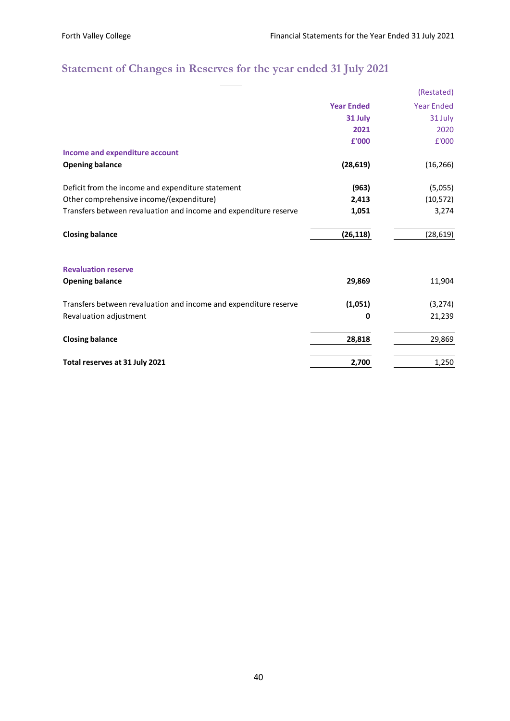# <span id="page-40-0"></span>**Statement of Changes in Reserves for the year ended 31 July 2021**

|                                                                  |                   | (Restated)        |
|------------------------------------------------------------------|-------------------|-------------------|
|                                                                  | <b>Year Ended</b> | <b>Year Ended</b> |
|                                                                  | 31 July           | 31 July           |
|                                                                  | 2021              | 2020              |
|                                                                  | £'000             | £'000             |
| Income and expenditure account                                   |                   |                   |
| <b>Opening balance</b>                                           | (28, 619)         | (16, 266)         |
| Deficit from the income and expenditure statement                | (963)             | (5,055)           |
| Other comprehensive income/(expenditure)                         | 2,413             | (10, 572)         |
| Transfers between revaluation and income and expenditure reserve | 1,051             | 3,274             |
| <b>Closing balance</b>                                           | (26, 118)         | (28, 619)         |
| <b>Revaluation reserve</b>                                       |                   |                   |
| <b>Opening balance</b>                                           | 29,869            | 11,904            |
| Transfers between revaluation and income and expenditure reserve | (1,051)           | (3, 274)          |
| Revaluation adjustment                                           | 0                 | 21,239            |
| <b>Closing balance</b>                                           | 28,818            | 29,869            |
| Total reserves at 31 July 2021                                   | 2,700             | 1,250             |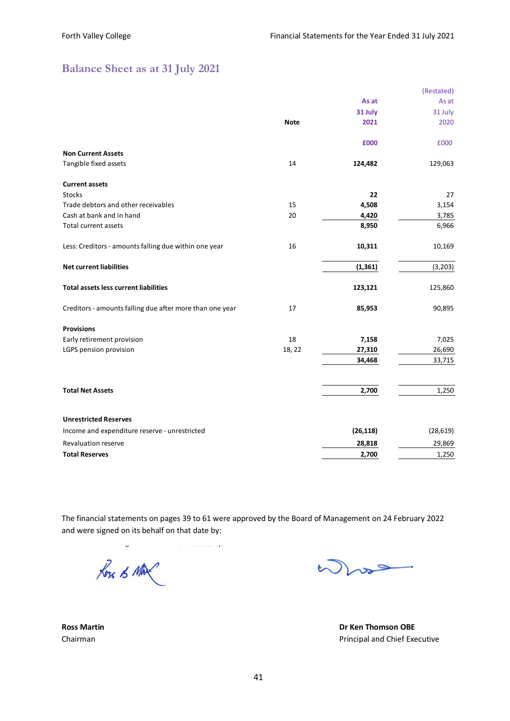# <span id="page-41-0"></span>**Balance Sheet as at 31 July 2021**

|                                                          |             |           | (Restated) |
|----------------------------------------------------------|-------------|-----------|------------|
|                                                          |             | As at     | As at      |
|                                                          |             | 31 July   | 31 July    |
|                                                          | <b>Note</b> | 2021      | 2020       |
|                                                          |             | £000      | £000       |
| <b>Non Current Assets</b>                                |             |           |            |
| Tangible fixed assets                                    | 14          | 124,482   | 129,063    |
| <b>Current assets</b>                                    |             |           |            |
| <b>Stocks</b>                                            |             | 22        | 27         |
| Trade debtors and other receivables                      | 15          | 4,508     | 3,154      |
| Cash at bank and in hand                                 | 20          | 4,420     | 3,785      |
| Total current assets                                     |             | 8,950     | 6,966      |
| Less: Creditors - amounts falling due within one year    | 16          | 10,311    | 10,169     |
| <b>Net current liabilities</b>                           |             | (1, 361)  | (3, 203)   |
| <b>Total assets less current liabilities</b>             |             | 123,121   | 125,860    |
| Creditors - amounts falling due after more than one year | 17          | 85,953    | 90,895     |
| <b>Provisions</b>                                        |             |           |            |
| Early retirement provision                               | 18          | 7,158     | 7,025      |
| LGPS pension provision                                   | 18, 22      | 27,310    | 26,690     |
|                                                          |             | 34,468    | 33,715     |
| <b>Total Net Assets</b>                                  |             | 2,700     | 1,250      |
|                                                          |             |           |            |
| <b>Unrestricted Reserves</b>                             |             |           |            |
| Income and expenditure reserve - unrestricted            |             | (26, 118) | (28, 619)  |
| Revaluation reserve                                      |             | 28,818    | 29,869     |
| <b>Total Reserves</b>                                    |             | 2,700     | 1,250      |

The financial statements on pages 39 to 61 were approved by the Board of Management on 24 February 2022 and were signed on its behalf on that date by:

 $1.1.1.1.1.1.7$ Ross of Max

 $\sum_{\mathbf{v}}$ 

**Ross Martin Dr Ken Thomson OBE** Chairman **Principal and Chief Executive**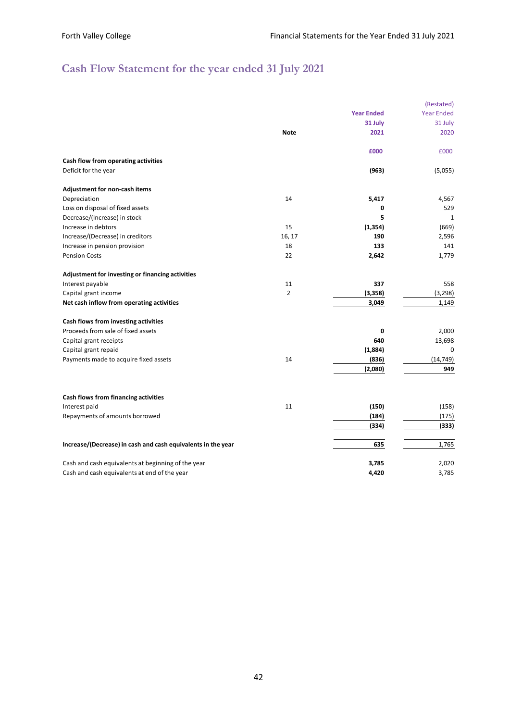# <span id="page-42-0"></span>**Cash Flow Statement for the year ended 31 July 2021**

|                                                              |                |                   | (Restated)        |
|--------------------------------------------------------------|----------------|-------------------|-------------------|
|                                                              |                | <b>Year Ended</b> | <b>Year Ended</b> |
|                                                              |                | 31 July           | 31 July           |
|                                                              | <b>Note</b>    | 2021              | 2020              |
|                                                              |                | £000              | £000              |
| Cash flow from operating activities                          |                |                   |                   |
| Deficit for the year                                         |                | (963)             | (5,055)           |
| Adjustment for non-cash items                                |                |                   |                   |
| Depreciation                                                 | 14             | 5,417             | 4,567             |
| Loss on disposal of fixed assets                             |                | 0                 | 529               |
| Decrease/(Increase) in stock                                 |                | 5                 | 1                 |
| Increase in debtors                                          | 15             | (1, 354)          | (669)             |
| Increase/(Decrease) in creditors                             | 16, 17         | 190               | 2,596             |
| Increase in pension provision                                | 18             | 133               | 141               |
| <b>Pension Costs</b>                                         | 22             | 2,642             | 1,779             |
| Adjustment for investing or financing activities             |                |                   |                   |
| Interest payable                                             | 11             | 337               | 558               |
| Capital grant income                                         | $\overline{2}$ | (3, 358)          | (3, 298)          |
| Net cash inflow from operating activities                    |                | 3,049             | 1,149             |
| Cash flows from investing activities                         |                |                   |                   |
| Proceeds from sale of fixed assets                           |                | 0                 | 2,000             |
| Capital grant receipts                                       |                | 640               | 13,698            |
| Capital grant repaid                                         |                | (1,884)           | 0                 |
| Payments made to acquire fixed assets                        | 14             | (836)             | (14, 749)         |
|                                                              |                | (2,080)           | 949               |
|                                                              |                |                   |                   |
| Cash flows from financing activities<br>Interest paid        | 11             | (150)             | (158)             |
|                                                              |                |                   |                   |
| Repayments of amounts borrowed                               |                | (184)             | (175)             |
|                                                              |                | (334)             | (333)             |
| Increase/(Decrease) in cash and cash equivalents in the year |                | 635               | 1,765             |
| Cash and cash equivalents at beginning of the year           |                | 3,785             | 2,020             |
| Cash and cash equivalents at end of the year                 |                | 4,420             | 3,785             |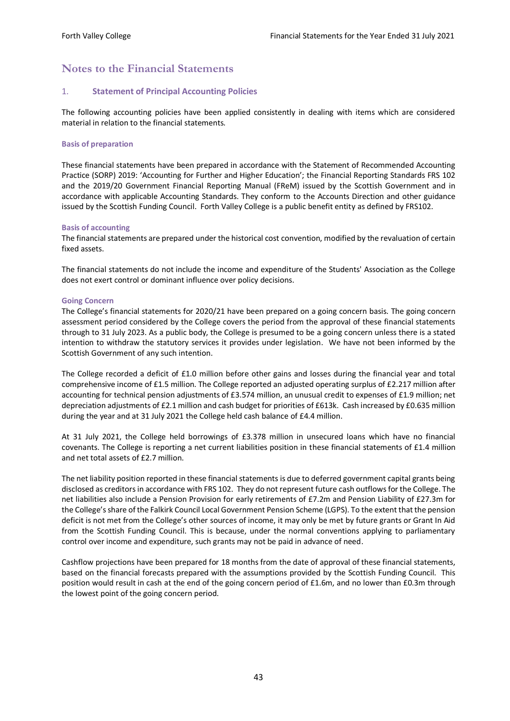# <span id="page-43-0"></span>**Notes to the Financial Statements**

#### 1. **Statement of Principal Accounting Policies**

The following accounting policies have been applied consistently in dealing with items which are considered material in relation to the financial statements.

#### **Basis of preparation**

These financial statements have been prepared in accordance with the Statement of Recommended Accounting Practice (SORP) 2019: 'Accounting for Further and Higher Education'; the Financial Reporting Standards FRS 102 and the 2019/20 Government Financial Reporting Manual (FReM) issued by the Scottish Government and in accordance with applicable Accounting Standards. They conform to the Accounts Direction and other guidance issued by the Scottish Funding Council. Forth Valley College is a public benefit entity as defined by FRS102.

#### **Basis of accounting**

The financial statements are prepared under the historical cost convention, modified by the revaluation of certain fixed assets.

The financial statements do not include the income and expenditure of the Students' Association as the College does not exert control or dominant influence over policy decisions.

#### **Going Concern**

The College's financial statements for 2020/21 have been prepared on a going concern basis. The going concern assessment period considered by the College covers the period from the approval of these financial statements through to 31 July 2023. As a public body, the College is presumed to be a going concern unless there is a stated intention to withdraw the statutory services it provides under legislation. We have not been informed by the Scottish Government of any such intention.

The College recorded a deficit of £1.0 million before other gains and losses during the financial year and total comprehensive income of £1.5 million. The College reported an adjusted operating surplus of £2.217 million after accounting for technical pension adjustments of £3.574 million, an unusual credit to expenses of £1.9 million; net depreciation adjustments of £2.1 million and cash budget for priorities of £613k. Cash increased by £0.635 million during the year and at 31 July 2021 the College held cash balance of £4.4 million.

At 31 July 2021, the College held borrowings of £3.378 million in unsecured loans which have no financial covenants. The College is reporting a net current liabilities position in these financial statements of £1.4 million and net total assets of £2.7 million

The net liability position reported in these financial statements is due to deferred government capital grants being disclosed as creditors in accordance with FRS 102. They do not represent future cash outflows for the College. The net liabilities also include a Pension Provision for early retirements of £7.2m and Pension Liability of £27.3m for the College's share of the Falkirk Council Local Government Pension Scheme (LGPS). To the extent that the pension deficit is not met from the College's other sources of income, it may only be met by future grants or Grant In Aid from the Scottish Funding Council. This is because, under the normal conventions applying to parliamentary control over income and expenditure, such grants may not be paid in advance of need.

Cashflow projections have been prepared for 18 months from the date of approval of these financial statements, based on the financial forecasts prepared with the assumptions provided by the Scottish Funding Council. This position would result in cash at the end of the going concern period of £1.6m, and no lower than £0.3m through the lowest point of the going concern period.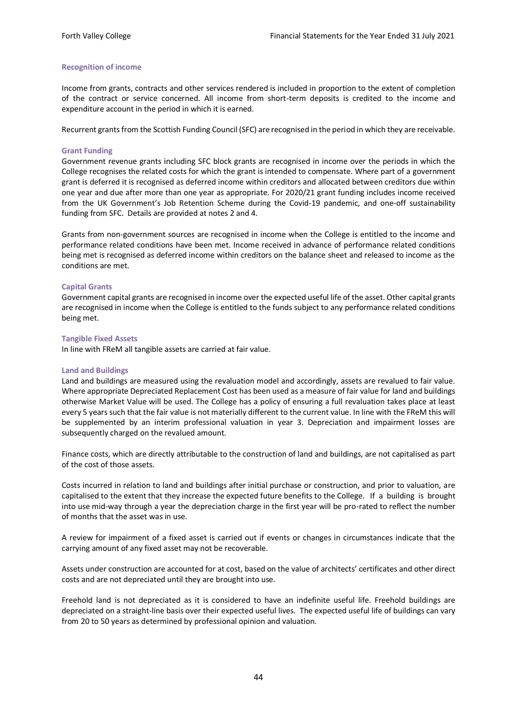#### **Recognition of income**

Income from grants, contracts and other services rendered is included in proportion to the extent of completion of the contract or service concerned. All income from short-term deposits is credited to the income and expenditure account in the period in which it is earned.

Recurrent grants from the Scottish Funding Council (SFC) are recognised in the period in which they are receivable.

#### **Grant Funding**

Government revenue grants including SFC block grants are recognised in income over the periods in which the College recognises the related costs for which the grant is intended to compensate. Where part of a government grant is deferred it is recognised as deferred income within creditors and allocated between creditors due within one year and due after more than one year as appropriate. For 2020/21 grant funding includes income received from the UK Government's Job Retention Scheme during the Covid-19 pandemic, and one-off sustainability funding from SFC. Details are provided at notes 2 and 4.

Grants from non-government sources are recognised in income when the College is entitled to the income and performance related conditions have been met. Income received in advance of performance related conditions being met is recognised as deferred income within creditors on the balance sheet and released to income as the conditions are met.

#### **Capital Grants**

Government capital grants are recognised in income over the expected useful life of the asset. Other capital grants are recognised in income when the College is entitled to the funds subject to any performance related conditions being met.

#### **Tangible Fixed Assets**

In line with FReM all tangible assets are carried at fair value.

#### **Land and Buildings**

Land and buildings are measured using the revaluation model and accordingly, assets are revalued to fair value. Where appropriate Depreciated Replacement Cost has been used as a measure of fair value for land and buildings otherwise Market Value will be used. The College has a policy of ensuring a full revaluation takes place at least every 5 years such that the fair value is not materially different to the current value. In line with the FReM this will be supplemented by an interim professional valuation in year 3. Depreciation and impairment losses are subsequently charged on the revalued amount.

Finance costs, which are directly attributable to the construction of land and buildings, are not capitalised as part of the cost of those assets.

Costs incurred in relation to land and buildings after initial purchase or construction, and prior to valuation, are capitalised to the extent that they increase the expected future benefits to the College. If a building is brought into use mid-way through a year the depreciation charge in the first year will be pro-rated to reflect the number of months that the asset was in use.

A review for impairment of a fixed asset is carried out if events or changes in circumstances indicate that the carrying amount of any fixed asset may not be recoverable.

Assets under construction are accounted for at cost, based on the value of architects' certificates and other direct costs and are not depreciated until they are brought into use.

Freehold land is not depreciated as it is considered to have an indefinite useful life. Freehold buildings are depreciated on a straight-line basis over their expected useful lives. The expected useful life of buildings can vary from 20 to 50 years as determined by professional opinion and valuation.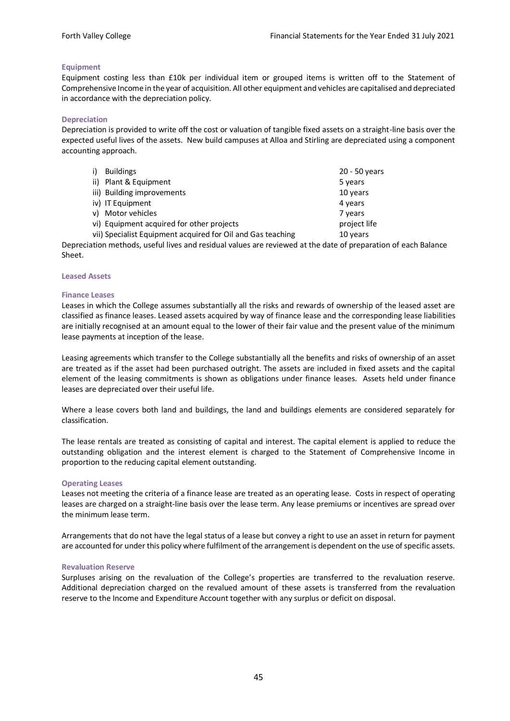#### **Equipment**

Equipment costing less than £10k per individual item or grouped items is written off to the Statement of Comprehensive Income in the year of acquisition. All other equipment and vehicles are capitalised and depreciated in accordance with the depreciation policy.

#### **Depreciation**

Depreciation is provided to write off the cost or valuation of tangible fixed assets on a straight-line basis over the expected useful lives of the assets. New build campuses at Alloa and Stirling are depreciated using a component accounting approach.

| <b>Buildings</b>                                            | 20 - 50 years |
|-------------------------------------------------------------|---------------|
| ii) Plant & Equipment                                       | 5 years       |
| iii) Building improvements                                  | 10 years      |
| iv) IT Equipment                                            | 4 years       |
| Motor vehicles<br>v)                                        | 7 years       |
| vi) Equipment acquired for other projects                   | project life  |
| vii) Specialist Equipment acquired for Oil and Gas teaching | 10 years      |

Depreciation methods, useful lives and residual values are reviewed at the date of preparation of each Balance Sheet.

#### **Leased Assets**

#### **Finance Leases**

Leases in which the College assumes substantially all the risks and rewards of ownership of the leased asset are classified as finance leases. Leased assets acquired by way of finance lease and the corresponding lease liabilities are initially recognised at an amount equal to the lower of their fair value and the present value of the minimum lease payments at inception of the lease.

Leasing agreements which transfer to the College substantially all the benefits and risks of ownership of an asset are treated as if the asset had been purchased outright. The assets are included in fixed assets and the capital element of the leasing commitments is shown as obligations under finance leases. Assets held under finance leases are depreciated over their useful life.

Where a lease covers both land and buildings, the land and buildings elements are considered separately for classification.

The lease rentals are treated as consisting of capital and interest. The capital element is applied to reduce the outstanding obligation and the interest element is charged to the Statement of Comprehensive Income in proportion to the reducing capital element outstanding.

#### **Operating Leases**

Leases not meeting the criteria of a finance lease are treated as an operating lease. Costs in respect of operating leases are charged on a straight-line basis over the lease term. Any lease premiums or incentives are spread over the minimum lease term.

Arrangements that do not have the legal status of a lease but convey a right to use an asset in return for payment are accounted for under this policy where fulfilment of the arrangement is dependent on the use of specific assets.

#### **Revaluation Reserve**

Surpluses arising on the revaluation of the College's properties are transferred to the revaluation reserve. Additional depreciation charged on the revalued amount of these assets is transferred from the revaluation reserve to the Income and Expenditure Account together with any surplus or deficit on disposal.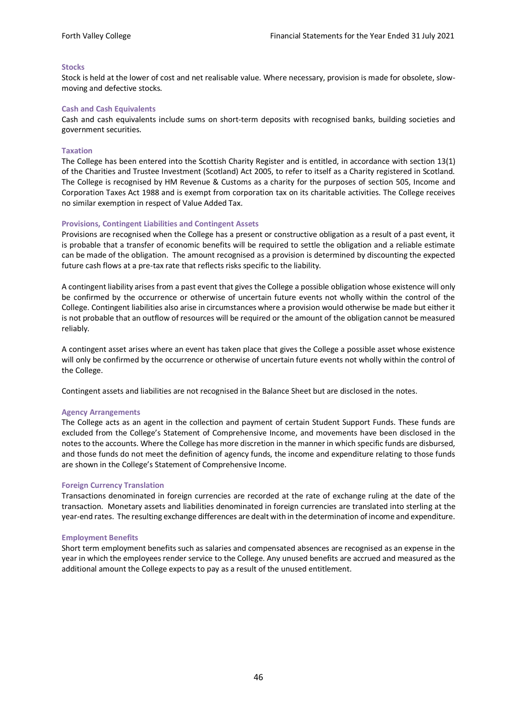#### **Stocks**

Stock is held at the lower of cost and net realisable value. Where necessary, provision is made for obsolete, slowmoving and defective stocks.

#### **Cash and Cash Equivalents**

Cash and cash equivalents include sums on short-term deposits with recognised banks, building societies and government securities.

#### **Taxation**

The College has been entered into the Scottish Charity Register and is entitled, in accordance with section 13(1) of the Charities and Trustee Investment (Scotland) Act 2005, to refer to itself as a Charity registered in Scotland. The College is recognised by HM Revenue & Customs as a charity for the purposes of section 505, Income and Corporation Taxes Act 1988 and is exempt from corporation tax on its charitable activities. The College receives no similar exemption in respect of Value Added Tax.

#### **Provisions, Contingent Liabilities and Contingent Assets**

Provisions are recognised when the College has a present or constructive obligation as a result of a past event, it is probable that a transfer of economic benefits will be required to settle the obligation and a reliable estimate can be made of the obligation. The amount recognised as a provision is determined by discounting the expected future cash flows at a pre-tax rate that reflects risks specific to the liability.

A contingent liability arises from a past event that gives the College a possible obligation whose existence will only be confirmed by the occurrence or otherwise of uncertain future events not wholly within the control of the College. Contingent liabilities also arise in circumstances where a provision would otherwise be made but either it is not probable that an outflow of resources will be required or the amount of the obligation cannot be measured reliably.

A contingent asset arises where an event has taken place that gives the College a possible asset whose existence will only be confirmed by the occurrence or otherwise of uncertain future events not wholly within the control of the College.

Contingent assets and liabilities are not recognised in the Balance Sheet but are disclosed in the notes.

#### **Agency Arrangements**

The College acts as an agent in the collection and payment of certain Student Support Funds. These funds are excluded from the College's Statement of Comprehensive Income, and movements have been disclosed in the notes to the accounts. Where the College has more discretion in the manner in which specific funds are disbursed, and those funds do not meet the definition of agency funds, the income and expenditure relating to those funds are shown in the College's Statement of Comprehensive Income.

#### **Foreign Currency Translation**

Transactions denominated in foreign currencies are recorded at the rate of exchange ruling at the date of the transaction. Monetary assets and liabilities denominated in foreign currencies are translated into sterling at the year-end rates. The resulting exchange differences are dealt with in the determination of income and expenditure.

#### **Employment Benefits**

Short term employment benefits such as salaries and compensated absences are recognised as an expense in the year in which the employees render service to the College. Any unused benefits are accrued and measured as the additional amount the College expects to pay as a result of the unused entitlement.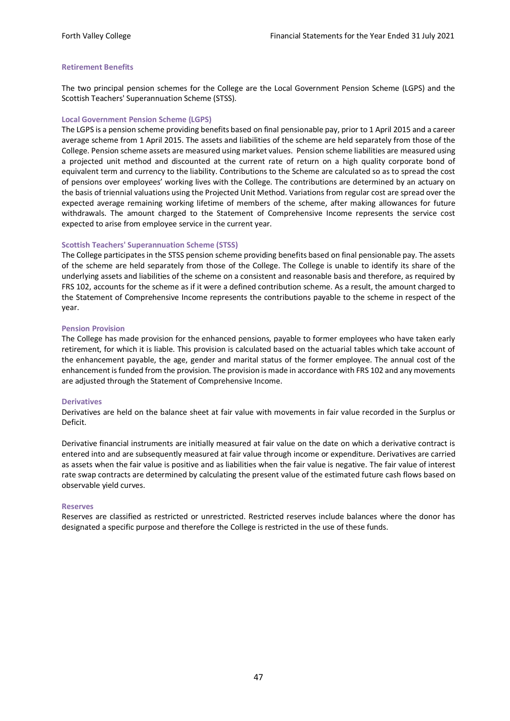#### **Retirement Benefits**

The two principal pension schemes for the College are the Local Government Pension Scheme (LGPS) and the Scottish Teachers' Superannuation Scheme (STSS).

#### **Local Government Pension Scheme (LGPS)**

The LGPS is a pension scheme providing benefits based on final pensionable pay, prior to 1 April 2015 and a career average scheme from 1 April 2015. The assets and liabilities of the scheme are held separately from those of the College. Pension scheme assets are measured using market values. Pension scheme liabilities are measured using a projected unit method and discounted at the current rate of return on a high quality corporate bond of equivalent term and currency to the liability. Contributions to the Scheme are calculated so as to spread the cost of pensions over employees' working lives with the College. The contributions are determined by an actuary on the basis of triennial valuations using the Projected Unit Method. Variations from regular cost are spread over the expected average remaining working lifetime of members of the scheme, after making allowances for future withdrawals. The amount charged to the Statement of Comprehensive Income represents the service cost expected to arise from employee service in the current year.

#### **Scottish Teachers' Superannuation Scheme (STSS)**

The College participates in the STSS pension scheme providing benefits based on final pensionable pay. The assets of the scheme are held separately from those of the College. The College is unable to identify its share of the underlying assets and liabilities of the scheme on a consistent and reasonable basis and therefore, as required by FRS 102, accounts for the scheme as if it were a defined contribution scheme. As a result, the amount charged to the Statement of Comprehensive Income represents the contributions payable to the scheme in respect of the year.

#### **Pension Provision**

The College has made provision for the enhanced pensions, payable to former employees who have taken early retirement, for which it is liable. This provision is calculated based on the actuarial tables which take account of the enhancement payable, the age, gender and marital status of the former employee. The annual cost of the enhancement is funded from the provision. The provision is made in accordance with FRS 102 and any movements are adjusted through the Statement of Comprehensive Income.

#### **Derivatives**

Derivatives are held on the balance sheet at fair value with movements in fair value recorded in the Surplus or Deficit.

Derivative financial instruments are initially measured at fair value on the date on which a derivative contract is entered into and are subsequently measured at fair value through income or expenditure. Derivatives are carried as assets when the fair value is positive and as liabilities when the fair value is negative. The fair value of interest rate swap contracts are determined by calculating the present value of the estimated future cash flows based on observable yield curves.

#### **Reserves**

Reserves are classified as restricted or unrestricted. Restricted reserves include balances where the donor has designated a specific purpose and therefore the College is restricted in the use of these funds.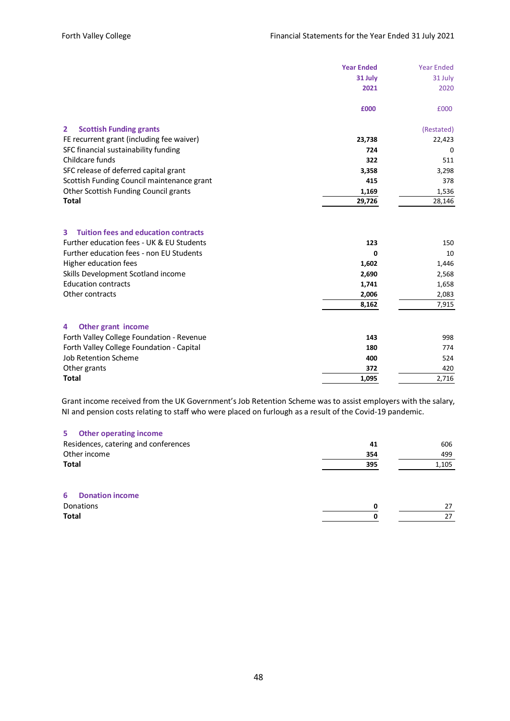|                                                                                                                                                                    | <b>Year Ended</b> | <b>Year Ended</b>  |
|--------------------------------------------------------------------------------------------------------------------------------------------------------------------|-------------------|--------------------|
|                                                                                                                                                                    | 31 July           | 31 July            |
|                                                                                                                                                                    | 2021              | 2020               |
|                                                                                                                                                                    | £000              | £000               |
| <b>Scottish Funding grants</b><br>$\mathbf{2}$                                                                                                                     |                   | (Restated)         |
| FE recurrent grant (including fee waiver)                                                                                                                          | 23,738            | 22,423             |
| SFC financial sustainability funding                                                                                                                               | 724               | 0                  |
| Childcare funds                                                                                                                                                    | 322               | 511                |
| SFC release of deferred capital grant                                                                                                                              | 3,358             | 3,298              |
| Scottish Funding Council maintenance grant                                                                                                                         | 415               | 378                |
| Other Scottish Funding Council grants                                                                                                                              | 1,169             | 1,536              |
| <b>Total</b>                                                                                                                                                       | 29,726            | 28,146             |
| 3<br><b>Tuition fees and education contracts</b><br>Further education fees - UK & EU Students<br>Further education fees - non EU Students<br>Higher education fees | 123<br>0<br>1,602 | 150<br>10<br>1,446 |
| Skills Development Scotland income                                                                                                                                 | 2,690             | 2,568              |
| <b>Education contracts</b>                                                                                                                                         | 1,741             | 1,658              |
| Other contracts                                                                                                                                                    | 2,006             | 2,083              |
|                                                                                                                                                                    | 8,162             | 7,915              |
| Other grant income<br>4                                                                                                                                            |                   |                    |
| Forth Valley College Foundation - Revenue                                                                                                                          | 143               | 998                |
| Forth Valley College Foundation - Capital                                                                                                                          | 180               | 774                |
| <b>Job Retention Scheme</b>                                                                                                                                        | 400               | 524                |
| Other grants                                                                                                                                                       | 372               | 420                |
| <b>Total</b>                                                                                                                                                       | 1,095             | 2,716              |

Grant income received from the UK Government's Job Retention Scheme was to assist employers with the salary, NI and pension costs relating to staff who were placed on furlough as a result of the Covid-19 pandemic.

## **5 Other operating income**

| Residences, catering and conferences | 41  | 606   |
|--------------------------------------|-----|-------|
| Other income                         | 354 | 499   |
| <b>Total</b>                         | 395 | 1,105 |
| <b>Donation income</b><br>6          |     |       |
| Donations                            | 0   | 27    |
| <b>Total</b>                         | O   | 27    |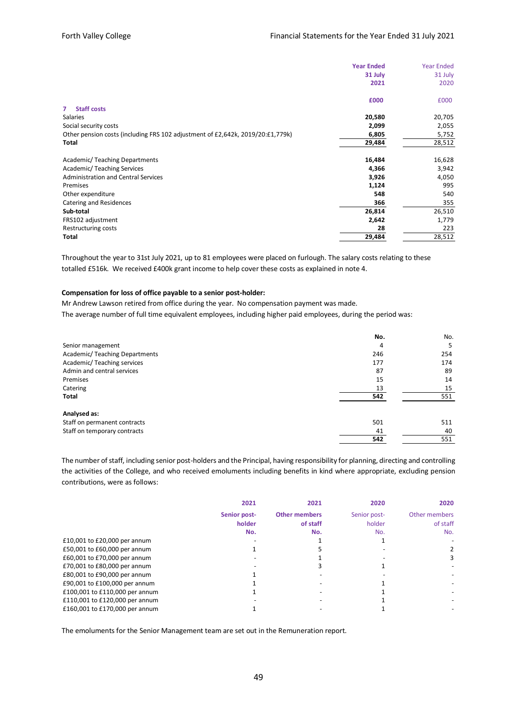|                                                                                | <b>Year Ended</b> | <b>Year Ended</b> |
|--------------------------------------------------------------------------------|-------------------|-------------------|
|                                                                                | 31 July           | 31 July           |
|                                                                                | 2021              | 2020              |
|                                                                                | £000              | £000              |
| <b>Staff costs</b><br>7                                                        |                   |                   |
| Salaries                                                                       | 20,580            | 20,705            |
| Social security costs                                                          | 2,099             | 2,055             |
| Other pension costs (including FRS 102 adjustment of £2,642k, 2019/20:£1,779k) | 6,805             | 5,752             |
| Total                                                                          | 29,484            | 28,512            |
| <b>Academic/Teaching Departments</b>                                           | 16,484            | 16,628            |
| Academic/Teaching Services                                                     | 4,366             | 3,942             |
| <b>Administration and Central Services</b>                                     | 3,926             | 4,050             |
| Premises                                                                       | 1,124             | 995               |
| Other expenditure                                                              | 548               | 540               |
| Catering and Residences                                                        | 366               | 355               |
| Sub-total                                                                      | 26,814            | 26,510            |
| FRS102 adjustment                                                              | 2,642             | 1,779             |
| Restructuring costs                                                            | 28                | 223               |
| <b>Total</b>                                                                   | 29,484            | 28,512            |

Throughout the year to 31st July 2021, up to 81 employees were placed on furlough. The salary costs relating to these totalled £516k. We received £400k grant income to help cover these costs as explained in note 4.

#### **Compensation for loss of office payable to a senior post-holder:**

Mr Andrew Lawson retired from office during the year. No compensation payment was made.

The average number of full time equivalent employees, including higher paid employees, during the period was:

|                               | No. | No. |
|-------------------------------|-----|-----|
| Senior management             | 4   | 5   |
| Academic/Teaching Departments | 246 | 254 |
| Academic/Teaching services    | 177 | 174 |
| Admin and central services    | 87  | 89  |
| Premises                      | 15  | 14  |
| Catering                      | 13  | 15  |
| Total                         | 542 | 551 |
| Analysed as:                  |     |     |
| Staff on permanent contracts  | 501 | 511 |
| Staff on temporary contracts  | 41  | 40  |
|                               | 542 | 551 |

The number of staff, including senior post-holders and the Principal, having responsibility for planning, directing and controlling the activities of the College, and who received emoluments including benefits in kind where appropriate, excluding pension contributions, were as follows:

|                                | 2021         | 2021                 | 2020         | 2020          |
|--------------------------------|--------------|----------------------|--------------|---------------|
|                                | Senior post- | <b>Other members</b> | Senior post- | Other members |
|                                | holder       | of staff             | holder       | of staff      |
|                                | No.          | No.                  | No.          | No.           |
| £10,001 to £20,000 per annum   |              |                      |              |               |
| £50,001 to £60,000 per annum   |              |                      |              |               |
| £60,001 to £70,000 per annum   |              |                      |              |               |
| £70,001 to £80,000 per annum   |              |                      |              |               |
| £80,001 to £90,000 per annum   |              |                      |              |               |
| £90,001 to £100,000 per annum  |              |                      |              |               |
| £100,001 to £110,000 per annum |              |                      |              |               |
| £110,001 to £120,000 per annum |              |                      |              |               |
| £160,001 to £170,000 per annum |              |                      |              |               |

The emoluments for the Senior Management team are set out in the Remuneration report.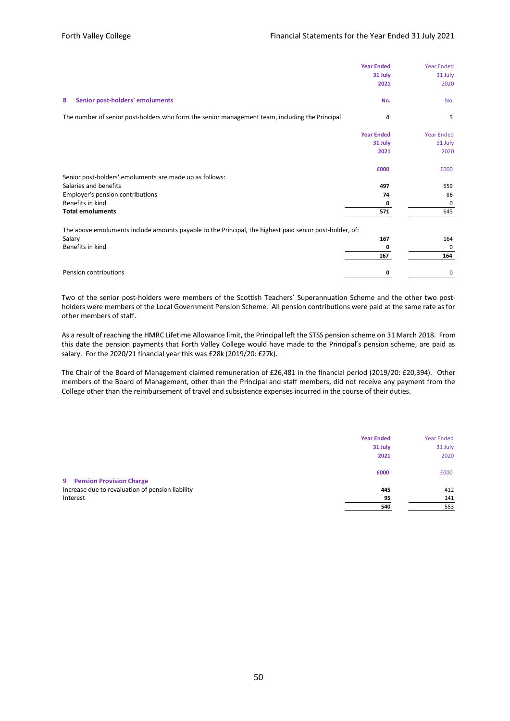|                                                                                                         | <b>Year Ended</b><br>31 July<br>2021 | <b>Year Ended</b><br>31 July<br>2020 |
|---------------------------------------------------------------------------------------------------------|--------------------------------------|--------------------------------------|
| Senior post-holders' emoluments<br>8                                                                    | No.                                  | No.                                  |
| The number of senior post-holders who form the senior management team, including the Principal          | 4                                    | 5                                    |
|                                                                                                         | <b>Year Ended</b>                    | <b>Year Ended</b>                    |
|                                                                                                         | 31 July                              | 31 July                              |
|                                                                                                         | 2021                                 | 2020                                 |
|                                                                                                         | £000                                 | £000                                 |
| Senior post-holders' emoluments are made up as follows:                                                 |                                      |                                      |
| Salaries and benefits                                                                                   | 497                                  | 559                                  |
| Employer's pension contributions                                                                        | 74                                   | 86                                   |
| Benefits in kind                                                                                        | 0                                    | 0                                    |
| <b>Total emoluments</b>                                                                                 | 571                                  | 645                                  |
| The above emoluments include amounts payable to the Principal, the highest paid senior post-holder, of: |                                      |                                      |
| Salary                                                                                                  | 167                                  | 164                                  |
| Benefits in kind                                                                                        | 0                                    | 0                                    |
|                                                                                                         | 167                                  | 164                                  |
| Pension contributions                                                                                   | 0                                    | 0                                    |

Two of the senior post-holders were members of the Scottish Teachers' Superannuation Scheme and the other two postholders were members of the Local Government Pension Scheme. All pension contributions were paid at the same rate as for other members of staff.

As a result of reaching the HMRC Lifetime Allowance limit, the Principal left the STSS pension scheme on 31 March 2018. From this date the pension payments that Forth Valley College would have made to the Principal's pension scheme, are paid as salary. For the 2020/21 financial year this was £28k (2019/20: £27k).

The Chair of the Board of Management claimed remuneration of £26,481 in the financial period (2019/20: £20,394). Other members of the Board of Management, other than the Principal and staff members, did not receive any payment from the College other than the reimbursement of travel and subsistence expenses incurred in the course of their duties.

|                                                  | <b>Year Ended</b> | <b>Year Ended</b> |
|--------------------------------------------------|-------------------|-------------------|
|                                                  | 31 July           | 31 July           |
|                                                  | 2021              | 2020              |
|                                                  | £000              | £000              |
| 9 Pension Provision Charge                       |                   |                   |
| Increase due to revaluation of pension liability | 445               | 412               |
| Interest                                         | 95                | 141               |
|                                                  | 540               | 553               |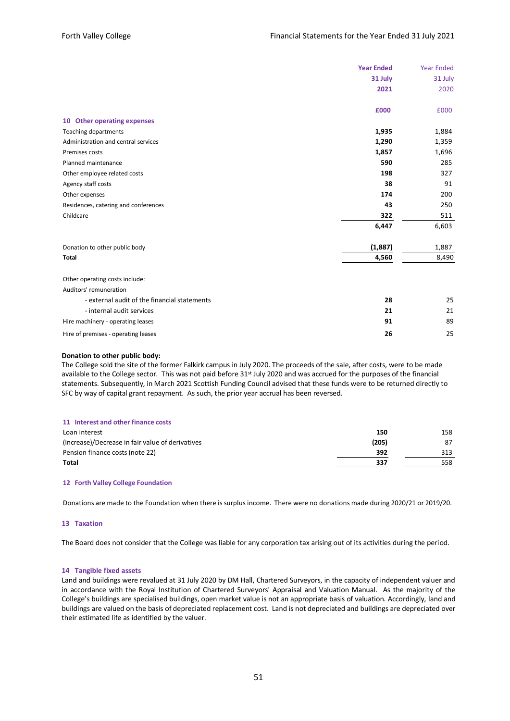|                                              | <b>Year Ended</b> | <b>Year Ended</b> |
|----------------------------------------------|-------------------|-------------------|
|                                              |                   |                   |
|                                              | 31 July           | 31 July           |
|                                              | 2021              | 2020              |
|                                              | £000              | £000              |
| 10 Other operating expenses                  |                   |                   |
| <b>Teaching departments</b>                  | 1,935             | 1,884             |
| Administration and central services          | 1,290             | 1,359             |
| Premises costs                               | 1,857             | 1,696             |
| Planned maintenance                          | 590               | 285               |
| Other employee related costs                 | 198               | 327               |
| Agency staff costs                           | 38                | 91                |
| Other expenses                               | 174               | 200               |
| Residences, catering and conferences         | 43                | 250               |
| Childcare                                    | 322               | 511               |
|                                              | 6,447             | 6,603             |
| Donation to other public body                | (1,887)           | 1,887             |
| <b>Total</b>                                 | 4,560             | 8,490             |
| Other operating costs include:               |                   |                   |
| Auditors' remuneration                       |                   |                   |
| - external audit of the financial statements | 28                | 25                |
| - internal audit services                    | 21                | 21                |
| Hire machinery - operating leases            | 91                | 89                |
| Hire of premises - operating leases          | 26                | 25                |

#### **Donation to other public body:**

The College sold the site of the former Falkirk campus in July 2020. The proceeds of the sale, after costs, were to be made available to the College sector. This was not paid before 31<sup>st</sup> July 2020 and was accrued for the purposes of the financial statements. Subsequently, in March 2021 Scottish Funding Council advised that these funds were to be returned directly to SFC by way of capital grant repayment. As such, the prior year accrual has been reversed.

| 11 Interest and other finance costs              |       |     |
|--------------------------------------------------|-------|-----|
| Loan interest                                    | 150   | 158 |
| (Increase)/Decrease in fair value of derivatives | (205) | 87  |
| Pension finance costs (note 22)                  | 392   | 313 |
| Total                                            | 337   | 558 |

#### **12 Forth Valley College Foundation**

Donations are made to the Foundation when there is surplus income. There were no donations made during 2020/21 or 2019/20.

#### **13 Taxation**

The Board does not consider that the College was liable for any corporation tax arising out of its activities during the period.

#### **14 Tangible fixed assets**

Land and buildings were revalued at 31 July 2020 by DM Hall, Chartered Surveyors, in the capacity of independent valuer and in accordance with the Royal Institution of Chartered Surveyors' Appraisal and Valuation Manual. As the majority of the College's buildings are specialised buildings, open market value is not an appropriate basis of valuation. Accordingly, land and buildings are valued on the basis of depreciated replacement cost. Land is not depreciated and buildings are depreciated over their estimated life as identified by the valuer.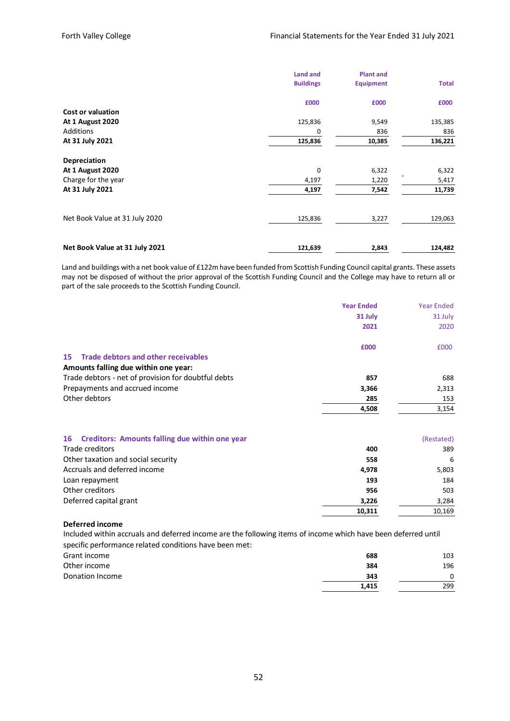|                                | <b>Land and</b><br><b>Buildings</b> | <b>Plant and</b><br><b>Equipment</b> | <b>Total</b> |
|--------------------------------|-------------------------------------|--------------------------------------|--------------|
|                                | £000                                | £000                                 | £000         |
| <b>Cost or valuation</b>       |                                     |                                      |              |
| <b>At 1 August 2020</b>        | 125,836                             | 9,549                                | 135,385      |
| Additions                      | 0                                   | 836                                  | 836          |
| At 31 July 2021                | 125,836                             | 10,385                               | 136,221      |
| Depreciation                   |                                     |                                      |              |
| <b>At 1 August 2020</b>        | 0                                   | 6,322                                | 6,322        |
| Charge for the year            | 4,197                               | ×<br>1,220                           | 5,417        |
| At 31 July 2021                | 4,197                               | 7,542                                | 11,739       |
| Net Book Value at 31 July 2020 | 125,836                             | 3,227                                | 129,063      |
|                                |                                     |                                      |              |
| Net Book Value at 31 July 2021 | 121,639                             | 2,843                                | 124,482      |

Land and buildings with a net book value of £122m have been funded from Scottish Funding Council capital grants. These assets may not be disposed of without the prior approval of the Scottish Funding Council and the College may have to return all or part of the sale proceeds to the Scottish Funding Council.

|                                                      | <b>Year Ended</b> | <b>Year Ended</b> |
|------------------------------------------------------|-------------------|-------------------|
|                                                      | 31 July           | 31 July           |
|                                                      | 2021              | 2020              |
|                                                      | £000              | £000              |
| <b>Trade debtors and other receivables</b><br>15     |                   |                   |
| Amounts falling due within one year:                 |                   |                   |
| Trade debtors - net of provision for doubtful debts  | 857               | 688               |
| Prepayments and accrued income                       | 3,366             | 2,313             |
| Other debtors                                        | 285               | 153               |
|                                                      | 4,508             | 3,154             |
| Creditors: Amounts falling due within one year<br>16 |                   | (Restated)        |
| Trade creditors                                      | 400               | 389               |

| Trade creditors                    | 400    | 389    |
|------------------------------------|--------|--------|
| Other taxation and social security | 558    | 6      |
| Accruals and deferred income       | 4,978  | 5,803  |
| Loan repayment                     | 193    | 184    |
| Other creditors                    | 956    | 503    |
| Deferred capital grant             | 3,226  | 3,284  |
|                                    | 10,311 | 10,169 |

#### **Deferred income**

Included within accruals and deferred income are the following items of income which have been deferred until specific performance related conditions have been met:

| Grant income    | 688   | 103 |
|-----------------|-------|-----|
| Other income    | 384   | 196 |
| Donation Income | 343   |     |
|                 | 1.415 | 299 |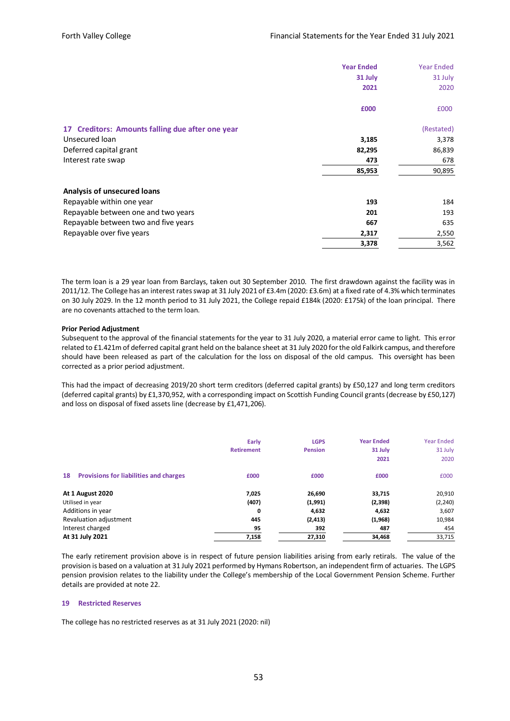|                                                  | <b>Year Ended</b> | <b>Year Ended</b> |
|--------------------------------------------------|-------------------|-------------------|
|                                                  | 31 July           | 31 July           |
|                                                  | 2021              | 2020              |
|                                                  | £000              | £000              |
| 17 Creditors: Amounts falling due after one year |                   | (Restated)        |
| Unsecured loan                                   | 3,185             | 3,378             |
| Deferred capital grant                           | 82,295            | 86,839            |
| Interest rate swap                               | 473               | 678               |
|                                                  | 85,953            | 90,895            |
| Analysis of unsecured loans                      |                   |                   |
| Repayable within one year                        | 193               | 184               |
| Repayable between one and two years              | 201               | 193               |
| Repayable between two and five years             | 667               | 635               |
| Repayable over five years                        | 2,317             | 2,550             |
|                                                  | 3,378             | 3,562             |

The term loan is a 29 year loan from Barclays, taken out 30 September 2010. The first drawdown against the facility was in 2011/12. The College has an interest rates swap at 31 July 2021 of £3.4m (2020: £3.6m) at a fixed rate of 4.3% which terminates on 30 July 2029. In the 12 month period to 31 July 2021, the College repaid £184k (2020: £175k) of the loan principal. There are no covenants attached to the term loan.

#### **Prior Period Adjustment**

Subsequent to the approval of the financial statements for the year to 31 July 2020, a material error came to light. This error related to £1.421m of deferred capital grant held on the balance sheet at 31 July 2020 for the old Falkirk campus, and therefore should have been released as part of the calculation for the loss on disposal of the old campus. This oversight has been corrected as a prior period adjustment.

This had the impact of decreasing 2019/20 short term creditors (deferred capital grants) by £50,127 and long term creditors (deferred capital grants) by £1,370,952, with a corresponding impact on Scottish Funding Council grants (decrease by £50,127) and loss on disposal of fixed assets line (decrease by £1,471,206).

|                                                     | Early<br><b>Retirement</b> | <b>LGPS</b><br><b>Pension</b> | <b>Year Ended</b><br>31 July | <b>Year Ended</b><br>31 July |
|-----------------------------------------------------|----------------------------|-------------------------------|------------------------------|------------------------------|
|                                                     |                            |                               | 2021                         | 2020                         |
| <b>Provisions for liabilities and charges</b><br>18 | £000                       | £000                          | £000                         | £000                         |
| <b>At 1 August 2020</b>                             | 7,025                      | 26,690                        | 33,715                       | 20,910                       |
| Utilised in year                                    | (407)                      | (1,991)                       | (2,398)                      | (2, 240)                     |
| Additions in year                                   | 0                          | 4,632                         | 4,632                        | 3,607                        |
| Revaluation adjustment                              | 445                        | (2, 413)                      | (1,968)                      | 10,984                       |
| Interest charged                                    | 95                         | 392                           | 487                          | 454                          |
| At 31 July 2021                                     | 7,158                      | 27,310                        | 34,468                       | 33,715                       |

The early retirement provision above is in respect of future pension liabilities arising from early retirals. The value of the provision is based on a valuation at 31 July 2021 performed by Hymans Robertson, an independent firm of actuaries. The LGPS pension provision relates to the liability under the College's membership of the Local Government Pension Scheme. Further details are provided at note 22.

#### **19 Restricted Reserves**

The college has no restricted reserves as at 31 July 2021 (2020: nil)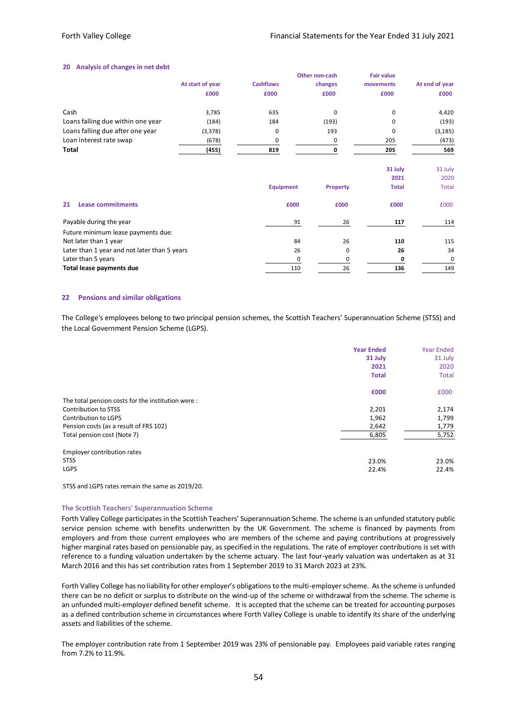#### **20 Analysis of changes in net debt**

|                                   |                  |                  | Other non-cash | <b>Fair value</b> |                |
|-----------------------------------|------------------|------------------|----------------|-------------------|----------------|
|                                   | At start of year | <b>Cashflows</b> | changes        | movements         | At end of year |
|                                   | £000             | £000             | £000           | £000              | £000           |
| Cash                              | 3,785            | 635              | 0              | 0                 | 4,420          |
| Loans falling due within one year | (184)            | 184              | (193)          | 0                 | (193)          |
| Loans falling due after one year  | (3, 378)         | 0                | 193            | 0                 | (3, 185)       |
| Loan interest rate swap           | (678)            | 0                | 0              | 205               | (473)          |
| <b>Total</b>                      | (455)            | 819              | 0              | 205               | 569            |
|                                   |                  |                  |                | 31 July           | 31 July        |
|                                   |                  |                  |                | 2021              | 2020           |
|                                   |                  | <b>Equipment</b> | Property       | <b>Total</b>      | <b>Total</b>   |

| <b>Lease commitments</b><br>21               | £000     | £000 | £000 | £000 |
|----------------------------------------------|----------|------|------|------|
| Payable during the year                      | 91       | 26   | 117  | 114  |
| Future minimum lease payments due:           |          |      |      |      |
| Not later than 1 year                        | 84       | 26   | 110  | 115  |
| Later than 1 year and not later than 5 years | 26       |      | 26   | 34   |
| Later than 5 years                           | $\Omega$ |      |      |      |
| Total lease payments due                     | 110      | 26   | 136  | 149  |

#### **22 Pensions and similar obligations**

The College's employees belong to two principal pension schemes, the Scottish Teachers' Superannuation Scheme (STSS) and the Local Government Pension Scheme (LGPS).

|                                                   | <b>Year Ended</b><br>31 July<br>2021 | <b>Year Ended</b><br>31 July<br>2020 |
|---------------------------------------------------|--------------------------------------|--------------------------------------|
|                                                   | <b>Total</b>                         | <b>Total</b>                         |
|                                                   | £000                                 | £000                                 |
| The total pension costs for the institution were: |                                      |                                      |
| Contribution to STSS                              | 2,201                                | 2,174                                |
| Contribution to LGPS                              | 1,962                                | 1,799                                |
| Pension costs (as a result of FRS 102)            | 2,642                                | 1,779                                |
| Total pension cost (Note 7)                       | 6,805                                | 5,752                                |
| Employer contribution rates                       |                                      |                                      |
| <b>STSS</b>                                       | 23.0%                                | 23.0%                                |
| <b>LGPS</b>                                       | 22.4%                                | 22.4%                                |

STSS and LGPS rates remain the same as 2019/20.

#### **The Scottish Teachers' Superannuation Scheme**

Forth Valley College participates in the Scottish Teachers' Superannuation Scheme. The scheme is an unfunded statutory public service pension scheme with benefits underwritten by the UK Government. The scheme is financed by payments from employers and from those current employees who are members of the scheme and paying contributions at progressively higher marginal rates based on pensionable pay, as specified in the regulations. The rate of employer contributions is set with reference to a funding valuation undertaken by the scheme actuary. The last four-yearly valuation was undertaken as at 31 March 2016 and this has set contribution rates from 1 September 2019 to 31 March 2023 at 23%.

Forth Valley College has no liability for other employer's obligations to the multi-employer scheme. As the scheme is unfunded there can be no deficit or surplus to distribute on the wind-up of the scheme or withdrawal from the scheme. The scheme is an unfunded multi-employer defined benefit scheme. It is accepted that the scheme can be treated for accounting purposes as a defined contribution scheme in circumstances where Forth Valley College is unable to identify its share of the underlying assets and liabilities of the scheme.

The employer contribution rate from 1 September 2019 was 23% of pensionable pay. Employees paid variable rates ranging from 7.2% to 11.9%.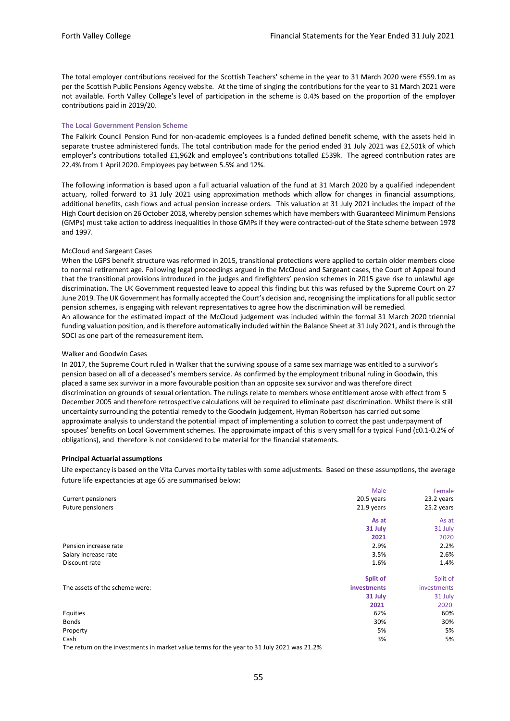The total employer contributions received for the Scottish Teachers' scheme in the year to 31 March 2020 were £559.1m as per the Scottish Public Pensions Agency website. At the time of singing the contributions for the year to 31 March 2021 were not available. Forth Valley College's level of participation in the scheme is 0.4% based on the proportion of the employer contributions paid in 2019/20.

#### **The Local Government Pension Scheme**

The Falkirk Council Pension Fund for non-academic employees is a funded defined benefit scheme, with the assets held in separate trustee administered funds. The total contribution made for the period ended 31 July 2021 was £2,501k of which employer's contributions totalled £1,962k and employee's contributions totalled £539k. The agreed contribution rates are 22.4% from 1 April 2020. Employees pay between 5.5% and 12%.

The following information is based upon a full actuarial valuation of the fund at 31 March 2020 by a qualified independent actuary, rolled forward to 31 July 2021 using approximation methods which allow for changes in financial assumptions, additional benefits, cash flows and actual pension increase orders. This valuation at 31 July 2021 includes the impact of the High Court decision on 26 October 2018, whereby pension schemes which have members with Guaranteed Minimum Pensions (GMPs) must take action to address inequalities in those GMPs if they were contracted-out of the State scheme between 1978 and 1997.

#### McCloud and Sargeant Cases

When the LGPS benefit structure was reformed in 2015, transitional protections were applied to certain older members close to normal retirement age. Following legal proceedings argued in the McCloud and Sargeant cases, the Court of Appeal found that the transitional provisions introduced in the judges and firefighters' pension schemes in 2015 gave rise to unlawful age discrimination. The UK Government requested leave to appeal this finding but this was refused by the Supreme Court on 27 June 2019. The UK Government has formally accepted the Court's decision and, recognising the implications for all public sector pension schemes, is engaging with relevant representatives to agree how the discrimination will be remedied. An allowance for the estimated impact of the McCloud judgement was included within the formal 31 March 2020 triennial funding valuation position, and is therefore automatically included within the Balance Sheet at 31 July 2021, and is through the SOCI as one part of the remeasurement item.

#### Walker and Goodwin Cases

In 2017, the Supreme Court ruled in Walker that the surviving spouse of a same sex marriage was entitled to a survivor's pension based on all of a deceased's members service. As confirmed by the employment tribunal ruling in Goodwin, this placed a same sex survivor in a more favourable position than an opposite sex survivor and was therefore direct discrimination on grounds of sexual orientation. The rulings relate to members whose entitlement arose with effect from 5 December 2005 and therefore retrospective calculations will be required to eliminate past discrimination. Whilst there is still uncertainty surrounding the potential remedy to the Goodwin judgement, Hyman Robertson has carried out some approximate analysis to understand the potential impact of implementing a solution to correct the past underpayment of spouses' benefits on Local Government schemes. The approximate impact of this is very small for a typical Fund (c0.1-0.2% of obligations), and therefore is not considered to be material for the financial statements.

#### **Principal Actuarial assumptions**

Life expectancy is based on the Vita Curves mortality tables with some adjustments. Based on these assumptions, the average future life expectancies at age 65 are summarised below:

|                                | Male        | Female      |
|--------------------------------|-------------|-------------|
| Current pensioners             | 20.5 years  | 23.2 years  |
| Future pensioners              | 21.9 years  | 25.2 years  |
|                                | As at       | As at       |
|                                | 31 July     | 31 July     |
|                                | 2021        | 2020        |
| Pension increase rate          | 2.9%        | 2.2%        |
| Salary increase rate           | 3.5%        | 2.6%        |
| Discount rate                  | 1.6%        | 1.4%        |
|                                | Split of    | Split of    |
| The assets of the scheme were: | investments | investments |
|                                | 31 July     | 31 July     |
|                                | 2021        | 2020        |
| Equities                       | 62%         | 60%         |
| <b>Bonds</b>                   | 30%         | 30%         |
| Property                       | 5%          | 5%          |
| Cash                           | 3%          | 5%          |
| $\sim$ $\sim$                  | .           |             |

The return on the investments in market value terms for the year to 31 July 2021 was 21.2%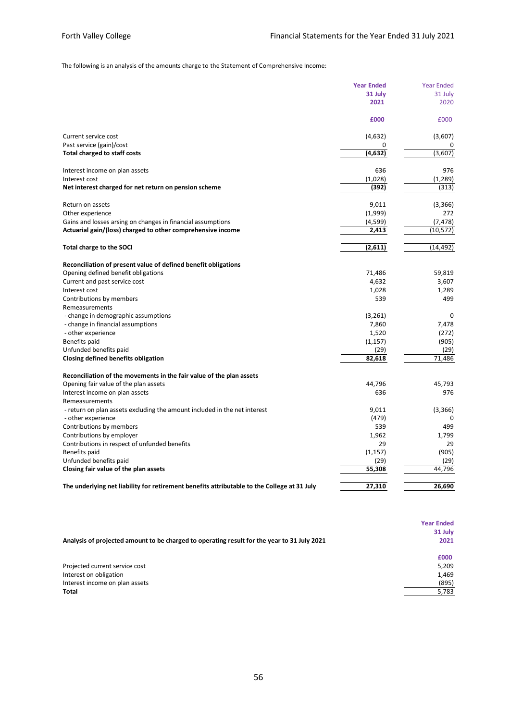The following is an analysis of the amounts charge to the Statement of Comprehensive Income:

| 31 July<br>31 July<br>2021<br>2020<br>£000<br>£000<br>Current service cost<br>(4,632)<br>(3,607)<br>Past service (gain)/cost<br>(3,607)<br><b>Total charged to staff costs</b><br>(4,632)<br>976<br>Interest income on plan assets<br>636<br>(1,028)<br>(1, 289)<br>Interest cost<br>Net interest charged for net return on pension scheme<br>(392)<br>(313)<br>9,011<br>(3,366)<br>Return on assets<br>(1,999)<br>272<br>Other experience<br>Gains and losses arsing on changes in financial assumptions<br>(7, 478)<br>(4,599)<br>Actuarial gain/(loss) charged to other comprehensive income<br>2,413<br>(10, 572)<br>(2,611)<br>(14, 492)<br>Total charge to the SOCI<br>Reconciliation of present value of defined benefit obligations<br>Opening defined benefit obligations<br>71,486<br>59,819<br>Current and past service cost<br>4,632<br>3,607<br>1,028<br>1,289<br>Interest cost<br>Contributions by members<br>539<br>499<br>Remeasurements<br>(3, 261)<br>- change in demographic assumptions<br>0<br>- change in financial assumptions<br>7,860<br>7,478<br>- other experience<br>1,520<br>(272)<br>Benefits paid<br>(1, 157)<br>(905)<br>Unfunded benefits paid<br>(29)<br>(29)<br>Closing defined benefits obligation<br>82,618<br>71,486<br>Reconciliation of the movements in the fair value of the plan assets<br>45,793<br>Opening fair value of the plan assets<br>44,796<br>Interest income on plan assets<br>636<br>976<br>Remeasurements<br>- return on plan assets excluding the amount included in the net interest<br>9,011<br>(3,366)<br>(479)<br>- other experience<br>0<br>Contributions by members<br>539<br>499<br>1,962<br>Contributions by employer<br>1,799<br>29<br>29<br>Contributions in respect of unfunded benefits<br>(905)<br>Benefits paid<br>(1, 157)<br>Unfunded benefits paid<br>(29)<br>(29)<br>Closing fair value of the plan assets<br>55,308<br>44,796<br>The underlying net liability for retirement benefits attributable to the College at 31 July<br>27,310<br>26,690 | <b>Year Ended</b> | <b>Year Ended</b> |
|------------------------------------------------------------------------------------------------------------------------------------------------------------------------------------------------------------------------------------------------------------------------------------------------------------------------------------------------------------------------------------------------------------------------------------------------------------------------------------------------------------------------------------------------------------------------------------------------------------------------------------------------------------------------------------------------------------------------------------------------------------------------------------------------------------------------------------------------------------------------------------------------------------------------------------------------------------------------------------------------------------------------------------------------------------------------------------------------------------------------------------------------------------------------------------------------------------------------------------------------------------------------------------------------------------------------------------------------------------------------------------------------------------------------------------------------------------------------------------------------------------------------------------------------------------------------------------------------------------------------------------------------------------------------------------------------------------------------------------------------------------------------------------------------------------------------------------------------------------------------------------------------------------------------------------------------------------------------------------------------------------------------------|-------------------|-------------------|
|                                                                                                                                                                                                                                                                                                                                                                                                                                                                                                                                                                                                                                                                                                                                                                                                                                                                                                                                                                                                                                                                                                                                                                                                                                                                                                                                                                                                                                                                                                                                                                                                                                                                                                                                                                                                                                                                                                                                                                                                                              |                   |                   |
|                                                                                                                                                                                                                                                                                                                                                                                                                                                                                                                                                                                                                                                                                                                                                                                                                                                                                                                                                                                                                                                                                                                                                                                                                                                                                                                                                                                                                                                                                                                                                                                                                                                                                                                                                                                                                                                                                                                                                                                                                              |                   |                   |
|                                                                                                                                                                                                                                                                                                                                                                                                                                                                                                                                                                                                                                                                                                                                                                                                                                                                                                                                                                                                                                                                                                                                                                                                                                                                                                                                                                                                                                                                                                                                                                                                                                                                                                                                                                                                                                                                                                                                                                                                                              |                   |                   |
|                                                                                                                                                                                                                                                                                                                                                                                                                                                                                                                                                                                                                                                                                                                                                                                                                                                                                                                                                                                                                                                                                                                                                                                                                                                                                                                                                                                                                                                                                                                                                                                                                                                                                                                                                                                                                                                                                                                                                                                                                              |                   |                   |
|                                                                                                                                                                                                                                                                                                                                                                                                                                                                                                                                                                                                                                                                                                                                                                                                                                                                                                                                                                                                                                                                                                                                                                                                                                                                                                                                                                                                                                                                                                                                                                                                                                                                                                                                                                                                                                                                                                                                                                                                                              |                   |                   |
|                                                                                                                                                                                                                                                                                                                                                                                                                                                                                                                                                                                                                                                                                                                                                                                                                                                                                                                                                                                                                                                                                                                                                                                                                                                                                                                                                                                                                                                                                                                                                                                                                                                                                                                                                                                                                                                                                                                                                                                                                              |                   |                   |
|                                                                                                                                                                                                                                                                                                                                                                                                                                                                                                                                                                                                                                                                                                                                                                                                                                                                                                                                                                                                                                                                                                                                                                                                                                                                                                                                                                                                                                                                                                                                                                                                                                                                                                                                                                                                                                                                                                                                                                                                                              |                   |                   |
|                                                                                                                                                                                                                                                                                                                                                                                                                                                                                                                                                                                                                                                                                                                                                                                                                                                                                                                                                                                                                                                                                                                                                                                                                                                                                                                                                                                                                                                                                                                                                                                                                                                                                                                                                                                                                                                                                                                                                                                                                              |                   |                   |
|                                                                                                                                                                                                                                                                                                                                                                                                                                                                                                                                                                                                                                                                                                                                                                                                                                                                                                                                                                                                                                                                                                                                                                                                                                                                                                                                                                                                                                                                                                                                                                                                                                                                                                                                                                                                                                                                                                                                                                                                                              |                   |                   |
|                                                                                                                                                                                                                                                                                                                                                                                                                                                                                                                                                                                                                                                                                                                                                                                                                                                                                                                                                                                                                                                                                                                                                                                                                                                                                                                                                                                                                                                                                                                                                                                                                                                                                                                                                                                                                                                                                                                                                                                                                              |                   |                   |
|                                                                                                                                                                                                                                                                                                                                                                                                                                                                                                                                                                                                                                                                                                                                                                                                                                                                                                                                                                                                                                                                                                                                                                                                                                                                                                                                                                                                                                                                                                                                                                                                                                                                                                                                                                                                                                                                                                                                                                                                                              |                   |                   |
|                                                                                                                                                                                                                                                                                                                                                                                                                                                                                                                                                                                                                                                                                                                                                                                                                                                                                                                                                                                                                                                                                                                                                                                                                                                                                                                                                                                                                                                                                                                                                                                                                                                                                                                                                                                                                                                                                                                                                                                                                              |                   |                   |
|                                                                                                                                                                                                                                                                                                                                                                                                                                                                                                                                                                                                                                                                                                                                                                                                                                                                                                                                                                                                                                                                                                                                                                                                                                                                                                                                                                                                                                                                                                                                                                                                                                                                                                                                                                                                                                                                                                                                                                                                                              |                   |                   |
|                                                                                                                                                                                                                                                                                                                                                                                                                                                                                                                                                                                                                                                                                                                                                                                                                                                                                                                                                                                                                                                                                                                                                                                                                                                                                                                                                                                                                                                                                                                                                                                                                                                                                                                                                                                                                                                                                                                                                                                                                              |                   |                   |
|                                                                                                                                                                                                                                                                                                                                                                                                                                                                                                                                                                                                                                                                                                                                                                                                                                                                                                                                                                                                                                                                                                                                                                                                                                                                                                                                                                                                                                                                                                                                                                                                                                                                                                                                                                                                                                                                                                                                                                                                                              |                   |                   |
|                                                                                                                                                                                                                                                                                                                                                                                                                                                                                                                                                                                                                                                                                                                                                                                                                                                                                                                                                                                                                                                                                                                                                                                                                                                                                                                                                                                                                                                                                                                                                                                                                                                                                                                                                                                                                                                                                                                                                                                                                              |                   |                   |
|                                                                                                                                                                                                                                                                                                                                                                                                                                                                                                                                                                                                                                                                                                                                                                                                                                                                                                                                                                                                                                                                                                                                                                                                                                                                                                                                                                                                                                                                                                                                                                                                                                                                                                                                                                                                                                                                                                                                                                                                                              |                   |                   |
|                                                                                                                                                                                                                                                                                                                                                                                                                                                                                                                                                                                                                                                                                                                                                                                                                                                                                                                                                                                                                                                                                                                                                                                                                                                                                                                                                                                                                                                                                                                                                                                                                                                                                                                                                                                                                                                                                                                                                                                                                              |                   |                   |
|                                                                                                                                                                                                                                                                                                                                                                                                                                                                                                                                                                                                                                                                                                                                                                                                                                                                                                                                                                                                                                                                                                                                                                                                                                                                                                                                                                                                                                                                                                                                                                                                                                                                                                                                                                                                                                                                                                                                                                                                                              |                   |                   |
|                                                                                                                                                                                                                                                                                                                                                                                                                                                                                                                                                                                                                                                                                                                                                                                                                                                                                                                                                                                                                                                                                                                                                                                                                                                                                                                                                                                                                                                                                                                                                                                                                                                                                                                                                                                                                                                                                                                                                                                                                              |                   |                   |
|                                                                                                                                                                                                                                                                                                                                                                                                                                                                                                                                                                                                                                                                                                                                                                                                                                                                                                                                                                                                                                                                                                                                                                                                                                                                                                                                                                                                                                                                                                                                                                                                                                                                                                                                                                                                                                                                                                                                                                                                                              |                   |                   |
|                                                                                                                                                                                                                                                                                                                                                                                                                                                                                                                                                                                                                                                                                                                                                                                                                                                                                                                                                                                                                                                                                                                                                                                                                                                                                                                                                                                                                                                                                                                                                                                                                                                                                                                                                                                                                                                                                                                                                                                                                              |                   |                   |
|                                                                                                                                                                                                                                                                                                                                                                                                                                                                                                                                                                                                                                                                                                                                                                                                                                                                                                                                                                                                                                                                                                                                                                                                                                                                                                                                                                                                                                                                                                                                                                                                                                                                                                                                                                                                                                                                                                                                                                                                                              |                   |                   |
|                                                                                                                                                                                                                                                                                                                                                                                                                                                                                                                                                                                                                                                                                                                                                                                                                                                                                                                                                                                                                                                                                                                                                                                                                                                                                                                                                                                                                                                                                                                                                                                                                                                                                                                                                                                                                                                                                                                                                                                                                              |                   |                   |
|                                                                                                                                                                                                                                                                                                                                                                                                                                                                                                                                                                                                                                                                                                                                                                                                                                                                                                                                                                                                                                                                                                                                                                                                                                                                                                                                                                                                                                                                                                                                                                                                                                                                                                                                                                                                                                                                                                                                                                                                                              |                   |                   |
|                                                                                                                                                                                                                                                                                                                                                                                                                                                                                                                                                                                                                                                                                                                                                                                                                                                                                                                                                                                                                                                                                                                                                                                                                                                                                                                                                                                                                                                                                                                                                                                                                                                                                                                                                                                                                                                                                                                                                                                                                              |                   |                   |
|                                                                                                                                                                                                                                                                                                                                                                                                                                                                                                                                                                                                                                                                                                                                                                                                                                                                                                                                                                                                                                                                                                                                                                                                                                                                                                                                                                                                                                                                                                                                                                                                                                                                                                                                                                                                                                                                                                                                                                                                                              |                   |                   |
|                                                                                                                                                                                                                                                                                                                                                                                                                                                                                                                                                                                                                                                                                                                                                                                                                                                                                                                                                                                                                                                                                                                                                                                                                                                                                                                                                                                                                                                                                                                                                                                                                                                                                                                                                                                                                                                                                                                                                                                                                              |                   |                   |
|                                                                                                                                                                                                                                                                                                                                                                                                                                                                                                                                                                                                                                                                                                                                                                                                                                                                                                                                                                                                                                                                                                                                                                                                                                                                                                                                                                                                                                                                                                                                                                                                                                                                                                                                                                                                                                                                                                                                                                                                                              |                   |                   |
|                                                                                                                                                                                                                                                                                                                                                                                                                                                                                                                                                                                                                                                                                                                                                                                                                                                                                                                                                                                                                                                                                                                                                                                                                                                                                                                                                                                                                                                                                                                                                                                                                                                                                                                                                                                                                                                                                                                                                                                                                              |                   |                   |
|                                                                                                                                                                                                                                                                                                                                                                                                                                                                                                                                                                                                                                                                                                                                                                                                                                                                                                                                                                                                                                                                                                                                                                                                                                                                                                                                                                                                                                                                                                                                                                                                                                                                                                                                                                                                                                                                                                                                                                                                                              |                   |                   |
|                                                                                                                                                                                                                                                                                                                                                                                                                                                                                                                                                                                                                                                                                                                                                                                                                                                                                                                                                                                                                                                                                                                                                                                                                                                                                                                                                                                                                                                                                                                                                                                                                                                                                                                                                                                                                                                                                                                                                                                                                              |                   |                   |
|                                                                                                                                                                                                                                                                                                                                                                                                                                                                                                                                                                                                                                                                                                                                                                                                                                                                                                                                                                                                                                                                                                                                                                                                                                                                                                                                                                                                                                                                                                                                                                                                                                                                                                                                                                                                                                                                                                                                                                                                                              |                   |                   |
|                                                                                                                                                                                                                                                                                                                                                                                                                                                                                                                                                                                                                                                                                                                                                                                                                                                                                                                                                                                                                                                                                                                                                                                                                                                                                                                                                                                                                                                                                                                                                                                                                                                                                                                                                                                                                                                                                                                                                                                                                              |                   |                   |
|                                                                                                                                                                                                                                                                                                                                                                                                                                                                                                                                                                                                                                                                                                                                                                                                                                                                                                                                                                                                                                                                                                                                                                                                                                                                                                                                                                                                                                                                                                                                                                                                                                                                                                                                                                                                                                                                                                                                                                                                                              |                   |                   |
|                                                                                                                                                                                                                                                                                                                                                                                                                                                                                                                                                                                                                                                                                                                                                                                                                                                                                                                                                                                                                                                                                                                                                                                                                                                                                                                                                                                                                                                                                                                                                                                                                                                                                                                                                                                                                                                                                                                                                                                                                              |                   |                   |
|                                                                                                                                                                                                                                                                                                                                                                                                                                                                                                                                                                                                                                                                                                                                                                                                                                                                                                                                                                                                                                                                                                                                                                                                                                                                                                                                                                                                                                                                                                                                                                                                                                                                                                                                                                                                                                                                                                                                                                                                                              |                   |                   |
|                                                                                                                                                                                                                                                                                                                                                                                                                                                                                                                                                                                                                                                                                                                                                                                                                                                                                                                                                                                                                                                                                                                                                                                                                                                                                                                                                                                                                                                                                                                                                                                                                                                                                                                                                                                                                                                                                                                                                                                                                              |                   |                   |
|                                                                                                                                                                                                                                                                                                                                                                                                                                                                                                                                                                                                                                                                                                                                                                                                                                                                                                                                                                                                                                                                                                                                                                                                                                                                                                                                                                                                                                                                                                                                                                                                                                                                                                                                                                                                                                                                                                                                                                                                                              |                   |                   |

|                                                                                             | <b>Year Ended</b> |
|---------------------------------------------------------------------------------------------|-------------------|
|                                                                                             | 31 July           |
| Analysis of projected amount to be charged to operating result for the year to 31 July 2021 | 2021              |
|                                                                                             | £000              |
| Projected current service cost                                                              | 5,209             |
| Interest on obligation                                                                      | 1,469             |
| Interest income on plan assets                                                              | (895)             |
| <b>Total</b>                                                                                | 5,783             |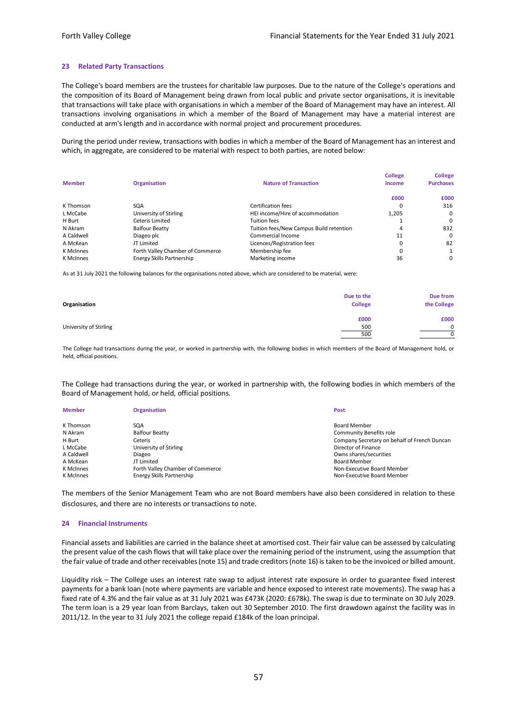#### **23 Related Party Transactions**

The College's board members are the trustees for charitable law purposes. Due to the nature of the College's operations and the composition of its Board of Management being drawn from local public and private sector organisations, it is inevitable that transactions will take place with organisations in which a member of the Board of Management may have an interest. All transactions involving organisations in which a member of the Board of Management may have a material interest are conducted at arm's length and in accordance with normal project and procurement procedures.

During the period under review, transactions with bodies in which a member of the Board of Management has an interest and which, in aggregate, are considered to be material with respect to both parties, are noted below:

| <b>Member</b> | <b>Organisation</b>              | <b>Nature of Transaction</b>            | <b>College</b><br>Income | <b>College</b><br><b>Purchases</b> |
|---------------|----------------------------------|-----------------------------------------|--------------------------|------------------------------------|
|               |                                  |                                         | £000                     | £000                               |
| K Thomson     | SQA                              | Certification fees                      | 0                        | 316                                |
| L McCabe      | University of Stirling           | HEI income/Hire of accommodation        | 1,205                    |                                    |
| H Burt        | Ceteris Limited                  | <b>Tuition fees</b>                     |                          |                                    |
| N Akram       | <b>Balfour Beatty</b>            | Tuition fees/New Campus Build retention | 4                        | 832                                |
| A Caldwell    | Diageo plc                       | Commercial Income                       | 11                       |                                    |
| A McKean      | JT Limited                       | Licences/Registration fees              | 0                        | 82                                 |
| K McInnes     | Forth Valley Chamber of Commerce | Membership fee                          | 0                        |                                    |
| K McInnes     | Energy Skills Partnership        | Marketing income                        | 36                       |                                    |

As at 31 July 2021 the following balances for the organisations noted above, which are considered to be material, were:

| Organisation           | Due to the<br><b>College</b> | Due from<br>the College |
|------------------------|------------------------------|-------------------------|
| University of Stirling | £000<br>500<br>500           | £000                    |

The College had transactions during the year, or worked in partnership with, the following bodies in which members of the Board of Management hold, or held, official positions.

The College had transactions during the year, or worked in partnership with, the following bodies in which members of the Board of Management hold, or held, official positions.

| <b>Member</b> | <b>Organisation</b>              | Post                                         |
|---------------|----------------------------------|----------------------------------------------|
|               |                                  |                                              |
| K Thomson     | SQA                              | <b>Board Member</b>                          |
| N Akram       | <b>Balfour Beatty</b>            | <b>Community Benefits role</b>               |
| H Burt        | Ceteris                          | Company Secretary on behalf of French Duncan |
| L McCabe      | University of Stirling           | Director of Finance                          |
| A Caldwell    | Diageo                           | Owns shares/securities                       |
| A McKean      | JT Limited                       | <b>Board Member</b>                          |
| K McInnes     | Forth Valley Chamber of Commerce | Non-Executive Board Member                   |
| K McInnes     | Energy Skills Partnership        | Non-Executive Board Member                   |

The members of the Senior Management Team who are not Board members have also been considered in relation to these disclosures, and there are no interests or transactions to note.

#### **24 Financial Instruments**

Financial assets and liabilities are carried in the balance sheet at amortised cost. Their fair value can be assessed by calculating the present value of the cash flows that will take place over the remaining period of the instrument, using the assumption that the fair value of trade and other receivables (note 15) and trade creditors (note 16) is taken to be the invoiced or billed amount.

Liquidity risk – The College uses an interest rate swap to adjust interest rate exposure in order to guarantee fixed interest payments for a bank loan (note where payments are variable and hence exposed to interest rate movements). The swap has a fixed rate of 4.3% and the fair value as at 31 July 2021 was £473K (2020: £678k). The swap is due to terminate on 30 July 2029. The term loan is a 29 year loan from Barclays, taken out 30 September 2010. The first drawdown against the facility was in 2011/12. In the year to 31 July 2021 the college repaid £184k of the loan principal.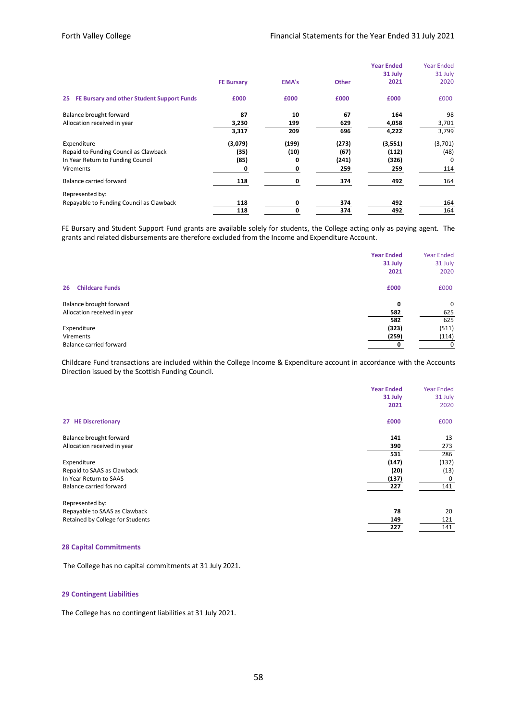|                                                                                                        | <b>FE Bursary</b>            | <b>EMA's</b>            | <b>Other</b>                  | <b>Year Ended</b><br>31 July<br>2021 | <b>Year Ended</b><br>31 July<br>2020 |
|--------------------------------------------------------------------------------------------------------|------------------------------|-------------------------|-------------------------------|--------------------------------------|--------------------------------------|
| FE Bursary and other Student Support Funds<br>25                                                       | £000                         | £000                    | £000                          | £000                                 | £000                                 |
| Balance brought forward<br>Allocation received in year                                                 | 87<br>3,230<br>3,317         | 10<br>199<br>209        | 67<br>629<br>696              | 164<br>4,058<br>4,222                | 98<br>3,701<br>3,799                 |
| Expenditure<br>Repaid to Funding Council as Clawback<br>In Year Return to Funding Council<br>Virements | (3,079)<br>(35)<br>(85)<br>0 | (199)<br>(10)<br>0<br>0 | (273)<br>(67)<br>(241)<br>259 | (3,551)<br>(112)<br>(326)<br>259     | (3,701)<br>(48)<br>$\Omega$<br>114   |
| Balance carried forward                                                                                | 118                          | 0                       | 374                           | 492                                  | 164                                  |
| Represented by:<br>Repayable to Funding Council as Clawback                                            | 118<br>118                   | 0<br>0                  | 374<br>374                    | 492<br>492                           | 164<br>164                           |

FE Bursary and Student Support Fund grants are available solely for students, the College acting only as paying agent. The grants and related disbursements are therefore excluded from the Income and Expenditure Account.

|                              | <b>Year Ended</b> | <b>Year Ended</b> |
|------------------------------|-------------------|-------------------|
|                              | 31 July           | 31 July           |
|                              | 2021              | 2020              |
| <b>Childcare Funds</b><br>26 | £000              | £000              |
| Balance brought forward      | 0                 | 0                 |
| Allocation received in year  | 582               | 625               |
|                              | 582               | 625               |
| Expenditure                  | (323)             | (511)             |
| Virements                    | (259)             | (114)             |
| Balance carried forward      |                   | 0                 |

Childcare Fund transactions are included within the College Income & Expenditure account in accordance with the Accounts Direction issued by the Scottish Funding Council.

|                                  | <b>Year Ended</b><br>31 July | <b>Year Ended</b><br>31 July |
|----------------------------------|------------------------------|------------------------------|
|                                  | 2021                         | 2020                         |
| 27 HE Discretionary              | £000                         | £000                         |
| Balance brought forward          | 141                          | 13                           |
| Allocation received in year      | 390                          | 273                          |
|                                  | 531                          | 286                          |
| Expenditure                      | (147)                        | (132)                        |
| Repaid to SAAS as Clawback       | (20)                         | (13)                         |
| In Year Return to SAAS           | (137)                        | 0                            |
| Balance carried forward          | 227                          | 141                          |
| Represented by:                  |                              |                              |
| Repayable to SAAS as Clawback    | 78                           | 20                           |
| Retained by College for Students | 149                          | 121                          |
|                                  | 227                          | 141                          |

#### **28 Capital Commitments**

The College has no capital commitments at 31 July 2021.

#### **29 Contingent Liabilities**

The College has no contingent liabilities at 31 July 2021.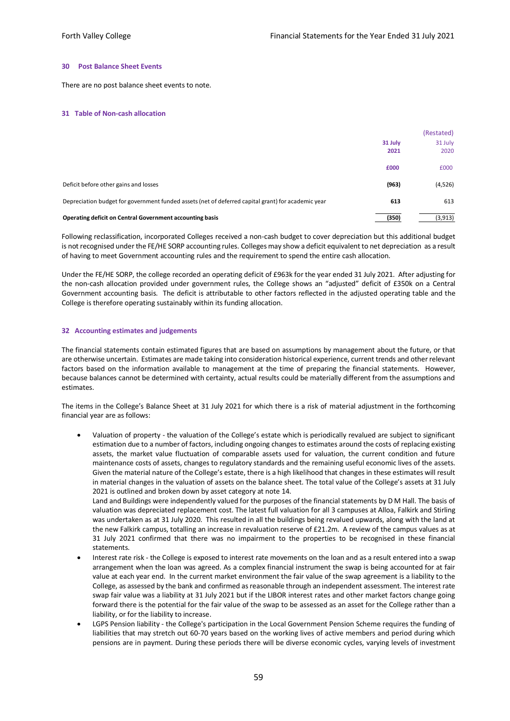#### **30 Post Balance Sheet Events**

There are no post balance sheet events to note.

#### **31 Table of Non-cash allocation**

|                                                                                                    | 31 July<br>2021 | (Restated)<br>31 July<br>2020 |
|----------------------------------------------------------------------------------------------------|-----------------|-------------------------------|
|                                                                                                    | £000            | £000                          |
| Deficit before other gains and losses                                                              | (963)           | (4,526)                       |
| Depreciation budget for government funded assets (net of deferred capital grant) for academic year | 613             | 613                           |
| Operating deficit on Central Government accounting basis                                           | (350)           | (3, 913)                      |

Following reclassification, incorporated Colleges received a non-cash budget to cover depreciation but this additional budget is not recognised under the FE/HE SORP accounting rules. Colleges may show a deficit equivalent to net depreciation as a result of having to meet Government accounting rules and the requirement to spend the entire cash allocation.

Under the FE/HE SORP, the college recorded an operating deficit of £963k for the year ended 31 July 2021. After adjusting for the non-cash allocation provided under government rules, the College shows an "adjusted" deficit of £350k on a Central Government accounting basis. The deficit is attributable to other factors reflected in the adjusted operating table and the College is therefore operating sustainably within its funding allocation.

#### **32 Accounting estimates and judgements**

The financial statements contain estimated figures that are based on assumptions by management about the future, or that are otherwise uncertain. Estimates are made taking into consideration historical experience, current trends and other relevant factors based on the information available to management at the time of preparing the financial statements. However, because balances cannot be determined with certainty, actual results could be materially different from the assumptions and estimates.

The items in the College's Balance Sheet at 31 July 2021 for which there is a risk of material adjustment in the forthcoming financial year are as follows:

• Valuation of property - the valuation of the College's estate which is periodically revalued are subject to significant estimation due to a number of factors, including ongoing changes to estimates around the costs of replacing existing assets, the market value fluctuation of comparable assets used for valuation, the current condition and future maintenance costs of assets, changes to regulatory standards and the remaining useful economic lives of the assets. Given the material nature of the College's estate, there is a high likelihood that changes in these estimates will result in material changes in the valuation of assets on the balance sheet. The total value of the College's assets at 31 July 2021 is outlined and broken down by asset category at note 14.

Land and Buildings were independently valued for the purposes of the financial statements by D M Hall. The basis of valuation was depreciated replacement cost. The latest full valuation for all 3 campuses at Alloa, Falkirk and Stirling was undertaken as at 31 July 2020. This resulted in all the buildings being revalued upwards, along with the land at the new Falkirk campus, totalling an increase in revaluation reserve of £21.2m. A review of the campus values as at 31 July 2021 confirmed that there was no impairment to the properties to be recognised in these financial statements.

- Interest rate risk the College is exposed to interest rate movements on the loan and as a result entered into a swap arrangement when the loan was agreed. As a complex financial instrument the swap is being accounted for at fair value at each year end. In the current market environment the fair value of the swap agreement is a liability to the College, as assessed by the bank and confirmed as reasonable through an independent assessment. The interest rate swap fair value was a liability at 31 July 2021 but if the LIBOR interest rates and other market factors change going forward there is the potential for the fair value of the swap to be assessed as an asset for the College rather than a liability, or for the liability to increase.
- LGPS Pension liability the College's participation in the Local Government Pension Scheme requires the funding of liabilities that may stretch out 60-70 years based on the working lives of active members and period during which pensions are in payment. During these periods there will be diverse economic cycles, varying levels of investment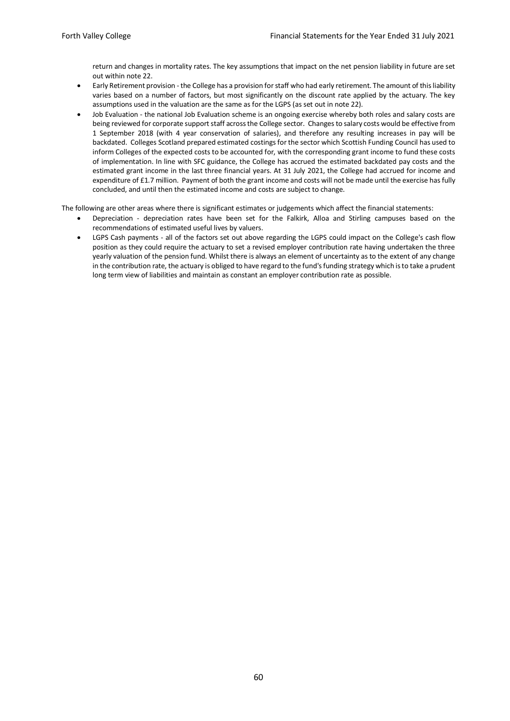return and changes in mortality rates. The key assumptions that impact on the net pension liability in future are set out within note 22.

- Early Retirement provision the College has a provision for staff who had early retirement. The amount of this liability varies based on a number of factors, but most significantly on the discount rate applied by the actuary. The key assumptions used in the valuation are the same as for the LGPS (as set out in note 22).
- Job Evaluation the national Job Evaluation scheme is an ongoing exercise whereby both roles and salary costs are being reviewed for corporate support staff across the College sector. Changes to salary costs would be effective from 1 September 2018 (with 4 year conservation of salaries), and therefore any resulting increases in pay will be backdated. Colleges Scotland prepared estimated costings for the sector which Scottish Funding Council has used to inform Colleges of the expected costs to be accounted for, with the corresponding grant income to fund these costs of implementation. In line with SFC guidance, the College has accrued the estimated backdated pay costs and the estimated grant income in the last three financial years. At 31 July 2021, the College had accrued for income and expenditure of £1.7 million. Payment of both the grant income and costs will not be made until the exercise has fully concluded, and until then the estimated income and costs are subject to change.

The following are other areas where there is significant estimates or judgements which affect the financial statements:

- Depreciation depreciation rates have been set for the Falkirk, Alloa and Stirling campuses based on the recommendations of estimated useful lives by valuers.
- LGPS Cash payments all of the factors set out above regarding the LGPS could impact on the College's cash flow position as they could require the actuary to set a revised employer contribution rate having undertaken the three yearly valuation of the pension fund. Whilst there is always an element of uncertainty as to the extent of any change in the contribution rate, the actuary is obliged to have regard to the fund's funding strategy which is to take a prudent long term view of liabilities and maintain as constant an employer contribution rate as possible.